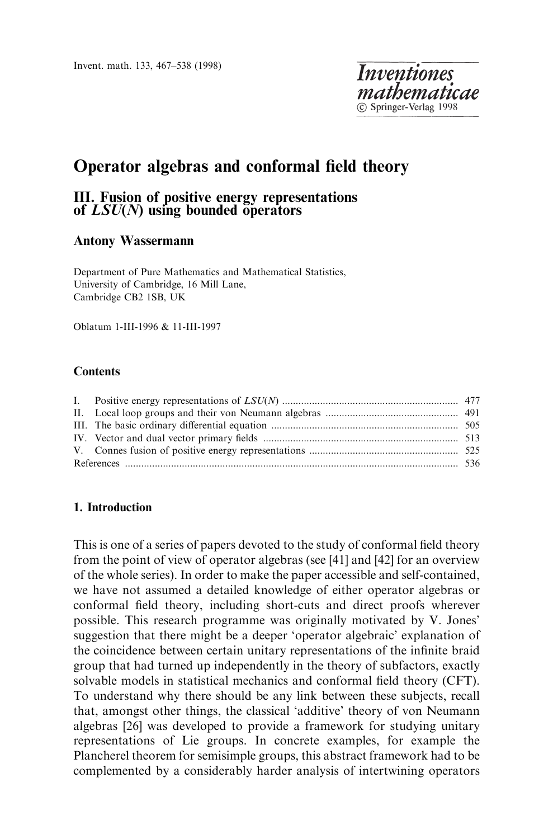Invent. math. 133, 467-538 (1998)

# Operator algebras and conformal field theory

# III. Fusion of positive energy representations of  $LSU(N)$  using bounded operators

# Antony Wassermann

Department of Pure Mathematics and Mathematical Statistics, University of Cambridge, 16 Mill Lane, Cambridge CB2 1SB, UK

Oblatum 1-III-1996 & 11-III-1997

#### **Contents**

## 1. Introduction

This is one of a series of papers devoted to the study of conformal field theory from the point of view of operator algebras (see [41] and [42] for an overview of the whole series). In order to make the paper accessible and self-contained, we have not assumed a detailed knowledge of either operator algebras or conformal field theory, including short-cuts and direct proofs wherever possible. This research programme was originally motivated by V. Jones' suggestion that there might be a deeper 'operator algebraic' explanation of the coincidence between certain unitary representations of the infinite braid group that had turned up independently in the theory of subfactors, exactly solvable models in statistical mechanics and conformal field theory (CFT). To understand why there should be any link between these subjects, recall that, amongst other things, the classical `additive' theory of von Neumann algebras [26] was developed to provide a framework for studying unitary representations of Lie groups. In concrete examples, for example the Plancherel theorem for semisimple groups, this abstract framework had to be complemented by a considerably harder analysis of intertwining operators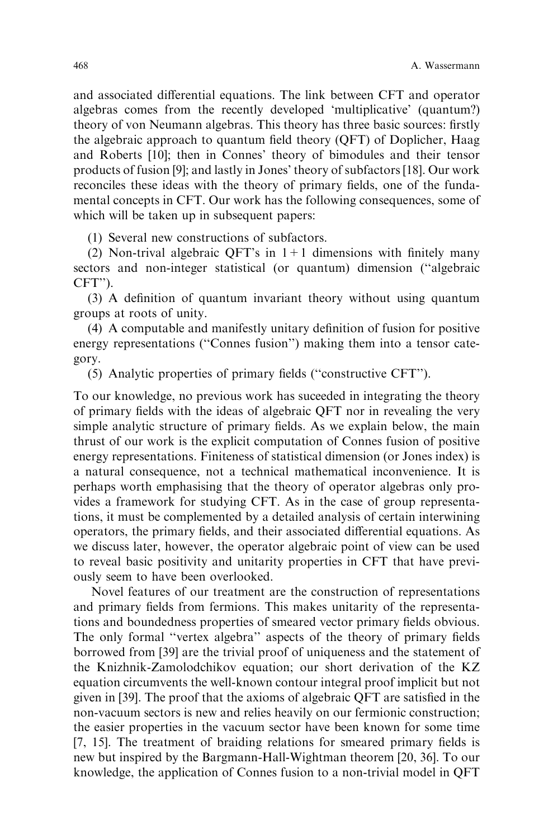and associated differential equations. The link between CFT and operator algebras comes from the recently developed `multiplicative' (quantum?) theory of von Neumann algebras. This theory has three basic sources: firstly the algebraic approach to quantum field theory  $(QFT)$  of Doplicher, Haag and Roberts [10]; then in Connes' theory of bimodules and their tensor products of fusion [9]; and lastly in Jones' theory of subfactors [18]. Our work reconciles these ideas with the theory of primary fields, one of the fundamental concepts in CFT. Our work has the following consequences, some of which will be taken up in subsequent papers:

(1) Several new constructions of subfactors.

(2) Non-trival algebraic QFT's in  $1+1$  dimensions with finitely many sectors and non-integer statistical (or quantum) dimension ("algebraic CFT'').

 $(3)$  A definition of quantum invariant theory without using quantum groups at roots of unity.

 $(4)$  A computable and manifestly unitary definition of fusion for positive energy representations ("Connes fusion") making them into a tensor category.

 $(5)$  Analytic properties of primary fields ("constructive CFT").

To our knowledge, no previous work has suceeded in integrating the theory of primary fields with the ideas of algebraic QFT nor in revealing the very simple analytic structure of primary fields. As we explain below, the main thrust of our work is the explicit computation of Connes fusion of positive energy representations. Finiteness of statistical dimension (or Jones index) is a natural consequence, not a technical mathematical inconvenience. It is perhaps worth emphasising that the theory of operator algebras only provides a framework for studying CFT. As in the case of group representations, it must be complemented by a detailed analysis of certain interwining operators, the primary fields, and their associated differential equations. As we discuss later, however, the operator algebraic point of view can be used to reveal basic positivity and unitarity properties in CFT that have previously seem to have been overlooked.

Novel features of our treatment are the construction of representations and primary fields from fermions. This makes unitarity of the representations and boundedness properties of smeared vector primary fields obvious. The only formal "vertex algebra" aspects of the theory of primary fields borrowed from [39] are the trivial proof of uniqueness and the statement of the Knizhnik-Zamolodchikov equation; our short derivation of the KZ equation circumvents the well-known contour integral proof implicit but not given in [39]. The proof that the axioms of algebraic QFT are satisfied in the non-vacuum sectors is new and relies heavily on our fermionic construction; the easier properties in the vacuum sector have been known for some time  $[7, 15]$ . The treatment of braiding relations for smeared primary fields is new but inspired by the Bargmann-Hall-Wightman theorem [20, 36]. To our knowledge, the application of Connes fusion to a non-trivial model in QFT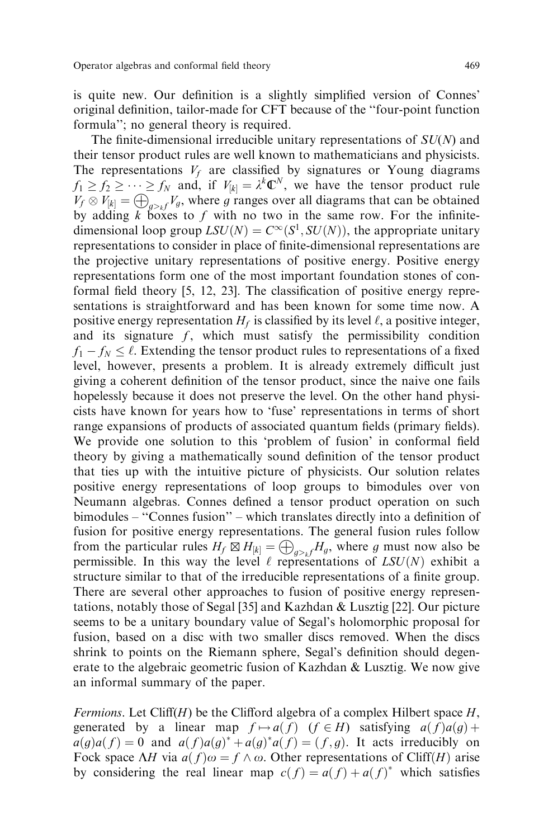is quite new. Our definition is a slightly simplified version of Connes' original definition, tailor-made for CFT because of the "four-point function" formula''; no general theory is required.

The finite-dimensional irreducible unitary representations of  $SU(N)$  and their tensor product rules are well known to mathematicians and physicists. The representations  $V_f$  are classified by signatures or Young diagrams  $f_1 \ge f_2 \ge \cdots \ge f_N$  and, if  $V_{[k]} = \lambda^k \mathbb{C}^N$ , we have the tensor product rule  $V_f \otimes V_{[k]} = \bigoplus_{g \geq k} V_g$ , where g ranges over all diagrams that can be obtained by adding k boxes to f with no two in the same row. For the infinitedimensional loop group  $LSU(N) = C^{\infty}(S^1, SU(N))$ , the appropriate unitary representations to consider in place of finite-dimensional representations are the projective unitary representations of positive energy. Positive energy representations form one of the most important foundation stones of conformal field theory  $[5, 12, 23]$ . The classification of positive energy representations is straightforward and has been known for some time now. A positive energy representation  $H_f$  is classified by its level  $\ell$ , a positive integer, and its signature  $f$ , which must satisfy the permissibility condition  $f_1 - f_N \leq \ell$ . Extending the tensor product rules to representations of a fixed level, however, presents a problem. It is already extremely difficult just giving a coherent definition of the tensor product, since the naive one fails hopelessly because it does not preserve the level. On the other hand physicists have known for years how to `fuse' representations in terms of short range expansions of products of associated quantum fields (primary fields). We provide one solution to this 'problem of fusion' in conformal field theory by giving a mathematically sound definition of the tensor product that ties up with the intuitive picture of physicists. Our solution relates positive energy representations of loop groups to bimodules over von Neumann algebras. Connes defined a tensor product operation on such bimodules - "Connes fusion" - which translates directly into a definition of fusion for positive energy representations. The general fusion rules follow from the particular rules  $H_f \boxtimes H_{[k]} = \bigoplus_{q \geq k} H_q$ , where g must now also be permissible. In this way the level  $\ell$  representations of  $LSU(N)$  exhibit a structure similar to that of the irreducible representations of a finite group. There are several other approaches to fusion of positive energy representations, notably those of Segal [35] and Kazhdan & Lusztig [22]. Our picture seems to be a unitary boundary value of Segal's holomorphic proposal for fusion, based on a disc with two smaller discs removed. When the discs shrink to points on the Riemann sphere, Segal's definition should degenerate to the algebraic geometric fusion of Kazhdan & Lusztig. We now give an informal summary of the paper.

Fermions. Let Cliff(H) be the Clifford algebra of a complex Hilbert space  $H$ , generated by a linear map  $f \mapsto a(f)$   $(f \in H)$  satisfying  $a(f)a(g)$  +  $a(g)a(f) = 0$  and  $a(f)a(g)^* + a(g)^*a(f) = (f, g)$ . It acts irreducibly on Fock space  $\Delta H$  via  $a(f)\omega = f \wedge \omega$ . Other representations of Cliff(H) arise by considering the real linear map  $c(f) = a(f) + a(f)^*$  which satisfies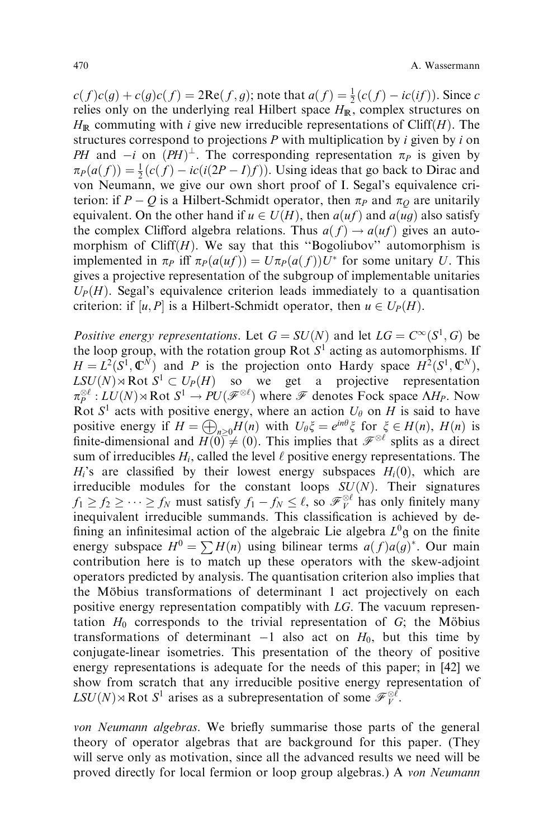$c(f)c(g) + c(g)c(f) = 2\text{Re}(f, g)$ ; note that  $a(f) = \frac{1}{2}(c(f) - ic(if))$ . Since c relies only on the underlying real Hilbert space  $H_{\mathbb{R}}$ , complex structures on  $H_{\mathbb{R}}$  commuting with *i* give new irreducible representations of Cliff $(H)$ . The structures correspond to projections  $P$  with multiplication by  $i$  given by  $i$  on PH and  $-i$  on  $(PH)^{\perp}$ . The corresponding representation  $\pi_P$  is given by  $\pi_P(a(f)) = \frac{1}{2}(c(f) - ic(i(2P - I)f)).$  Using ideas that go back to Dirac and von Neumann, we give our own short proof of I. Segal's equivalence criterion: if  $P - Q$  is a Hilbert-Schmidt operator, then  $\pi_P$  and  $\pi_Q$  are unitarily equivalent. On the other hand if  $u \in U(H)$ , then  $a(uf)$  and  $a(ug)$  also satisfy the complex Clifford algebra relations. Thus  $a(f) \rightarrow a(uf)$  gives an automorphism of Cliff $(H)$ . We say that this "Bogoliubov" automorphism is implemented in  $\pi_P$  iff  $\pi_P(a(uf)) = U \pi_P(a(f)) U^*$  for some unitary U. This gives a projective representation of the subgroup of implementable unitaries  $U_P(H)$ . Segal's equivalence criterion leads immediately to a quantisation criterion: if  $[u, P]$  is a Hilbert-Schmidt operator, then  $u \in U_P(H)$ .

Positive energy representations. Let  $G = SU(N)$  and let  $LG = C^{\infty}(S^1, G)$  be the loop group, with the rotation group Rot  $S^1$  acting as automorphisms. If  $H = L^2(S^1, \mathbb{C}^N)$  and P is the projection onto Hardy space  $H^2(S^1, \mathbb{C}^N)$ ,  $LSU(N) \rtimes Rot S^1 \subset U_P(H)$  so we get a projective representation  $\pi_P^{\otimes \ell}:LU(N)\rtimes \hbox{Rot }S^1\to PU(\mathscr{F}^{\otimes \ell})$  where  $\mathscr{F}$  denotes Fock space  $\Lambda H_P$ . Now Rot  $S^1$  acts with positive energy, where an action  $U_\theta$  on H is said to have positive energy if  $H = \bigoplus_{n>0}H(n)$  with  $U_{\theta}\xi = e^{in\theta}\xi$  for  $\xi \in H(n)$ ,  $H(n)$  is finite-dimensional and  $H(0) \neq (0)$ . This implies that  $\mathscr{F}^{\otimes \ell}$  splits as a direct sum of irreducibles  $H_i$ , called the level  $\ell$  positive energy representations. The  $H_i$ 's are classified by their lowest energy subspaces  $H_i(0)$ , which are irreducible modules for the constant loops  $SU(N)$ . Their signatures  $f_1 \ge f_2 \ge \dots \ge f_N$  must satisfy  $f_1 - f_N \le \ell$ , so  $\mathcal{F}_{\nu}^{\otimes \ell}$  has only finitely many inequivalent irreducible summands. This classification is achieved by defining an infinitesimal action of the algebraic Lie algebra  $L^0$ g on the finite energy subspace  $H^0 = \sum H(n)$  using bilinear terms  $a(f)a(g)^*$ . Our main contribution here is to match up these operators with the skew-adjoint operators predicted by analysis. The quantisation criterion also implies that the Möbius transformations of determinant 1 act projectively on each positive energy representation compatibly with LG. The vacuum representation  $H_0$  corresponds to the trivial representation of  $G$ ; the Möbius transformations of determinant  $-1$  also act on  $H_0$ , but this time by conjugate-linear isometries. This presentation of the theory of positive energy representations is adequate for the needs of this paper; in [42] we show from scratch that any irreducible positive energy representation of  $LSU(N) \rtimes Rot S^1$  arises as a subrepresentation of some  $\mathscr{F}_{V}^{\otimes \ell}$ .

von Neumann algebras. We briefly summarise those parts of the general theory of operator algebras that are background for this paper. (They will serve only as motivation, since all the advanced results we need will be proved directly for local fermion or loop group algebras.) A von Neumann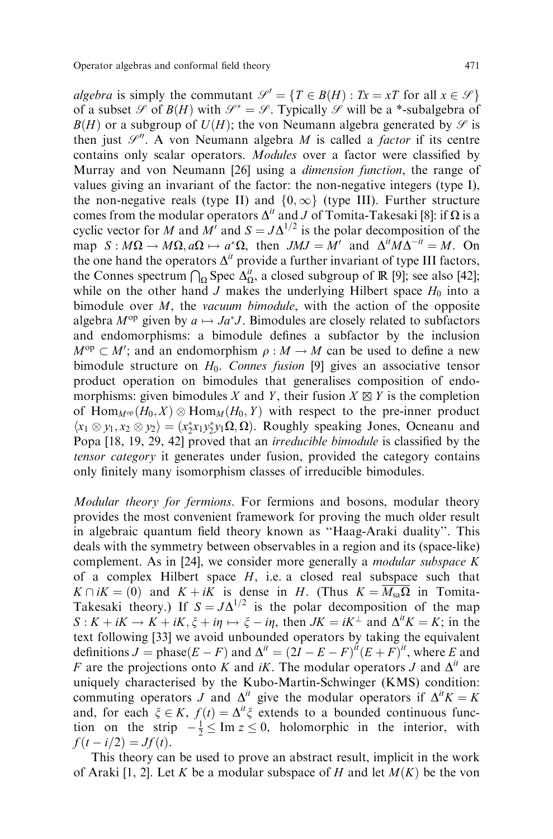algebra is simply the commutant  $\mathcal{S}' = \{T \in B(H) : Tx = xT \text{ for all } x \in \mathcal{S}\}\$ of a subset  $\mathscr S$  of  $B(H)$  with  $\mathscr S^* = \mathscr S$ . Typically  $\mathscr S$  will be a \*-subalgebra of  $B(H)$  or a subgroup of  $U(H)$ ; the von Neumann algebra generated by  $\mathscr S$  is then just  $\mathcal{S}^{\prime\prime}$ . A von Neumann algebra *M* is called a *factor* if its centre contains only scalar operators. Modules over a factor were classified by Murray and von Neumann [26] using a dimension function, the range of values giving an invariant of the factor: the non-negative integers (type I), the non-negative reals (type II) and  $\{0,\infty\}$  (type III). Further structure comes from the modular operators  $\Delta^{it}$  and J of Tomita-Takesaki [8]: if  $\Omega$  is a cyclic vector for M and  $M'$  and  $S = J\Delta^{1/2}$  is the polar decomposition of the map  $S : M\Omega \to M\Omega$ ,  $a\Omega \mapsto a^*\Omega$ , then  $JMJ = M'$  and  $\Delta^{i}M\Delta^{-i} = M$ . On the one hand the operators  $\Delta^{it}$  provide a further invariant of type III factors, the Connes spectrum  $\bigcap_{\Omega}$  Spec  $\Delta_{\Omega}^{it}$ , a closed subgroup of IR [9]; see also [42]; while on the other hand J makes the underlying Hilbert space  $H_0$  into a bimodule over  $M$ , the vacuum bimodule, with the action of the opposite algebra  $M^{\text{op}}$  given by  $a \mapsto Ja^*J$ . Bimodules are closely related to subfactors and endomorphisms: a bimodule defines a subfactor by the inclusion  $M^{\text{op}} \subset M'$ ; and an endomorphism  $\rho : M \to M$  can be used to define a new bimodule structure on  $H_0$ . Connes fusion [9] gives an associative tensor product operation on bimodules that generalises composition of endomorphisms: given bimodules X and Y, their fusion  $X \boxtimes Y$  is the completion of  $\text{Hom}_{M^{\text{op}}}(H_0, X) \otimes \text{Hom}_M(H_0, Y)$  with respect to the pre-inner product  $\langle x_1 \otimes y_1, x_2 \otimes y_2 \rangle = (x_2^* x_1 y_2^* y_1 \Omega, \Omega)$ . Roughly speaking Jones, Ocneanu and Popa [18, 19, 29, 42] proved that an *irreducible bimodule* is classified by the tensor category it generates under fusion, provided the category contains only finitely many isomorphism classes of irreducible bimodules.

Modular theory for fermions. For fermions and bosons, modular theory provides the most convenient framework for proving the much older result in algebraic quantum field theory known as "Haag-Araki duality". This deals with the symmetry between observables in a region and its (space-like) complement. As in [24], we consider more generally a *modular subspace*  $K$ of a complex Hilbert space  $H$ , i.e. a closed real subspace such that  $K \cap iK = (0)$  and  $K + iK$  is dense in H. (Thus  $K = \overline{M_{sa}Q}$  in Tomita-Takesaki theory.) If  $S = J\Delta^{1/2}$  is the polar decomposition of the map  $S: K + iK \to K + iK$ ,  $\xi + i\eta \mapsto \xi - i\eta$ , then  $JK = iK^{\perp}$  and  $\Delta^{it} K = K$ ; in the text following [33] we avoid unbounded operators by taking the equivalent definitions  $J = \text{phase}(E - F)$  and  $\Delta^{it} = (2I - E - F)^{it}(E + F)^{it}$ , where E and F are the projections onto K and iK. The modular operators J and  $\Delta^{it}$  are uniquely characterised by the Kubo-Martin-Schwinger (KMS) condition: commuting operators J and  $\Delta^{it}$  give the modular operators if  $\Delta^{it} K = K$ and, for each  $\xi \in K$ ,  $f(t) = \Delta^{it}\xi$  extends to a bounded continuous function on the strip  $-\frac{1}{2} \leq \text{Im } z \leq 0$ , holomorphic in the interior, with  $f(t - i/2) = Jf(t).$ 

This theory can be used to prove an abstract result, implicit in the work of Araki [1, 2]. Let K be a modular subspace of H and let  $M(K)$  be the von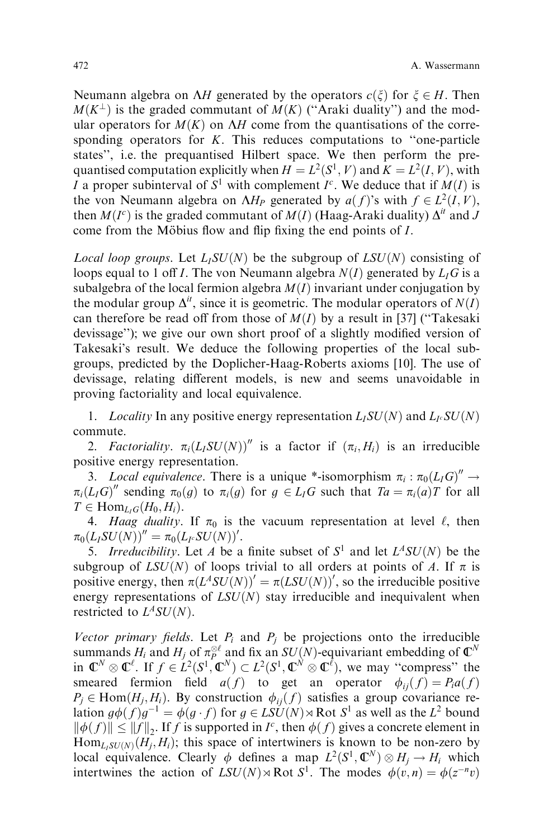Neumann algebra on  $\Lambda H$  generated by the operators  $c(\xi)$  for  $\xi \in H$ . Then  $M(K^{\perp})$  is the graded commutant of  $M(K)$  ("Araki duality") and the modular operators for  $M(K)$  on  $\Lambda H$  come from the quantisations of the corresponding operators for  $K$ . This reduces computations to "one-particle" states'', i.e. the prequantised Hilbert space. We then perform the prequantised computation explicitly when  $H = L^2(S^1, V)$  and  $K = L^2(I, V)$ , with I a proper subinterval of  $S^1$  with complement  $I^c$ . We deduce that if  $M(I)$  is the von Neumann algebra on  $\Delta H_P$  generated by  $a(f)$ 's with  $f \in L^2(I, V)$ , then  $M(I^c)$  is the graded commutant of  $M(I)$  (Haag-Araki duality)  $\Delta^{it}$  and J come from the Möbius flow and flip fixing the end points of  $I$ .

Local loop groups. Let  $L_I SU(N)$  be the subgroup of  $L SU(N)$  consisting of loops equal to 1 off *I*. The von Neumann algebra  $N(I)$  generated by  $L_i G$  is a subalgebra of the local fermion algebra  $M(I)$  invariant under conjugation by the modular group  $\Delta^{it}$ , since it is geometric. The modular operators of  $N(I)$ can therefore be read off from those of  $M(I)$  by a result in [37] ("Takesaki devissage''); we give our own short proof of a slightly modified version of Takesaki's result. We deduce the following properties of the local subgroups, predicted by the Doplicher-Haag-Roberts axioms [10]. The use of devissage, relating different models, is new and seems unavoidable in proving factoriality and local equivalence.

1. Locality In any positive energy representation  $L_I SU(N)$  and  $L_I SU(N)$ commute.

2. Factoriality.  $\pi_i(L_iSU(N))''$  is a factor if  $(\pi_i, H_i)$  is an irreducible positive energy representation.

3. Local equivalence. There is a unique \*-isomorphism  $\pi_i : \pi_0(LIG)^{n} \to$  $\pi_i(L_I G)''$  sending  $\pi_0(g)$  to  $\pi_i(g)$  for  $g \in L_I G$  such that  $Ta = \pi_i(a)T$  for all  $T \in \text{Hom}_{L_iG}(H_0, H_i).$ 

4. Haag duality. If  $\pi_0$  is the vacuum representation at level  $\ell$ , then  $\pi_0(L_I SU(N))'' = \pi_0(L_{I^c} SU(N))'.$ 

5. Irreducibility. Let A be a finite subset of  $S^1$  and let  $L^A SU(N)$  be the subgroup of  $LSU(N)$  of loops trivial to all orders at points of A. If  $\pi$  is positive energy, then  $\pi(L^A SU(N))' = \pi(LSU(N))'$ , so the irreducible positive energy representations of  $LSU(N)$  stay irreducible and inequivalent when restricted to  $L^A$  SU(N).

Vector primary fields. Let  $P_i$  and  $P_j$  be projections onto the irreducible summands  $H_i$  and  $H_j$  of  $\pi_P^{\otimes \ell}$  and fix an  $SU(N)$ -equivariant embedding of  $\mathbb{C}^N$ in  $\mathbb{C}^N \otimes \mathbb{C}^{\ell}$ . If  $f \in L^2(S^1, \mathbb{C}^N) \subset L^2(S^1, \mathbb{C}^N \otimes \mathbb{C}^{\ell})$ , we may "compress" the smeared fermion field  $a(f)$  to get an operator  $\phi_{ii}(f) = P_i a(f)$  $P_i \in \text{Hom}(H_i, H_i)$ . By construction  $\phi_{ii}(f)$  satisfies a group covariance relation  $g\phi(f)g^{-1} = \phi(g \cdot f)$  for  $g \in LSU(N) \rtimes Rot S^1$  as well as the  $L^2$  bound  $\|\phi(f)\| \le \|f\|_2$ . If f is supported in  $I^c$ , then  $\phi(f)$  gives a concrete element in  $\text{Hom}_{L, SU(N)}(H_i, H_i)$ ; this space of intertwiners is known to be non-zero by local equivalence. Clearly  $\phi$  defines a map  $L^2(S^1, \mathbb{C}^N) \otimes H_j \to H_i$  which intertwines the action of  $LSU(N) \rtimes Rot S^1$ . The modes  $\phi(v, n) = \phi(z^{-n}v)$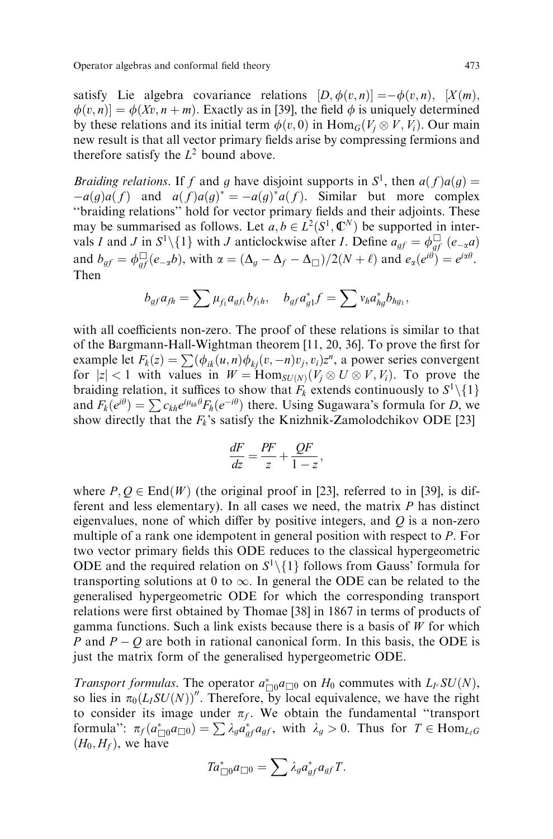satisfy Lie algebra covariance relations  $[D, \phi(v, n)] = -\phi(v, n)$ ,  $[X(m),$  $\phi(v, n) = \phi(Xv, n + m)$ . Exactly as in [39], the field  $\phi$  is uniquely determined by these relations and its initial term  $\phi(v, 0)$  in  $\text{Hom}_G(V_j \otimes V, V_i)$ . Our main new result is that all vector primary fields arise by compressing fermions and therefore satisfy the  $L^2$  bound above.

*Braiding relations.* If f and g have disjoint supports in  $S^1$ , then  $a(f)a(g)$  =  $-a(g)a(f)$  and  $a(f)a(g)^* = -a(g)^*a(f)$ . Similar but more complex "braiding relations" hold for vector primary fields and their adjoints. These may be summarised as follows. Let  $a, b \in L^2(S^1, \mathbb{C}^N)$  be supported in intervals I and J in  $S^1 \setminus \{1\}$  with J anticlockwise after I. Define  $a_{gf} = \phi_{gf} \mid (e_{\alpha}a)$ and  $b_{gf} = \phi_{gf}^{\square}(e_{-\alpha}b)$ , with  $\alpha = (\Delta_g - \Delta_f - \Delta_{\square})/2(N + \ell)$  and  $e_{\alpha}(e^{i\theta}) = e^{i\alpha\theta}$ . Then

$$
b_{gf}a_{fh} = \sum \mu_{f_1}a_{gf_1}b_{f_1h}, \quad b_{gf}a_{g1}^*f = \sum v_ha_{hg}^*b_{hg_1},
$$

with all coefficients non-zero. The proof of these relations is similar to that of the Bargmann-Hall-Wightman theorem  $[11, 20, 36]$ . To prove the first for example let  $F_k(z) = \sum (\phi_{ik}(u, n)\phi_{ki}(v, -n)v_i, v_i)z^n$ , a power series convergent for  $|z| < 1$  with values in  $W = \text{Hom}_{SU(N)}(V_j \otimes U \otimes V, V_i)$ . To prove the braiding relation, it suffices to show that  $F_k$  extends continuously to  $S^1 \setminus \{1\}$ and  $F_k(e^{i\theta}) = \sum c_{kh} e^{i\mu_{kh}\theta} F_h(e^{-i\theta})$  there. Using Sugawara's formula for D, we show directly that the  $F_k$ 's satisfy the Knizhnik-Zamolodchikov ODE [23]

$$
\frac{dF}{dz} = \frac{PF}{z} + \frac{QF}{1 - z},
$$

where  $P, Q \in End(W)$  (the original proof in [23], referred to in [39], is different and less elementary). In all cases we need, the matrix P has distinct eigenvalues, none of which differ by positive integers, and  $Q$  is a non-zero multiple of a rank one idempotent in general position with respect to P. For two vector primary fields this ODE reduces to the classical hypergeometric ODE and the required relation on  $S^1 \setminus \{1\}$  follows from Gauss' formula for transporting solutions at 0 to  $\infty$ . In general the ODE can be related to the generalised hypergeometric ODE for which the corresponding transport relations were first obtained by Thomae [38] in 1867 in terms of products of gamma functions. Such a link exists because there is a basis of  $W$  for which P and  $P - Q$  are both in rational canonical form. In this basis, the ODE is just the matrix form of the generalised hypergeometric ODE.

Transport formulas. The operator  $a_{\Box 0}^* a_{\Box 0}$  on  $H_0$  commutes with  $L_I$ .  $SU(N)$ , so lies in  $\pi_0(L_I SU(N))$ ". Therefore, by local equivalence, we have the right to consider its image under  $\pi_f$ . We obtain the fundamental "transport formula":  $\pi_f(a_{\Box 0}^* a_{\Box 0}) = \sum \lambda_g a_{gf}^* a_{gf}$ , with  $\lambda_g > 0$ . Thus for  $T \in \text{Hom}_{L_fG}$  $(H_0, H_f)$ , we have

$$
Ta_{\Box 0}^*a_{\Box 0}=\sum \lambda_g a_{gf}^*a_{gf}T.
$$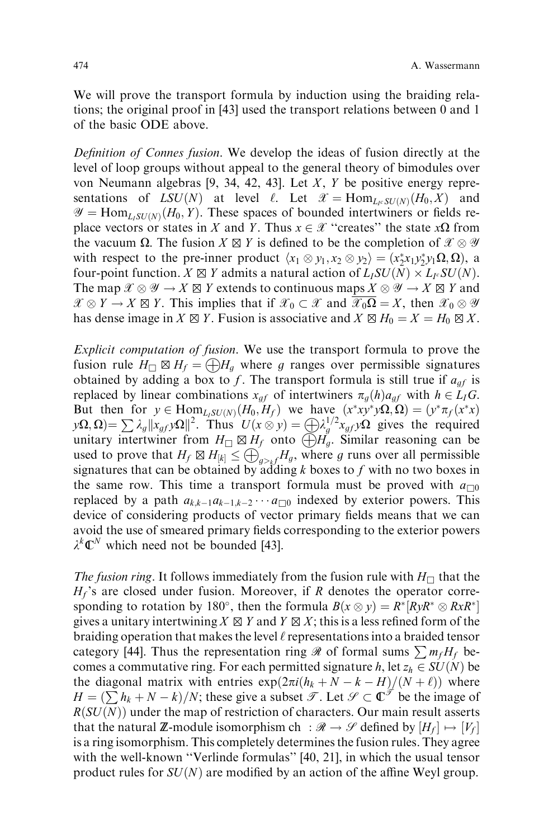We will prove the transport formula by induction using the braiding relations; the original proof in [43] used the transport relations between 0 and 1 of the basic ODE above.

Definition of Connes fusion. We develop the ideas of fusion directly at the level of loop groups without appeal to the general theory of bimodules over von Neumann algebras [9, 34, 42, 43]. Let X, Y be positive energy representations of  $LSU(N)$  at level  $\ell$ . Let  $\mathcal{X} = \text{Hom}_{L_{\ell}SU(N)}(H_0, X)$  and  $\mathscr{Y} = \text{Hom}_{L,\text{SU}(N)}(H_0, Y)$ . These spaces of bounded intertwiners or fields replace vectors or states in X and Y. Thus  $x \in \mathcal{X}$  "creates" the state  $x\Omega$  from the vacuum  $\Omega$ . The fusion  $X \boxtimes Y$  is defined to be the completion of  $\mathcal{X} \otimes \mathcal{Y}$ with respect to the pre-inner product  $\langle x_1 \otimes y_1, x_2 \otimes y_2 \rangle = (x_2^* x_1 y_2^* y_1 \Omega, \Omega)$ , a four-point function.  $X \boxtimes Y$  admits a natural action of  $L_I SU(N) \times L_I cSU(N)$ . The map  $\mathcal{X} \otimes \mathcal{Y} \to X \boxtimes Y$  extends to continuous maps  $X \otimes \mathcal{Y} \to X \boxtimes Y$  and  $\mathscr{X} \otimes Y \to X \boxtimes Y$ . This implies that if  $\mathscr{X}_0 \subset \mathscr{X}$  and  $\mathscr{X}_0 \Omega = X$ , then  $\mathscr{X}_0 \otimes \mathscr{Y}$ has dense image in  $X \boxtimes Y$ . Fusion is associative and  $X \boxtimes H_0 = X = H_0 \boxtimes X$ .

Explicit computation of fusion. We use the transport formula to prove the fusion rule  $H_{\Box} \boxtimes H_f = \bigoplus H_a$  where g ranges over permissible signatures obtained by adding a box to f. The transport formula is still true if  $a_{gf}$  is replaced by linear combinations  $x_{af}$  of intertwiners  $\pi_a(h)a_{af}$  with  $h \in L_I G$ . But then for  $y \in \text{Hom}_{L_1 SU(N)}(H_0, H_f)$  we have  $(x^*xy^*y\Omega, \Omega) = (y^*\pi_f(x^*x))$  $y\Omega, \Omega = \sum \lambda_g ||x_{gf}y\Omega||^2$ . Thus  $U(x \otimes y) = \bigoplus \lambda_g^{1/2}x_{gf}y\Omega$  gives the required unitary intertwiner from  $H_{\Box} \boxtimes H_f$  onto  $\widetilde{\bigoplus} H_g$ . Similar reasoning can be used to prove that  $H_f \boxtimes H_{|k|} \leq \bigoplus_{q> k} H_g$ , where g runs over all permissible signatures that can be obtained by adding k boxes to f with no two boxes in the same row. This time a transport formula must be proved with  $a_{\square 0}$ replaced by a path  $a_{k,k-1}a_{k-1,k-2} \cdots a_{\square 0}$  indexed by exterior powers. This device of considering products of vector primary fields means that we can avoid the use of smeared primary fields corresponding to the exterior powers  $\lambda^k \mathbb{C}^N$  which need not be bounded [43].

The fusion ring. It follows immediately from the fusion rule with  $H_{\square}$  that the  $H_f$ 's are closed under fusion. Moreover, if R denotes the operator corresponding to rotation by 180°, then the formula  $B(x \otimes y) = R^*[RyR^* \otimes RxR^*]$ gives a unitary intertwining  $X \boxtimes Y$  and  $Y \boxtimes X$ ; this is a less refined form of the braiding operation that makes the level  $\ell$  representations into a braided tensor category [44]. Thus the representation ring  $\Re$  of formal sums  $\sum m_f H_f$  becomes a commutative ring. For each permitted signature h, let  $z_h \in SU(N)$  be the diagonal matrix with entries  $exp(2\pi i (h_k + N - k - H)/(N + \ell))$  where  $H = (\sum h_k + N - k)/N$ ; these give a subset  $\mathcal{T}$ . Let  $\mathcal{S} \subset \mathbb{C}^{\mathcal{T}}$  be the image of  $R(SU(N))$  under the map of restriction of characters. Our main result asserts that the natural **Z**-module isomorphism ch :  $\mathcal{R} \to \mathcal{S}$  defined by  $[H_f] \mapsto [V_f]$ is a ring isomorphism. This completely determines the fusion rules. They agree with the well-known "Verlinde formulas" [40, 21], in which the usual tensor product rules for  $SU(N)$  are modified by an action of the affine Weyl group.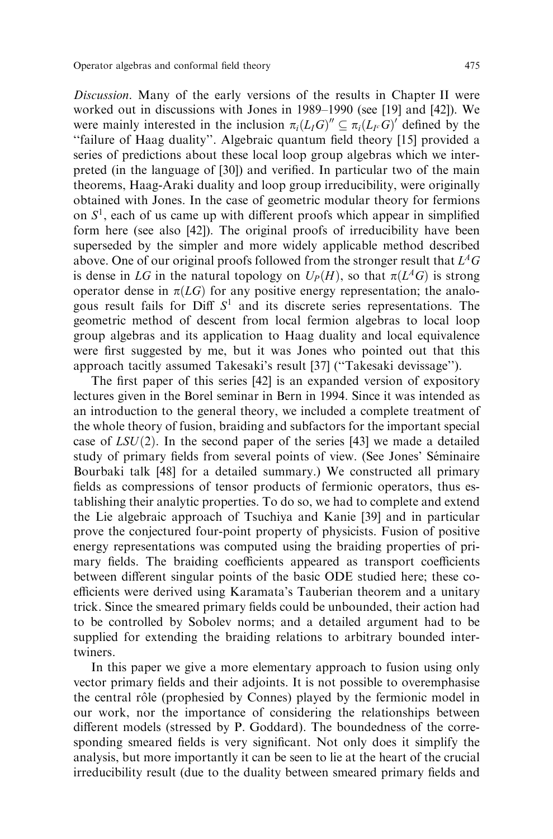Discussion. Many of the early versions of the results in Chapter II were worked out in discussions with Jones in  $1989-1990$  (see [19] and [42]). We were mainly interested in the inclusion  $\pi_i(LIG)'' \subseteq \pi_i(LIG)'$  defined by the ``failure of Haag duality''. Algebraic quantum ®eld theory [15] provided a series of predictions about these local loop group algebras which we interpreted (in the language of [30]) and verified. In particular two of the main theorems, Haag-Araki duality and loop group irreducibility, were originally obtained with Jones. In the case of geometric modular theory for fermions on  $S<sup>1</sup>$ , each of us came up with different proofs which appear in simplified form here (see also [42]). The original proofs of irreducibility have been superseded by the simpler and more widely applicable method described above. One of our original proofs followed from the stronger result that  $L<sup>A</sup>G$ is dense in LG in the natural topology on  $U_P(H)$ , so that  $\pi(L^AG)$  is strong operator dense in  $\pi(LG)$  for any positive energy representation; the analogous result fails for Diff  $S<sup>1</sup>$  and its discrete series representations. The geometric method of descent from local fermion algebras to local loop group algebras and its application to Haag duality and local equivalence were first suggested by me, but it was Jones who pointed out that this approach tacitly assumed Takesaki's result [37] ("Takesaki devissage").

The first paper of this series [42] is an expanded version of expository lectures given in the Borel seminar in Bern in 1994. Since it was intended as an introduction to the general theory, we included a complete treatment of the whole theory of fusion, braiding and subfactors for the important special case of  $LSU(2)$ . In the second paper of the series [43] we made a detailed study of primary fields from several points of view. (See Jones' Séminaire Bourbaki talk [48] for a detailed summary.) We constructed all primary fields as compressions of tensor products of fermionic operators, thus establishing their analytic properties. To do so, we had to complete and extend the Lie algebraic approach of Tsuchiya and Kanie [39] and in particular prove the conjectured four-point property of physicists. Fusion of positive energy representations was computed using the braiding properties of primary fields. The braiding coefficients appeared as transport coefficients between different singular points of the basic ODE studied here; these coefficients were derived using Karamata's Tauberian theorem and a unitary trick. Since the smeared primary fields could be unbounded, their action had to be controlled by Sobolev norms; and a detailed argument had to be supplied for extending the braiding relations to arbitrary bounded intertwiners.

In this paper we give a more elementary approach to fusion using only vector primary fields and their adjoints. It is not possible to overemphasise the central rôle (prophesied by Connes) played by the fermionic model in our work, nor the importance of considering the relationships between different models (stressed by P. Goddard). The boundedness of the corresponding smeared fields is very significant. Not only does it simplify the analysis, but more importantly it can be seen to lie at the heart of the crucial irreducibility result (due to the duality between smeared primary fields and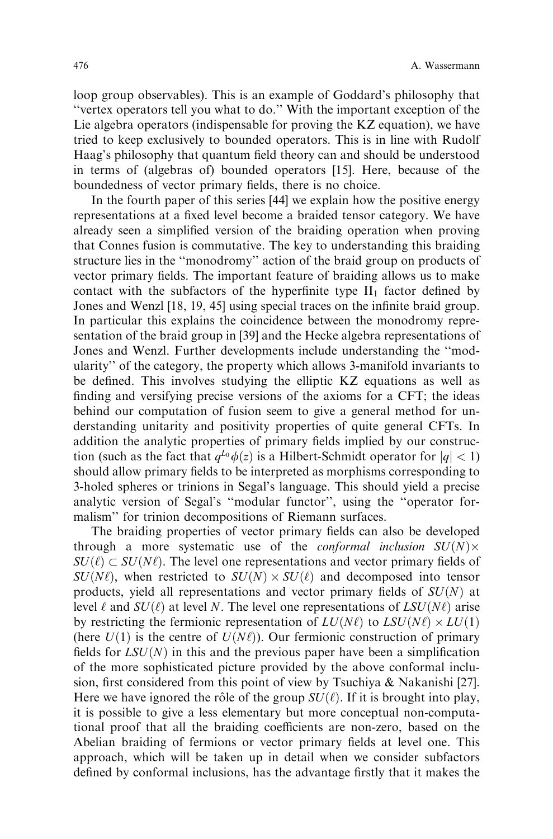loop group observables). This is an example of Goddard's philosophy that ``vertex operators tell you what to do.'' With the important exception of the Lie algebra operators (indispensable for proving the KZ equation), we have tried to keep exclusively to bounded operators. This is in line with Rudolf Haag's philosophy that quantum field theory can and should be understood in terms of (algebras of) bounded operators [15]. Here, because of the boundedness of vector primary fields, there is no choice.

In the fourth paper of this series [44] we explain how the positive energy representations at a fixed level become a braided tensor category. We have already seen a simplified version of the braiding operation when proving that Connes fusion is commutative. The key to understanding this braiding structure lies in the "monodromy" action of the braid group on products of vector primary fields. The important feature of braiding allows us to make contact with the subfactors of the hyperfinite type  $II_1$  factor defined by Jones and Wenzl [18, 19, 45] using special traces on the infinite braid group. In particular this explains the coincidence between the monodromy representation of the braid group in [39] and the Hecke algebra representations of Jones and Wenzl. Further developments include understanding the "modularity'' of the category, the property which allows 3-manifold invariants to be defined. This involves studying the elliptic KZ equations as well as finding and versifying precise versions of the axioms for a CFT; the ideas behind our computation of fusion seem to give a general method for understanding unitarity and positivity properties of quite general CFTs. In addition the analytic properties of primary fields implied by our construction (such as the fact that  $q^{L_0}\phi(z)$  is a Hilbert-Schmidt operator for  $|q| < 1$ ) should allow primary fields to be interpreted as morphisms corresponding to 3-holed spheres or trinions in Segal's language. This should yield a precise analytic version of Segal's "modular functor", using the "operator formalism'' for trinion decompositions of Riemann surfaces.

The braiding properties of vector primary fields can also be developed through a more systematic use of the *conformal inclusion*  $SU(N) \times$  $SU(\ell) \subset SU(N\ell)$ . The level one representations and vector primary fields of  $SU(N\ell)$ , when restricted to  $SU(N) \times SU(\ell)$  and decomposed into tensor products, yield all representations and vector primary fields of  $SU(N)$  at level  $\ell$  and  $SU(\ell)$  at level N. The level one representations of  $LSU(N\ell)$  arise by restricting the fermionic representation of  $LU(N\ell)$  to  $LSU(N\ell) \times LU(1)$ (here  $U(1)$  is the centre of  $U(N\ell)$ ). Our fermionic construction of primary fields for  $LSU(N)$  in this and the previous paper have been a simplification of the more sophisticated picture provided by the above conformal inclusion, first considered from this point of view by Tsuchiya & Nakanishi [27]. Here we have ignored the rôle of the group  $SU(\ell)$ . If it is brought into play, it is possible to give a less elementary but more conceptual non-computational proof that all the braiding coefficients are non-zero, based on the Abelian braiding of fermions or vector primary fields at level one. This approach, which will be taken up in detail when we consider subfactors defined by conformal inclusions, has the advantage firstly that it makes the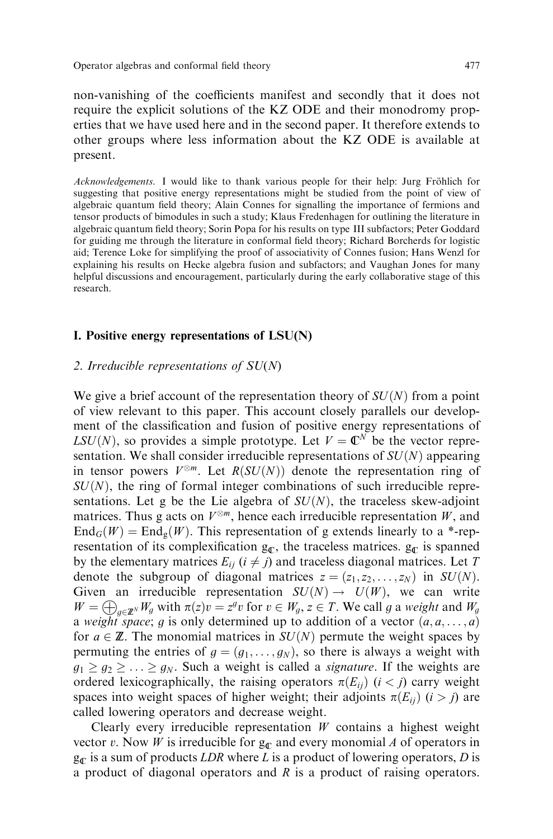non-vanishing of the coefficients manifest and secondly that it does not require the explicit solutions of the KZ ODE and their monodromy properties that we have used here and in the second paper. It therefore extends to other groups where less information about the KZ ODE is available at present.

Acknowledgements. I would like to thank various people for their help: Jurg Fröhlich for suggesting that positive energy representations might be studied from the point of view of algebraic quantum field theory; Alain Connes for signalling the importance of fermions and tensor products of bimodules in such a study; Klaus Fredenhagen for outlining the literature in algebraic quantum field theory; Sorin Popa for his results on type III subfactors; Peter Goddard for guiding me through the literature in conformal field theory; Richard Borcherds for logistic aid; Terence Loke for simplifying the proof of associativity of Connes fusion; Hans Wenzl for explaining his results on Hecke algebra fusion and subfactors; and Vaughan Jones for many helpful discussions and encouragement, particularly during the early collaborative stage of this research.

## I. Positive energy representations of LSU(N)

#### 2. Irreducible representations of  $SU(N)$

We give a brief account of the representation theory of  $SU(N)$  from a point of view relevant to this paper. This account closely parallels our development of the classification and fusion of positive energy representations of  $LSU(N)$ , so provides a simple prototype. Let  $V = \mathbb{C}^N$  be the vector representation. We shall consider irreducible representations of  $SU(N)$  appearing in tensor powers  $V^{\otimes m}$ . Let  $R(SU(N))$  denote the representation ring of  $SU(N)$ , the ring of formal integer combinations of such irreducible representations. Let g be the Lie algebra of  $SU(N)$ , the traceless skew-adjoint matrices. Thus g acts on  $V^{\otimes m}$ , hence each irreducible representation W, and  $\text{End}_G(W) = \text{End}_g(W)$ . This representation of g extends linearly to a \*-representation of its complexification  $g_C$ , the traceless matrices.  $g_C$  is spanned by the elementary matrices  $E_{ij}$  ( $i \neq j$ ) and traceless diagonal matrices. Let T denote the subgroup of diagonal matrices  $z = (z_1, z_2, \dots, z_N)$  in  $SU(N)$ . Given an irreducible representation  $SU(N) \rightarrow U(W)$ , we can write  $W = \bigoplus_{a \in \mathbb{Z}^N} W_a$  with  $\pi(z)v = z^g v$  for  $v \in W_a$ ,  $z \in T$ . We call g a weight and  $W_a$ a weight space; g is only determined up to addition of a vector  $(a, a, \ldots, a)$ for  $a \in \mathbb{Z}$ . The monomial matrices in  $SU(N)$  permute the weight spaces by permuting the entries of  $g = (g_1, \ldots, g_N)$ , so there is always a weight with  $g_1 \ge g_2 \ge \ldots \ge g_N$ . Such a weight is called a *signature*. If the weights are ordered lexicographically, the raising operators  $\pi(E_{ii})$  ( $i < j$ ) carry weight spaces into weight spaces of higher weight; their adjoints  $\pi(E_{ii})$  (i > j) are called lowering operators and decrease weight.

Clearly every irreducible representation  $W$  contains a highest weight vector v. Now W is irreducible for  $g_{\sigma}$  and every monomial A of operators in  $g_{\mathbb{C}}$  is a sum of products LDR where L is a product of lowering operators, D is a product of diagonal operators and  $R$  is a product of raising operators.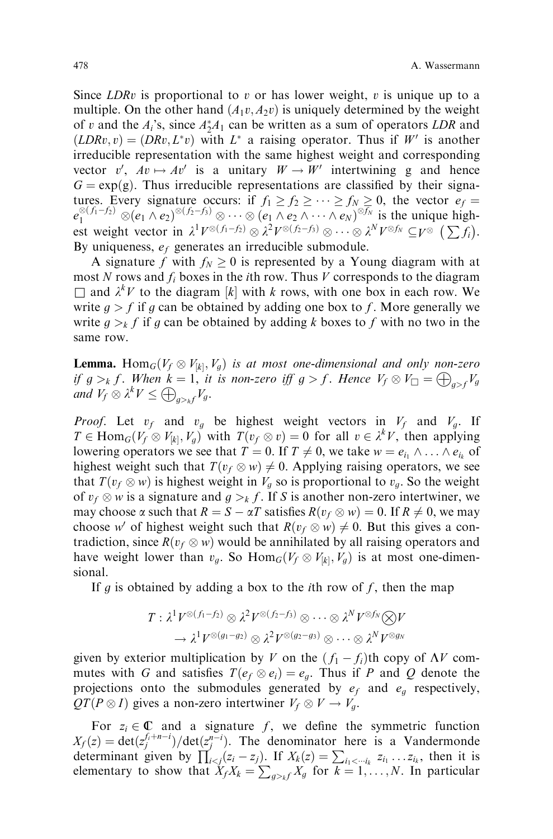Since  $LDRv$  is proportional to v or has lower weight, v is unique up to a multiple. On the other hand  $(A_1v, A_2v)$  is uniquely determined by the weight of v and the  $A_i$ 's, since  $A_2^*A_1$  can be written as a sum of operators LDR and  $(LDRv, v) = (DRv, L^*v)$  with  $L^*$  a raising operator. Thus if W' is another irreducible representation with the same highest weight and corresponding vector v',  $Av \mapsto Av'$  is a unitary  $W \to W'$  intertwining g and hence  $G = \exp(g)$ . Thus irreducible representations are classified by their signatures. Every signature occurs: if  $f_1 \ge f_2 \ge \cdots \ge f_N \ge 0$ , the vector  $e_f =$  $e_1^{\otimes (f_1-f_2)} \otimes (e_1 \wedge e_2)^{\otimes (f_2-f_3)} \otimes \cdots \otimes (e_1 \wedge e_2 \wedge \cdots \wedge e_N)^{\otimes f_N}$  is the unique highest weight vector in  $\lambda^1 V^{\otimes (f_1-f_2)} \otimes \lambda^2 V^{\otimes (f_2-f_3)} \otimes \cdots \otimes \lambda^N V^{\otimes f_N} \subseteq V^{\otimes} (\sum f_i).$ By uniqueness,  $e_f$  generates an irreducible submodule.

A signature f with  $f_N \geq 0$  is represented by a Young diagram with at most N rows and  $f_i$  boxes in the *i*th row. Thus V corresponds to the diagram  $\Box$  and  $\lambda^k V$  to the diagram [k] with k rows, with one box in each row. We write  $g > f$  if g can be obtained by adding one box to f. More generally we write  $g > k$  f if g can be obtained by adding k boxes to f with no two in the same row.

**Lemma.** Hom<sub>G</sub>( $V_f \otimes V_{[k]}, V_g$ ) is at most one-dimensional and only non-zero if  $g >_k f$ . When  $k = 1$ , it is non-zero iff  $g > f$ . Hence  $V_f \otimes V_{\square} = \bigoplus_{g > f} V_g$ and  $V_f \otimes \lambda^k V \leq \bigoplus_{g>_{h}f} V_g$ .

*Proof.* Let  $v_f$  and  $v_g$  be highest weight vectors in  $V_f$  and  $V_g$ . If  $T \in \text{Hom}_G(V_f \otimes V_{[k]}, V_g)$  with  $T(v_f \otimes v) = 0$  for all  $v \in \lambda^k V$ , then applying lowering operators we see that  $T = 0$ . If  $T \neq 0$ , we take  $w = e_{i_1} \wedge \ldots \wedge e_{i_k}$  of highest weight such that  $T(v_f \otimes w) \neq 0$ . Applying raising operators, we see that  $T(v_f \otimes w)$  is highest weight in  $V_g$  so is proportional to  $v_g$ . So the weight of  $v_f \otimes w$  is a signature and  $g >_k f$ . If S is another non-zero intertwiner, we may choose  $\alpha$  such that  $R = S - \alpha T$  satisfies  $R(v_f \otimes w) = 0$ . If  $R \neq 0$ , we may choose w' of highest weight such that  $R(v_f \otimes w) \neq 0$ . But this gives a contradiction, since  $R(v_f \otimes w)$  would be annihilated by all raising operators and have weight lower than  $v_g$ . So  $\text{Hom}_G(V_f \otimes V_{[k]}, V_g)$  is at most one-dimensional.

If g is obtained by adding a box to the *i*th row of f, then the map

$$
T: \lambda^1 V^{\otimes (f_1-f_2)} \otimes \lambda^2 V^{\otimes (f_2-f_3)} \otimes \cdots \otimes \lambda^N V^{\otimes f_N} \otimes V
$$

$$
\rightarrow \lambda^1 V^{\otimes (g_1-g_2)} \otimes \lambda^2 V^{\otimes (g_2-g_3)} \otimes \cdots \otimes \lambda^N V^{\otimes g_N}
$$

given by exterior multiplication by V on the  $(f_1 - f_i)$ th copy of  $\Lambda V$  commutes with G and satisfies  $T(e_f \otimes e_i) = e_g$ . Thus if P and Q denote the projections onto the submodules generated by  $e_f$  and  $e_g$  respectively,  $QT(P\otimes I)$  gives a non-zero intertwiner  $V_f\otimes V\to V_g$ .

For  $z_i \in \mathbb{C}$  and a signature f, we define the symmetric function  $X_f(z) = \det(z_f^{f_i+n-i})/\det(z_f^{n-i})$ . The denominator here is a Vandermonde determinant given by  $\prod_{i < j} (z_i - z_j)$ . If  $X_k(z) = \sum_{i_1 < \dotsi_k} z_{i_1} \dots z_{i_k}$ , then it is elementary to show that  $\dot{X}_f X_k = \sum_{g \geq k} X_g$  for  $k = 1, ..., N$ . In particular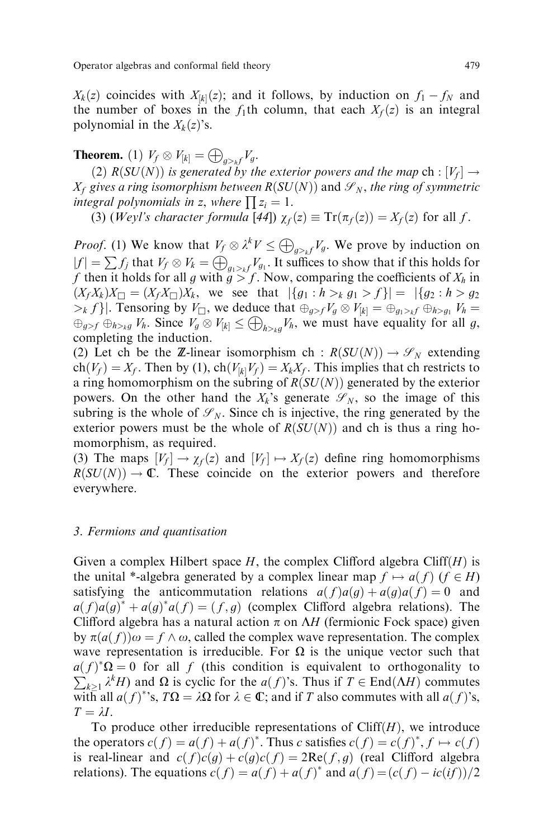$X_k(z)$  coincides with  $X_{[k]}(z)$ ; and it follows, by induction on  $f_1 - f_N$  and the number of boxes in the  $f_1$ th column, that each  $X_f(z)$  is an integral polynomial in the  $X_k(z)$ 's.

**Theorem.** (1)  $V_f \otimes V_{[k]} = \bigoplus_{g>_{h}f} V_g$ .

(2)  $R(SU(N))$  is generated by the exterior powers and the map ch :  $[V_f] \rightarrow$  $X_f$  gives a ring isomorphism between  $R(SU(N))$  and  $\mathscr{S}_N$ , the ring of symmetric integral polynomials in z, where  $\prod z_i = 1$ .

(3) (Weyl's character formula [44])  $\chi_f(z) \equiv \text{Tr}(\pi_f(z)) = X_f(z)$  for all f.

*Proof.* (1) We know that  $V_f \otimes \lambda^k V \leq \bigoplus_{g \geq k} V_g$ . We prove by induction on  $|f| = \sum f_j$  that  $V_f \otimes V_k = \bigoplus_{g_1 > k} V_{g_1}$ . It suffices to show that if this holds for f then it holds for all g with  $g > f$ . Now, comparing the coefficients of  $X_h$  in  $(X_f X_k) X_{\square} = (X_f X_{\square}) X_k$ , we see that  $|\{g_1 : h >_k g_1 >_f\}| = |\{g_2 : h > g_2\}|$  $|b_k f|$ . Tensoring by  $V_{\Box}$ , we deduce that  $\bigoplus_{g>f} V_g \otimes V_{[k]} = \bigoplus_{g_1 \geq k} f \bigoplus_{h \geq g_1} V_h =$  $\bigoplus_{g>f} \bigoplus_{h>y} V_h$ . Since  $V_g \otimes V_{[k]} \leq \bigoplus_{h>y} V_h$ , we must have equality for all g, completing the induction.

(2) Let ch be the Z-linear isomorphism ch :  $R(SU(N)) \to \mathcal{S}_N$  extending  $ch(V_f) = X_f$ . Then by (1),  $ch(V_{[k]}V_f) = X_kX_f$ . This implies that ch restricts to a ring homomorphism on the subring of  $R(SU(N))$  generated by the exterior powers. On the other hand the  $X_k$ 's generate  $\mathcal{S}_N$ , so the image of this subring is the whole of  $\mathcal{S}_N$ . Since ch is injective, the ring generated by the exterior powers must be the whole of  $R(SU(N))$  and ch is thus a ring homomorphism, as required.

(3) The maps  $[V_f] \to \chi_f(z)$  and  $[V_f] \mapsto X_f(z)$  define ring homomorphisms  $R(SU(N)) \to \mathbb{C}$ . These coincide on the exterior powers and therefore everywhere.

## 3. Fermions and quantisation

Given a complex Hilbert space  $H$ , the complex Clifford algebra Cliff $(H)$  is the unital \*-algebra generated by a complex linear map  $f \mapsto a(f)$   $(f \in H)$ satisfying the anticommutation relations  $a(f)a(g) + a(g)a(f) = 0$  and  $a(f)a(g)^* + a(g)^*a(f) = (f,g)$  (complex Clifford algebra relations). The Clifford algebra has a natural action  $\pi$  on  $\Lambda H$  (fermionic Fock space) given by  $\pi(a(f))\omega = f \wedge \omega$ , called the complex wave representation. The complex wave representation is irreducible. For  $\Omega$  is the unique vector such that  $a(f)^*\Omega = 0$  for all f (this condition is equivalent to orthogonality to  $\sum_{k\geq 1} \lambda^k H$ ) and  $\Omega$  is cyclic for the  $a(f)$ 's. Thus if  $T \in$  End $(\Lambda H)$  commutes with all  $a(f)^*$ 's,  $T\Omega = \lambda \Omega$  for  $\lambda \in \mathbb{C}$ ; and if T also commutes with all  $a(f)^*$ s,  $T = \lambda I$ .

To produce other irreducible representations of  $Cliff(H)$ , we introduce the operators  $c(f) = a(f) + a(f)^*$ . Thus c satisfies  $c(f) = c(f)^*$ ,  $f \mapsto c(f)$ is real-linear and  $c(f)c(g) + c(g)c(f) = 2Re(f, g)$  (real Clifford algebra relations). The equations  $c(f) = a(f) + a(f)^*$  and  $a(f) = (c(f) - ic(if))/2$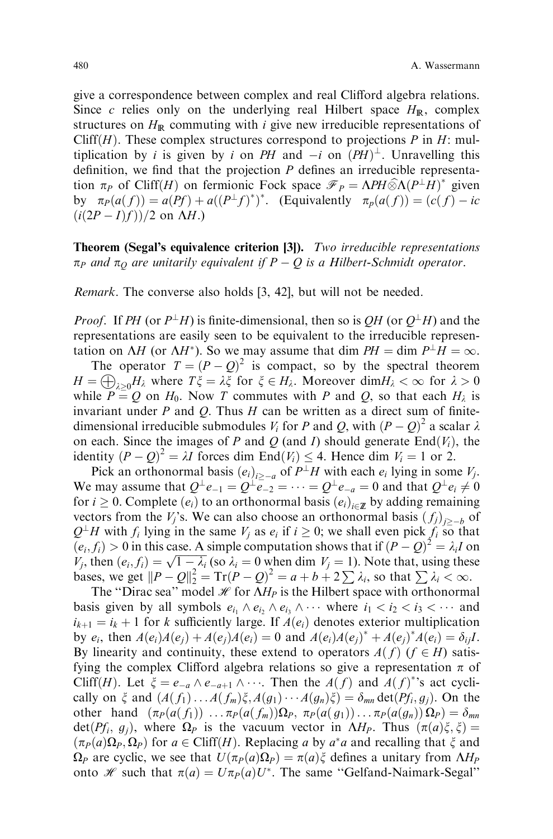give a correspondence between complex and real Clifford algebra relations. Since c relies only on the underlying real Hilbert space  $H_{\mathbb{R}}$ , complex structures on  $H_{\mathbb{R}}$  commuting with *i* give new irreducible representations of Cliff( $H$ ). These complex structures correspond to projections  $P$  in  $H$ : multiplication by *i* is given by *i* on PH and  $-i$  on  $(PH)^{\perp}$ . Unravelling this definition, we find that the projection  $P$  defines an irreducible representation  $\pi_P$  of Cliff(H) on fermionic Fock space  $\mathcal{F}_P = \Lambda PH \widehat{\otimes} \Lambda (P^{\perp}H)^*$  given<br>by  $\pi_{\pm}(g(f)) = g(Pf) + g((P^{\perp}f)^*)^*$  (Equivalently  $\pi_{\pm}(g(f)) = (g(f))$  is by  $\pi_P(a(f)) = a(Pf) + a((P^{\perp}f)^*)^*$ . (Equivalently  $\pi_P(a(f)) = (c(f) - ic$  $(i(2P - I)f)/(2 \text{ on } \Lambda H.)$ 

**Theorem (Segal's equivalence criterion [3]).** *Two irreducible representations*  $\pi_P$  and  $\pi_Q$  are unitarily equivalent if  $P - Q$  is a Hilbert-Schmidt operator.

Remark. The converse also holds [3, 42], but will not be needed.

*Proof.* If PH (or  $P^{\perp}H$ ) is finite-dimensional, then so is QH (or  $Q^{\perp}H$ ) and the representations are easily seen to be equivalent to the irreducible representation on  $\Delta H$  (or  $\Delta H^*$ ). So we may assume that dim  $PH = \dim P^{\perp}H = \infty$ .

The operator  $T = (P - Q)^2$  is compact, so by the spectral theorem  $H = \bigoplus_{\lambda > 0} H_{\lambda}$  where  $T\xi = \lambda \xi$  for  $\xi \in H_{\lambda}$ . Moreover  $\dim H_{\lambda} < \infty$  for  $\lambda > 0$ while  $P = Q$  on  $H_0$ . Now T commutes with P and Q, so that each  $H_\lambda$  is invariant under  $P$  and  $Q$ . Thus  $H$  can be written as a direct sum of finitedimensional irreducible submodules  $V_i$  for P and Q, with  $(P - Q)^2$  a scalar  $\lambda$ on each. Since the images of P and Q (and I) should generate  $\text{End}(V_i)$ , the identity  $(P - Q)^2 = \lambda I$  forces dim End $(V_i) \leq 4$ . Hence dim  $V_i = 1$  or 2.

Pick an orthonormal basis  $(e_i)_{i \geq -a}$  of  $P^{\perp}H$  with each  $e_i$  lying in some  $V_i$ . We may assume that  $Q^{\perp}e_{-1} = Q^{\perp}e_{-2} = \cdots = Q^{\perp}e_{-a} = 0$  and that  $Q^{\perp}e_i \neq 0$ for  $i \geq 0$ . Complete  $(e_i)$  to an orthonormal basis  $(e_i)_{i \in \mathcal{I}}$  by adding remaining vectors from the  $V_i$ 's. We can also choose an orthonormal basis  $(f_i)_{i\geq -h}$  of  $Q^{\perp}H$  with  $f_i$  lying in the same  $V_i$  as  $e_i$  if  $i \geq 0$ ; we shall even pick  $f_i$  so that  $(e_i, f_i) > 0$  in this case. A simple computation shows that if  $(P - Q)^2 = \lambda_i I$  on  $(v_i, j_i) > 0$  in this case. A simple computation shows that  $\mathbf{u}(r - \mathcal{Q}) = \lambda_i r$  on  $V_j$ , then  $(e_i, f_i) = \sqrt{1 - \lambda_i}$  (so  $\lambda_i = 0$  when dim  $V_j = 1$ ). Note that, using these bases, we get  $||P - Q||_2^2 = \text{Tr}(P - Q)^2 = a + b + 2 \sum_i \lambda_i$ , so that  $\sum_i \lambda_i < \infty$ .

The "Dirac sea" model  $\mathcal H$  for  $\overline{\Lambda H_P}$  is the Hilbert space with orthonormal basis given by all symbols  $e_{i_1} \wedge e_{i_2} \wedge e_{i_3} \wedge \cdots$  where  $i_1 < i_2 < i_3 < \cdots$  and  $i_{k+1} = i_k + 1$  for k sufficiently large. If  $A(e_i)$  denotes exterior multiplication by  $e_i$ , then  $A(e_i)A(e_j) + A(e_j)A(e_i) = 0$  and  $A(e_i)A(e_j)^* + A(e_j)^*A(e_i) = \delta_{ij}I$ . By linearity and continuity, these extend to operators  $A(f)$  ( $f \in H$ ) satisfying the complex Clifford algebra relations so give a representation  $\pi$  of Cliff(H). Let  $\xi = e_{-a} \wedge e_{-a+1} \wedge \cdots$ . Then the  $A(f)$  and  $A(f)^*$ 's act cyclically on  $\xi$  and  $(A(f_1)...A(f_m)\xi,A(g_1)...A(g_n)\xi)=\delta_{mn} \det(Pf_i,g_i)$ . On the other hand  $(\pi_P(a(f_1)) \dots \pi_P(a(f_m))\Omega_P, \pi_P(a(g_1)) \dots \pi_P(a(g_n))\Omega_P) = \delta_{mn}$ det( $Pf_i$ ,  $g_i$ ), where  $\Omega_P$  is the vacuum vector in  $\Lambda H_P$ . Thus  $(\pi(a)\xi,\xi)$  $(\pi_P(a)\Omega_P, \Omega_P)$  for  $a \in \text{Cliff}(H)$ . Replacing a by  $a^*a$  and recalling that  $\xi$  and  $\Omega_P$  are cyclic, we see that  $U(\pi_P(a)\Omega_P) = \pi(a)\xi$  defines a unitary from  $\Lambda H_P$ onto *H* such that  $\pi(a) = U \pi_P(a) U^*$ . The same "Gelfand-Naimark-Segal"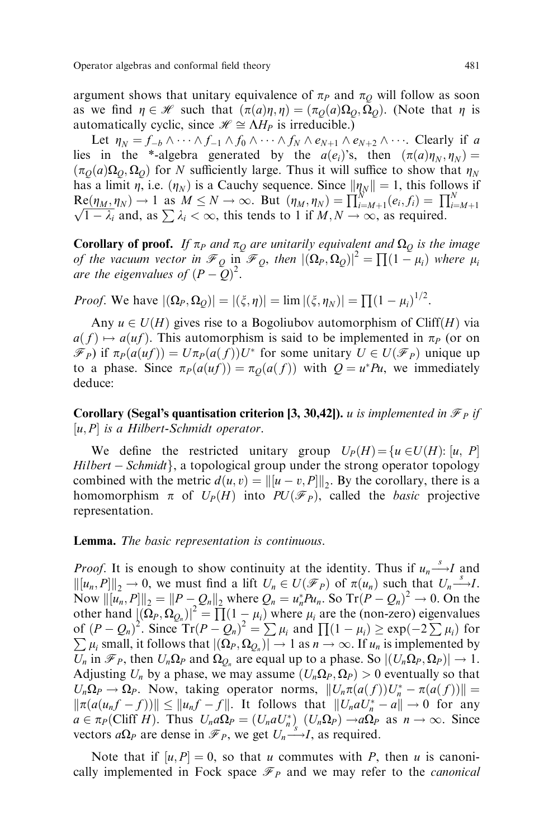argument shows that unitary equivalence of  $\pi_P$  and  $\pi_Q$  will follow as soon as we find  $\eta \in \mathcal{H}$  such that  $(\pi(a)\eta, \eta) = (\pi_O(a)\Omega_O, \Omega_O)$ . (Note that  $\eta$  is automatically cyclic, since  $\mathcal{H} \cong \Lambda H_P$  is irreducible.)

Let  $\eta_N = f_{-b} \wedge \cdots \wedge f_{-1} \wedge f_0 \wedge \cdots \wedge f_N \wedge e_{N+1} \wedge e_{N+2} \wedge \cdots$ . Clearly if a. lies in the \*-algebra generated by the  $a(e_i)$ 's, then  $(\pi(a)\eta_N, \eta_N)$  =  $(\pi_O(a)\Omega_O, \Omega_O)$  for N sufficiently large. Thus it will suffice to show that  $\eta_N$ has a limit  $\eta$ , i.e.  $(\eta_N)$  is a Cauchy sequence. Since  $\|\eta_N\| = 1$ , this follows if  $\text{Re}(\eta_M, \eta_N) \to 1$  as  $M \leq N \to \infty$ . But  $(\eta_M, \eta_N) = \prod_{i=M+1}^{N} (e_i, f_i) = \prod_{i=1}^{N}$  $\mathcal{N} = \prod_{i=M+1}^{n} (\ell_i, \ell_i, \ell_i)$ <br> $\sqrt{1-\lambda_i}$  and, as  $\sum \lambda_i < \infty$ , this tends to 1 if  $M, N \to \infty$ , as required.

**Corollary of proof.** If  $\pi_P$  and  $\pi_Q$  are unitarily equivalent and  $\Omega_Q$  is the image of the vacuum vector in  $\mathcal{F}_Q$  in  $\mathcal{F}_Q$ , then  $|(\Omega_P, \Omega_Q)|^2 = \prod (1 - \mu_i)$  where  $\mu_i$ are the eigenvalues of  $(P - Q)^2$ .

*Proof.* We have  $|(\Omega_P, \Omega_Q)| = |(\xi, \eta)| = \lim |(\xi, \eta_N)| = \prod (1 - \mu_i)^{1/2}$ .

Any  $u \in U(H)$  gives rise to a Bogoliubov automorphism of Cliff(H) via  $a(f) \mapsto a(uf)$ . This automorphism is said to be implemented in  $\pi_P$  (or on  $\mathscr{F}_P$ ) if  $\pi_P(a(uf)) = U\pi_P(a(f))U^*$  for some unitary  $U \in U(\mathscr{F}_P)$  unique up to a phase. Since  $\pi_P(a(u f)) = \pi_O(a(f))$  with  $Q = u^*Pu$ , we immediately deduce:

**Corollary (Segal's quantisation criterion [3, 30,42]).** *u is implemented in*  $\mathcal{F}_P$  *if*  $[u, P]$  is a Hilbert-Schmidt operator.

We define the restricted unitary group  $U_P(H) = \{u \in U(H): [u, P]\}$  $Hilbert - Schmidt\},\$ a topological group under the strong operator topology combined with the metric  $d(u, v) = ||[u - v, P]||_2$ . By the corollary, there is a homomorphism  $\pi$  of  $U_P(H)$  into  $PU(\mathcal{F}_P)$ , called the *basic* projective representation.

#### Lemma. The basic representation is continuous.

*Proof.* It is enough to show continuity at the identity. Thus if  $u_n \stackrel{s}{\longrightarrow} I$  and  $\left\| [u_n, P] \right\|_2 \to 0$ , we must find a lift  $U_n \in U(\mathcal{F}_P)$  of  $\pi(u_n)$  such that  $U_n \xrightarrow{s} I$ . Now  $\|\tilde{u}_n, P\|_2 = \|P - Q_n\|_2$  where  $Q_n = u_n^* P u_n$ . So  $Tr(P - Q_n)^2 \to 0$ . On the other hand  $[(\Omega_P, \Omega_{Q_n})]^2 = \prod (1 - \mu_i)$  where  $\mu_i$  are the (non-zero) eigenvalues of  $(P - Q_n)^2$ . Since  $Tr(P - Q_n)^2 = \sum \mu_i$  and  $\prod (1 - \mu_i) \geq \exp(-2 \sum \mu_i)$  for  $\sum \mu_i$  small, it follows that  $|(\Omega_P, \Omega_{Q_n})| \to 1$  as  $n \to \infty$ . If  $u_n$  is implemented by  $U_n$  in  $\mathcal{F}_P$ , then  $U_n\Omega_P$  and  $\Omega_{Q_n}$  are equal up to a phase. So  $|(U_n\Omega_P,\Omega_P)| \to 1$ . Adjusting  $U_n$  by a phase, we may assume  $(U_n\Omega_P, \Omega_P) > 0$  eventually so that  $U_n\Omega_P \to \Omega_P$ . Now, taking operator norms,  $||U_n\pi(a(f))U_n^* - \pi(a(f))|| =$  $\|\pi(a(u_n f - f))\| \le \|u_n f - f\|$ . It follows that  $\|U_n a U_n^* - a\| \to 0$  for any  $a \in \pi_P(\text{Cliff } H)$ . Thus  $U_n a \Omega_P = (U_n a U_n^*) (U_n \Omega_P) \to a \Omega_P$  as  $n \to \infty$ . Since vectors  $a\Omega_p$  are dense in  $\mathcal{F}_p$ , we get  $U_n \longrightarrow I$ , as required.

Note that if  $[u, P] = 0$ , so that u commutes with P, then u is canonically implemented in Fock space  $\mathcal{F}_P$  and we may refer to the *canonical*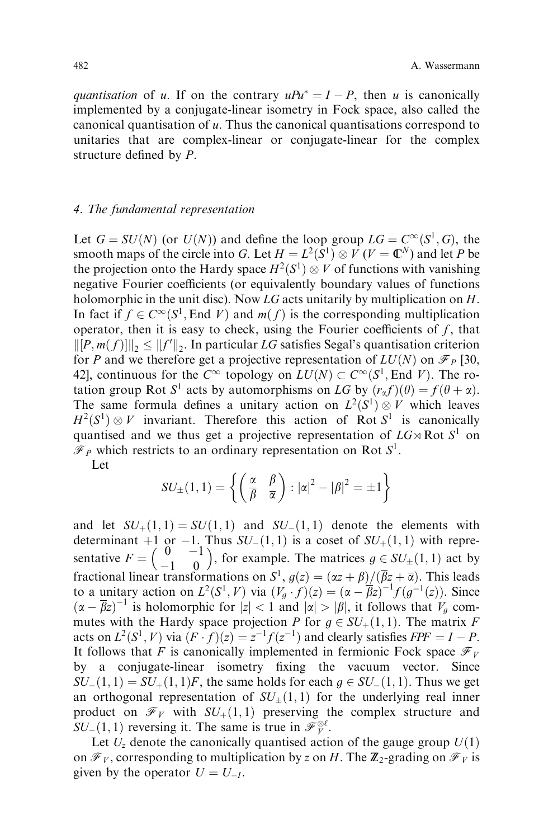quantisation of u. If on the contrary  $uPu^* = I - P$ , then u is canonically implemented by a conjugate-linear isometry in Fock space, also called the canonical quantisation of  $u$ . Thus the canonical quantisations correspond to unitaries that are complex-linear or conjugate-linear for the complex structure defined by  $P$ .

### 4. The fundamental representation

Let  $G = SU(N)$  (or  $U(N)$ ) and define the loop group  $LG = C^{\infty}(S^1, G)$ , the smooth maps of the circle into G. Let  $H = L^2(S^1) \otimes V (V = \mathbb{C}^N)$  and let P be the projection onto the Hardy space  $H^2(S^1) \otimes V$  of functions with vanishing negative Fourier coefficients (or equivalently boundary values of functions holomorphic in the unit disc). Now LG acts unitarily by multiplication on H. In fact if  $f \in C^{\infty}(S^1, \text{End } V)$  and  $m(f)$  is the corresponding multiplication operator, then it is easy to check, using the Fourier coefficients of  $f$ , that  $\left\| [P, m(f)] \right\|_2 \leq \|f'\|_2$ . In particular LG satisfies Segal's quantisation criterion for P and we therefore get a projective representation of  $LU(N)$  on  $\mathcal{F}_P$  [30, 42], continuous for the  $C^{\infty}$  topology on  $LU(N) \subset C^{\infty}(S^1, \text{End } V)$ . The rotation group Rot S<sup>1</sup> acts by automorphisms on LG by  $(r_{\alpha} f)(\theta) = f(\theta + \alpha)$ . The same formula defines a unitary action on  $L^2(S^1) \otimes V$  which leaves  $H^2(S^1) \otimes V$  invariant. Therefore this action of Rot  $S^1$  is canonically quantised and we thus get a projective representation of  $LG \rtimes Rot S^1$  on  $\mathcal{F}_P$  which restricts to an ordinary representation on Rot  $S^1$ .

Let

$$
SU_{\pm}(1,1) = \left\{ \left( \frac{\alpha}{\beta} \quad \frac{\beta}{\alpha} \right) : |\alpha|^2 - |\beta|^2 = \pm 1 \right\}
$$

and let  $SU_+(1,1) = SU(1,1)$  and  $SU_-(1,1)$  denote the elements with determinant +1 or -1. Thus  $SU_-(1,1)$  is a coset of  $SU_+(1,1)$  with representative  $F = \begin{pmatrix} 0 & -1 \\ -1 & 0 \end{pmatrix}$ , for example. The matrices  $g \in SU_{\pm}(1,1)$  act by fractional linear transformations on  $S^1$ ,  $g(z) = (\alpha z + \beta)/(\overline{\beta}z + \overline{\alpha})$ . This leads to a unitary action on  $L^2(S^1, V)$  via  $(V_g \cdot f)(z) = (\alpha - \overline{\beta}z)^{-1}f(g^{-1}(z))$ . Since  $(\alpha - \overline{\beta}z)^{-1}$  is holomorphic for  $|z| < 1$  and  $|\alpha| > |\beta|$ , it follows that  $V_g$  commutes with the Hardy space projection P for  $g \in SU_+(1,1)$ . The matrix F acts on  $L^2(S^1, V)$  via  $(F \cdot f)(z) = z^{-1} f(z^{-1})$  and clearly satisfies  $FPF = I - P$ . It follows that F is canonically implemented in fermionic Fock space  $\mathcal{F}_V$ by a conjugate-linear isometry fixing the vacuum vector. Since  $SU_-(1,1) = SU_+(1,1)F$ , the same holds for each  $g \in SU_-(1,1)$ . Thus we get an orthogonal representation of  $SU_{\pm}(1,1)$  for the underlying real inner product on  $\mathcal{F}_V$  with  $SU_+(1,1)$  preserving the complex structure and  $SU_-(1,1)$  reversing it. The same is true in  $\mathscr{F}_V^{\otimes \ell}$ .

Let  $U_z$  denote the canonically quantised action of the gauge group  $U(1)$ on  $\mathcal{F}_V$ , corresponding to multiplication by z on H. The  $\mathbb{Z}_2$ -grading on  $\mathcal{F}_V$  is given by the operator  $U = U_{-I}$ .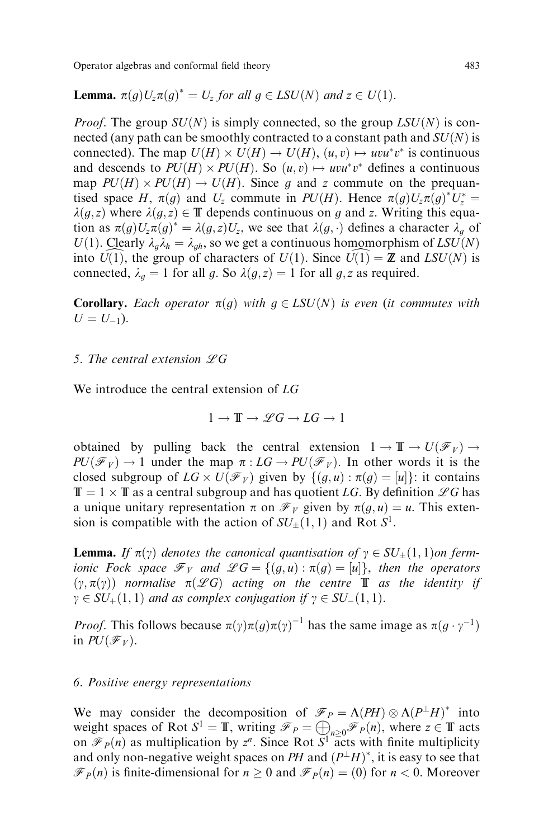Operator algebras and conformal field theory 6 and  $\frac{483}{2}$ 

**Lemma.**  $\pi(g)U_z\pi(g)^* = U_z$  for all  $g \in LSU(N)$  and  $z \in U(1)$ .

*Proof.* The group  $SU(N)$  is simply connected, so the group  $LSU(N)$  is connected (any path can be smoothly contracted to a constant path and  $SU(N)$ ) is connected). The map  $U(H) \times U(H) \rightarrow U(H)$ ,  $(u, v) \mapsto uvu^*v^*$  is continuous and descends to  $PU(H) \times PU(H)$ . So  $(u, v) \mapsto uvu^*v^*$  defines a continuous map  $PU(H) \times PU(H) \rightarrow U(H)$ . Since g and z commute on the prequantised space H,  $\pi(g)$  and  $U_z$  commute in PU(H). Hence  $\pi(g)U_z\pi(g)^*U_z^* =$  $\lambda(g,z)$  where  $\lambda(g,z) \in \mathbb{T}$  depends continuous on g and z. Writing this equation as  $\pi(g)U_z\pi(g)^* = \lambda(g,z)U_z$ , we see that  $\lambda(g, \cdot)$  defines a character  $\lambda_g$  of  $U(1)$ . Clearly  $\lambda_q \lambda_h = \lambda_{qh}$ , so we get a continuous homomorphism of  $LSU(N)$ into  $U(1)$ , the group of characters of  $U(1)$ . Since  $U(1) = \mathbb{Z}$  and  $LSU(N)$  is connected,  $\lambda_q = 1$  for all g. So  $\lambda(q, z) = 1$  for all g, z as required.

**Corollary.** Each operator  $\pi(g)$  with  $g \in LSU(N)$  is even (it commutes with  $U = U_{-1}$ ).

## 5. The central extension  $\mathscr{L}G$

We introduce the central extension of LG

$$
1\to\mathbb{T}\to\mathscr{L}G\to LG\to 1
$$

obtained by pulling back the central extension  $1 \to \mathbb{T} \to U(\mathscr{F}_V) \to$  $PU(\mathcal{F}_V) \rightarrow 1$  under the map  $\pi: LG \rightarrow PU(\mathcal{F}_V)$ . In other words it is the closed subgroup of  $LG \times U(\mathscr{F}_V)$  given by  $\{(g, u) : \pi(g) = [u]\}\$ : it contains  $\mathbb{T} = 1 \times \mathbb{T}$  as a central subgroup and has quotient LG. By definition  $\mathscr{L} G$  has a unique unitary representation  $\pi$  on  $\mathscr{F}_V$  given by  $\pi(g, u) = u$ . This extension is compatible with the action of  $SU_+(1,1)$  and Rot  $S^1$ .

**Lemma.** If  $\pi(\gamma)$  denotes the canonical quantisation of  $\gamma \in SU_+(1,1)$  on fermionic Fock space  $\mathcal{F}_V$  and  $\mathcal{L}G = \{(g, u) : \pi(g) = [u]\}$ , then the operators  $(\gamma, \pi(\gamma))$  normalise  $\pi(\mathscr{L}G)$  acting on the centre **T** as the identity if  $\gamma \in SU_+(1,1)$  and as complex conjugation if  $\gamma \in SU_-(1,1)$ .

*Proof.* This follows because  $\pi(\gamma) \pi(g) \pi(\gamma)^{-1}$  has the same image as  $\pi(g \cdot \gamma^{-1})$ in  $PU(\mathscr{F}_V)$ .

#### 6. Positive energy representations

We may consider the decomposition of  $\mathcal{F}_P = \Lambda (PH) \otimes \Lambda (P^{\perp} H)^*$  into we may consider the set of Rot  $S^1 = \mathbb{T}$ , writing  $\mathcal{F}_P = \bigoplus_{n \geq 0} \mathcal{F}_P(n)$ , where  $z \in \mathbb{T}$  acts on  $\mathcal{F}_P(n)$  as multiplication by  $z^n$ . Since Rot  $\overline{S}^1$  acts with finite multiplicity and only non-negative weight spaces on PH and  $(P^{\perp}H)^*$ , it is easy to see that  $\mathcal{F}_P(n)$  is finite-dimensional for  $n \geq 0$  and  $\mathcal{F}_P(n) = (0)$  for  $n < 0$ . Moreover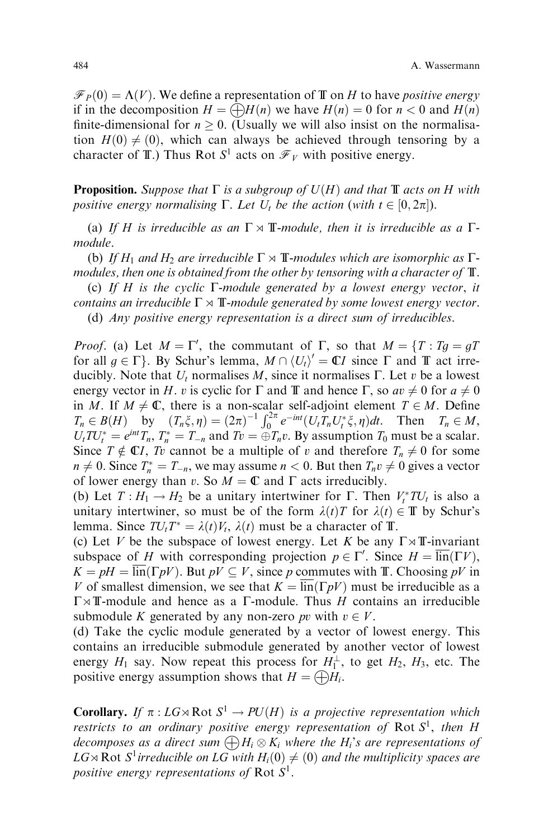$\mathcal{F}_P(0) = \Lambda(V)$ . We define a representation of T on H to have positive energy if in the decomposition  $H = \bigoplus H(n)$  we have  $H(n) = 0$  for  $n < 0$  and  $H(n)$ finite-dimensional for  $n \geq 0$ . (Usually we will also insist on the normalisation  $H(0) \neq (0)$ , which can always be achieved through tensoring by a character of T.) Thus Rot  $S^1$  acts on  $\mathcal{F}_V$  with positive energy.

**Proposition.** Suppose that  $\Gamma$  is a subgroup of  $U(H)$  and that  $\mathbb T$  acts on H with positive energy normalising  $\Gamma$ . Let  $U_t$  be the action (with  $t \in [0, 2\pi]$ ).

(a) If H is irreducible as an  $\Gamma \rtimes \mathbb{T}$ -module, then it is irreducible as a  $\Gamma$ module.

(b) If H<sub>1</sub> and H<sub>2</sub> are irreducible  $\Gamma \rtimes \mathbb{T}$ -modules which are isomorphic as  $\Gamma$ modules, then one is obtained from the other by tensoring with a character of  $\mathbb T$ .

(c) If H is the cyclic  $\Gamma$ -module generated by a lowest energy vector, it contains an irreducible  $\Gamma \rtimes \mathbb{T}$ -module generated by some lowest energy vector.

(d) Any positive energy representation is a direct sum of irreducibles.

*Proof.* (a) Let  $M = \Gamma'$ , the commutant of  $\Gamma$ , so that  $M = \{T : Tg = gT\}$ for all  $g \in \Gamma$ . By Schur's lemma,  $M \cap \langle U_t \rangle' = \mathbb{C} I$  since  $\Gamma$  and  $\mathbb T$  act irreducibly. Note that  $U_t$  normalises M, since it normalises  $\Gamma$ . Let v be a lowest energy vector in H. v is cyclic for  $\Gamma$  and  $\mathbb T$  and hence  $\Gamma$ , so  $av \neq 0$  for  $a \neq 0$ in M. If  $M \neq \mathbb{C}$ , there is a non-scalar self-adjoint element  $T \in M$ . Define  $T_n \in B(H)$  by  $(T_n \xi, \eta) = (2\pi)^{-1} \int_0^{2\pi} e^{-int} (U_t T_n U_t^* \xi, \eta) dt$ . Then  $T_n \in M$ ,  $U_t T U_t^* = e^{int} T_n$ ,  $T_n^* = T_{-n}$  and  $T_v = \bigoplus T_n v$ . By assumption  $T_0$  must be a scalar. Since  $T \notin \mathbb{C}I$ , Tv cannot be a multiple of v and therefore  $T_n \neq 0$  for some  $n \neq 0$ . Since  $T_n^* = T_{-n}$ , we may assume  $n < 0$ . But then  $T_n v \neq 0$  gives a vector of lower energy than v. So  $M = \mathbb{C}$  and  $\Gamma$  acts irreducibly.

(b) Let  $T: H_1 \to H_2$  be a unitary intertwiner for  $\Gamma$ . Then  $V_t^*TU_t$  is also a unitary intertwiner, so must be of the form  $\lambda(t)T$  for  $\lambda(t) \in \mathbb{T}$  by Schur's lemma. Since  $TU_tT^* = \lambda(t)V_t$ ,  $\lambda(t)$  must be a character of T.

(c) Let V be the subspace of lowest energy. Let K be any  $\Gamma \rtimes \mathbb{T}$ -invariant subspace of H with corresponding projection  $p \in \Gamma'$ . Since  $H = \overline{\text{lin}}(\Gamma V)$ ,  $K = pH = \overline{\text{lin}}(\Gamma pV)$ . But  $pV \subseteq V$ , since p commutes with T. Choosing pV in V of smallest dimension, we see that  $K = \overline{\text{lin}}(\Gamma pV)$  must be irreducible as a  $\Gamma \rtimes \mathbb{T}$ -module and hence as a  $\Gamma$ -module. Thus H contains an irreducible submodule K generated by any non-zero pv with  $v \in V$ .

(d) Take the cyclic module generated by a vector of lowest energy. This contains an irreducible submodule generated by another vector of lowest energy  $H_1$  say. Now repeat this process for  $H_1^{\perp}$ , to get  $H_2$ ,  $H_3$ , etc. The positive energy assumption shows that  $H = \bigoplus H_i$ .

**Corollary.** If  $\pi : LG \rtimes RotS^1 \rightarrow PU(H)$  is a projective representation which restricts to an ordinary positive energy representation of Rot  $S^1$ , then H decomposes as a direct sum  $\bigoplus H_i\otimes K_i$  where the  $H_i's are representations of$  $LG \rtimes \text{Rot } S^1$  irreducible on  $LG$  with  $H_i(0) \neq (0)$  and the multiplicity spaces are positive energy representations of Rot  $S^1$ .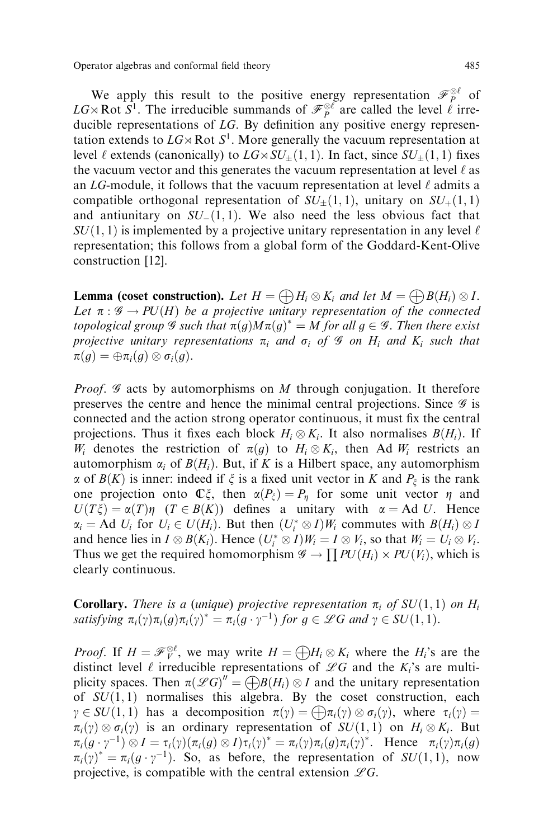Operator algebras and conformal field theory 6 and  $485$ 

We apply this result to the positive energy representation  $\mathcal{F}_P^{\otimes \ell}$  of LG $\rtimes$  Rot  $S^1$ . The irreducible summands of  $\mathcal{F}_P^{\otimes \ell}$  are called the level  $\ell$  irreducible representations of  $LG$ . By definition any positive energy representation extends to  $LG \rtimes \text{Rot } S^1$ . More generally the vacuum representation at level  $\ell$  extends (canonically) to  $LG \rtimes SU_+(1, 1)$ . In fact, since  $SU_+(1, 1)$  fixes the vacuum vector and this generates the vacuum representation at level  $\ell$  as an  $LG$ -module, it follows that the vacuum representation at level  $\ell$  admits a compatible orthogonal representation of  $SU_{\pm}(1,1)$ , unitary on  $SU_{+}(1,1)$ and antiunitary on  $SU_-(1,1)$ . We also need the less obvious fact that  $SU(1, 1)$  is implemented by a projective unitary representation in any level  $\ell$ representation; this follows from a global form of the Goddard-Kent-Olive construction [12].

**Lemma (coset construction).** Let  $H = \bigoplus H_i \otimes K_i$  and let  $M = \bigoplus B(H_i) \otimes I$ . Let  $\pi : \mathscr{G} \to PU(H)$  be a projective unitary representation of the connected topological group  $\mathscr G$  such that  $\pi(g)M\pi(g)^* = M$  for all  $g \in \mathscr G$ . Then there exist projective unitary representations  $\pi_i$  and  $\sigma_i$  of  $\mathcal G$  on  $H_i$  and  $K_i$  such that  $\pi(g) = \oplus \pi_i(g) \otimes \sigma_i(g).$ 

*Proof.*  $\mathscr G$  acts by automorphisms on M through conjugation. It therefore preserves the centre and hence the minimal central projections. Since  $\mathscr G$  is connected and the action strong operator continuous, it must fix the central projections. Thus it fixes each block  $H_i \otimes K_i$ . It also normalises  $B(H_i)$ . If  $W_i$  denotes the restriction of  $\pi(g)$  to  $H_i \otimes K_i$ , then Ad  $W_i$  restricts an automorphism  $\alpha_i$  of  $B(H_i)$ . But, if K is a Hilbert space, any automorphism  $\alpha$  of  $B(K)$  is inner: indeed if  $\xi$  is a fixed unit vector in K and  $P_{\xi}$  is the rank one projection onto  $\mathbb{C}\xi$ , then  $\alpha(P_{\xi}) = P_{\eta}$  for some unit vector  $\eta$  and  $U(T\xi) = \alpha(T)\eta$   $(T \in B(K))$  defines a unitary with  $\alpha = Ad U$ . Hence  $\alpha_i = \text{Ad } U_i$  for  $U_i \in U(H_i)$ . But then  $(U_i^* \otimes I)W_i$  commutes with  $B(H_i) \otimes I$ and hence lies in  $I \otimes B(K_i)$ . Hence  $(U_i^* \otimes I)W_i = I \otimes V_i$ , so that  $W_i = U_i \otimes V_i$ . Thus we get the required homomorphism  $\mathscr{G} \to \prod PU(H_i) \times PU(V_i)$ , which is clearly continuous.

**Corollary.** There is a (unique) projective representation  $\pi_i$  of  $SU(1,1)$  on  $H_i$ satisfying  $\pi_i(\gamma)\pi_i(g)\pi_i(\gamma)^* = \pi_i(g \cdot \gamma^{-1})$  for  $g \in \mathscr{L}G$  and  $\gamma \in SU(1, 1)$ .

*Proof.* If  $H = \mathcal{F}_V^{\otimes \ell}$ , we may write  $H = \bigoplus H_i \otimes K_i$  where the  $H_i$ 's are the distinct level  $\ell$  irreducible representations of  $\mathscr{L}G$  and the K<sub>i</sub>'s are multiplicity spaces. Then  $\pi(\mathscr{L}G)'' = \bigoplus B(H_i) \otimes I$  and the unitary representation of  $SU(1,1)$  normalises this algebra. By the coset construction, each  $\gamma \in SU(1,1)$  has a decomposition  $\pi(\gamma) = \bigoplus \pi_i(\gamma) \otimes \sigma_i(\gamma)$ , where  $\tau_i(\gamma) =$  $\pi_i(\gamma) \otimes \sigma_i(\gamma)$  is an ordinary representation of  $SU(1,1)$  on  $H_i \otimes K_i$ . But  $\pi_i(g \cdot \gamma^{-1}) \otimes I = \tau_i(\gamma)(\pi_i(g) \otimes I)\tau_i(\gamma)^* = \pi_i(\gamma)\pi_i(g)\pi_i(\gamma)^*.$  Hence  $\pi_i(\gamma)\pi_i(g)$  $\pi_i(\gamma)^* = \pi_i(g \cdot \gamma^{-1})$ . So, as before, the representation of  $SU(1,1)$ , now projective, is compatible with the central extension  $\mathscr{L}G$ .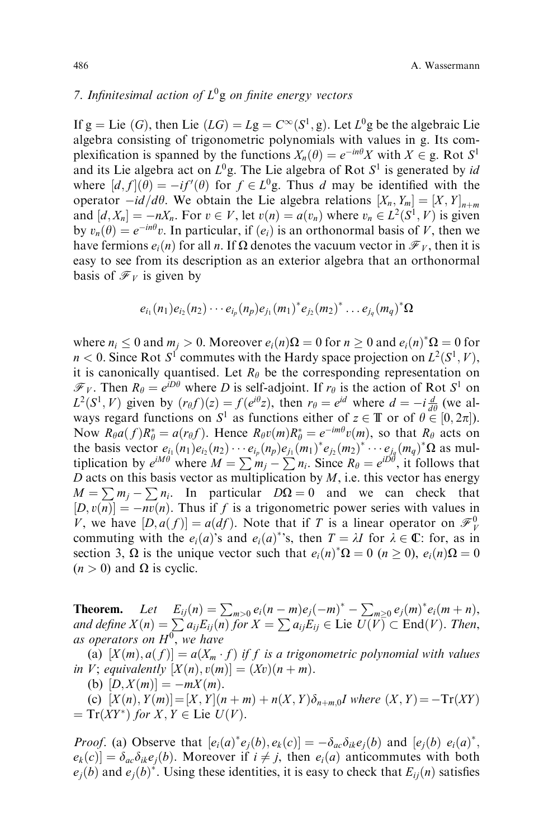# 7. Infinitesimal action of  $L^0$ g on finite energy vectors

If g = Lie (G), then Lie  $(LG) = Lg = C^{\infty}(S^1, g)$ . Let  $L^0g$  be the algebraic Lie algebra consisting of trigonometric polynomials with values in g. Its complexification is spanned by the functions  $X_n(\theta) = e^{-in\theta}X$  with  $X \in \mathfrak{g}$ . Rot  $S^1$ and its Lie algebra act on  $L^0$ g. The Lie algebra of Rot  $S^1$  is generated by id where  $[d, f](\theta) = -if'(\theta)$  for  $f \in L^0$ g. Thus d may be identified with the operator  $-id/d\theta$ . We obtain the Lie algebra relations  $[X_n, Y_m] = [X, Y]_{n+m}$ and  $[d, X_n] = -nX_n$ . For  $v \in V$ , let  $v(n) = a(v_n)$  where  $v_n \in L^2(S^1, V)$  is given by  $v_n(\theta) = e^{-in\theta}v$ . In particular, if  $(e_i)$  is an orthonormal basis of V, then we have fermions  $e_i(n)$  for all n. If  $\Omega$  denotes the vacuum vector in  $\mathcal{F}_V$ , then it is easy to see from its description as an exterior algebra that an orthonormal basis of  $\mathcal{F}_V$  is given by

$$
e_{i_1}(n_1)e_{i_2}(n_2)\cdots e_{i_p}(n_p)e_{j_1}(m_1)^*e_{j_2}(m_2)^*\ldots e_{j_q}(m_q)^*\Omega
$$

where  $n_i \leq 0$  and  $m_j > 0$ . Moreover  $e_i(n)\Omega = 0$  for  $n \geq 0$  and  $e_i(n)^*\Omega = 0$  for  $n < 0$ . Since Rot  $S^1$  commutes with the Hardy space projection on  $L^2(S^1, V)$ , it is canonically quantised. Let  $R_{\theta}$  be the corresponding representation on  $\mathcal{F}_V$ . Then  $R_\theta = e^{iD\theta}$  where D is self-adjoint. If  $r_\theta$  is the action of Rot  $S^1$  on  $L^2(S^1, V)$  given by  $(r_{\theta}f)(z) = f(e^{i\theta}z)$ , then  $r_{\theta} = e^{id}$  where  $d = -i \frac{d}{d\theta}$  (we always regard functions on  $S^1$  as functions either of  $z \in \mathbb{T}$  or of  $\theta \in [0, 2\pi]$ . Now  $R_{\theta}a(f)R_{\theta}^* = a(r_{\theta}f)$ . Hence  $R_{\theta}v(m)R_{\theta}^* = e^{-im\theta}v(m)$ , so that  $R_{\theta}$  acts on the basis vector  $e_{i_1}(n_1)e_{i_2}(n_2)\cdots e_{i_p}(n_p)e_{j_1}(m_1)^*e_{j_2}(m_2)^*\cdots e_{j_q}(m_q)^*\Omega$  as multiplication by  $e^{iM\theta}$  where  $M = \sum m_j - \sum n_i$ . Since  $R_\theta = e^{i\theta \theta}$ , it follows that D acts on this basis vector as multiplication by  $M$ , i.e. this vector has energy  $M = \sum m_i - \sum n_i$ . In particular  $D\Omega = 0$  and we can check that  $[D, v(n)] = -nv(n)$ . Thus if f is a trigonometric power series with values in V, we have  $[D, a(f)] = a(df)$ . Note that if T is a linear operator on  $\mathcal{F}_{\nu}^{0}$ commuting with the  $e_i(a)$ 's and  $e_i(a)$ <sup>\*</sup>'s, then  $T = \lambda I$  for  $\lambda \in \mathbb{C}$ : for, as in section 3,  $\Omega$  is the unique vector such that  $e_i(n)^*\Omega = 0$  ( $n \ge 0$ ),  $e_i(n)\Omega = 0$  $(n > 0)$  and  $\Omega$  is cyclic.

**Theorem.** Let  $E_{ij}(n) = \sum_{m>0} e_i(n-m)e_j(-m)^* - \sum_{m\geq 0} e_j(m)^* e_i(m+n)$ , and define  $X(n) = \sum a_{ij} E_{ij}(n)$  for  $X = \sum a_{ij} E_{ij} \in$  Lie  $U(V) \subset$  End $(V)$ . Then, as operators on  $H^0$ , we have

(a)  $[X(m), a(f)] = a(X_m \cdot f)$  if f is a trigonometric polynomial with values in V; equivalently  $[X(n), v(m)] = (Xv)(n + m)$ .

(b)  $[D, X(m)] = -mX(m)$ .

(c)  $[X(n), Y(m)] = [X, Y](n + m) + n(X, Y)\delta_{n+m,0}$  where  $(X, Y) = -\text{Tr}(XY)$  $T = \text{Tr}(XY^*)$  for  $X, Y \in \text{Lie } U(V)$ .

*Proof.* (a) Observe that  $[e_i(a)^*e_j(b), e_k(c)] = -\delta_{ac}\delta_{ik}e_j(b)$  and  $[e_j(b) e_i(a)^*$ ,  $e_k(c) = \delta_{ac}\delta_{ik}e_i(b)$ . Moreover if  $i \neq j$ , then  $e_i(a)$  anticommutes with both  $e_j(b)$  and  $e_j(b)^*$ . Using these identities, it is easy to check that  $E_{ij}(n)$  satisfies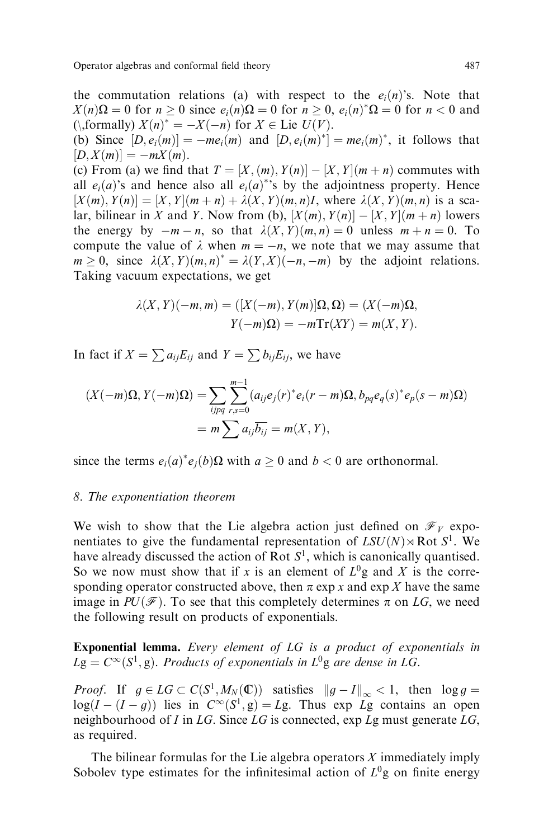Operator algebras and conformal field theory 6 and  $487$ 

the commutation relations (a) with respect to the  $e_i(n)$ 's. Note that  $X(n)\Omega = 0$  for  $n \ge 0$  since  $e_i(n)\Omega = 0$  for  $n \ge 0$ ,  $e_i(n)^*\Omega = 0$  for  $n < 0$  and (*\*,formally)  $X(n)^* = -X(-n)$  for  $X \in$  Lie  $U(V)$ .

(b) Since  $[D, e_i(m)] = -me_i(m)$  and  $[D, e_i(m)^*] = me_i(m)^*$ , it follows that  $[D, X(m)] = -mX(m).$ 

(c) From (a) we find that  $T = [X,(m), Y(n)] - [X, Y](m+n)$  commutes with all  $e_i(a)$ 's and hence also all  $e_i(a)$ <sup>\*</sup>'s by the adjointness property. Hence  $[X(m), Y(n)] = [X, Y](m+n) + \lambda(X, Y)(m, n)I$ , where  $\lambda(X, Y)(m, n)$  is a scalar, bilinear in X and Y. Now from (b),  $[X(m), Y(n)] - [X, Y](m+n)$  lowers the energy by  $-m - n$ , so that  $\lambda(X, Y)(m, n) = 0$  unless  $m + n = 0$ . To compute the value of  $\lambda$  when  $m = -n$ , we note that we may assume that  $m \geq 0$ , since  $\lambda(X, Y)(m, n)^* = \lambda(Y, X)(-n, -m)$  by the adjoint relations. Taking vacuum expectations, we get

$$
\lambda(X, Y)(-m, m) = ([X(-m), Y(m)]\Omega, \Omega) = (X(-m)\Omega,
$$
  

$$
Y(-m)\Omega) = -m \text{Tr}(XY) = m(X, Y).
$$

In fact if  $X = \sum a_{ij}E_{ij}$  and  $Y = \sum b_{ij}E_{ij}$ , we have

$$
(X(-m)\Omega, Y(-m)\Omega) = \sum_{ijpq} \sum_{r,s=0}^{m-1} (a_{ij}e_j(r)^*e_i(r-m)\Omega, b_{pq}e_q(s)^*e_p(s-m)\Omega)
$$
  
=  $m \sum a_{ij}\overline{b_{ij}} = m(X, Y),$ 

since the terms  $e_i(a)^* e_j(b) \Omega$  with  $a \ge 0$  and  $b < 0$  are orthonormal.

#### 8. The exponentiation theorem

We wish to show that the Lie algebra action just defined on  $\mathcal{F}_V$  exponentiates to give the fundamental representation of  $LSU(N) \rtimes Rot S^1$ . We have already discussed the action of Rot  $S<sup>1</sup>$ , which is canonically quantised. So we now must show that if x is an element of  $L^{0}$ g and X is the corresponding operator constructed above, then  $\pi$  exp x and exp X have the same image in  $PU(\mathcal{F})$ . To see that this completely determines  $\pi$  on LG, we need the following result on products of exponentials.

Exponential lemma. Every element of LG is a product of exponentials in  $Lg = C^{\infty}(S^1, g)$ . Products of exponentials in  $L^0g$  are dense in LG.

*Proof.* If  $g \in LG \subset C(S^1, M_N(\mathbb{C}))$  satisfies  $||g - I||_{\infty} < 1$ , then  $\log g =$  $log(I - (I - g))$  lies in  $C^{\infty}(S^1, g) = Lg$ . Thus exp  $Lg$  contains an open neighbourhood of I in  $LG$ . Since  $LG$  is connected,  $exp Lg$  must generate  $LG$ , as required.

The bilinear formulas for the Lie algebra operators  $X$  immediately imply Sobolev type estimates for the infinitesimal action of  $L^0$ g on finite energy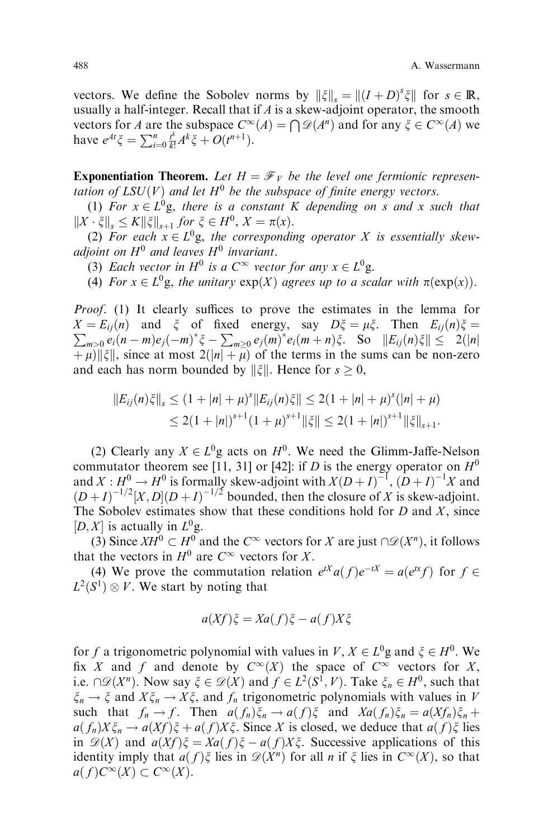vectors. We define the Sobolev norms by  $\|\xi\|_{s} = \|(I+D)^{s}\xi\|$  for  $s \in \mathbb{R}$ , usually a half-integer. Recall that if  $A$  is a skew-adjoint operator, the smooth vectors for A are the subspace  $C^{\infty}(A) = \bigcap \mathscr{D}(A^n)$  and for any  $\xi \in C^{\infty}(A)$  we have  $e^{At} \xi = \sum_{i=0}^{n} \frac{t^k}{k!} A^k \xi + O(t^{n+1}).$ 

**Exponentiation Theorem.** Let  $H = \mathcal{F}_V$  be the level one fermionic representation of  $LSU(V)$  and let  $H^0$  be the subspace of finite energy vectors.

(1) For  $x \in L^0$ g, there is a constant K depending on s and x such that  $||X \cdot \xi||_{\mathcal{S}} \leq K||\xi||_{\mathcal{S}+1}$  for  $\xi \in H^0$ ,  $X = \pi(x)$ .

(2) For each  $x \in L^{0}g$ , the corresponding operator X is essentially skewadjoint on  $H^0$  and leaves  $H^0$  invariant.

(3) Each vector in  $H^0$  is a  $C^{\infty}$  vector for any  $x \in L^0$ g.

(4) For  $x \in L^0$ g, the unitary  $exp(X)$  agrees up to a scalar with  $\pi(exp(x))$ .

Proof. (1) It clearly suffices to prove the estimates in the lemma for  $\sum_{m>0} e_i(n-m)e_j(-m)^* \xi - \sum_{m\geq 0} e_j(m)^* e_i(m+n)\xi$ . So  $||E_{ij}(n)\xi|| \leq 2(|n|)$  $X = E_{ij}(n)$  and  $\xi$  of fixed energy, say  $D\xi = \mu \xi$ . Then  $E_{ij}(n)\xi =$  $\|\hat{\mu}\|$ , since at most  $2(|n| + \overline{\mu})$  of the terms in the sums can be non-zero and each has norm bounded by  $\|\xi\|$ . Hence for  $s \geq 0$ ,

$$
||E_{ij}(n)\xi||_s \le (1+|n|+\mu)^s ||E_{ij}(n)\xi|| \le 2(1+|n|+\mu)^s (|n|+\mu)
$$
  
\n
$$
\le 2(1+|n|)^{s+1} (1+\mu)^{s+1} ||\xi|| \le 2(1+|n|)^{s+1} ||\xi||_{s+1}.
$$

(2) Clearly any  $X \in L^0$ g acts on  $H^0$ . We need the Glimm-Jaffe-Nelson commutator theorem see [11, 31] or [42]: if D is the energy operator on  $H^0$ and  $X: H^0 \to H^0$  is formally skew-adjoint with  $X(D+I)^{-1}$ ,  $(D+I)^{-1}X$  and  $(D+I)^{-1/2}[X,D](D+I)^{-1/2}$  bounded, then the closure of X is skew-adjoint. The Sobolev estimates show that these conditions hold for  $D$  and  $X$ , since  $[D, X]$  is actually in  $L^0$ g.

(3) Since  $XH^0 \subset H^0$  and the  $C^{\infty}$  vectors for X are just  $\bigcap \mathscr{D}(X^n)$ , it follows that the vectors in  $H^0$  are  $C^{\infty}$  vectors for X.

(4) We prove the commutation relation  $e^{tX}a(f)e^{-tX} = a(e^{tx}f)$  for  $f \in$  $L^2(S^1) \otimes V$ . We start by noting that

$$
a(Xf)\xi = Xa(f)\xi - a(f)X\xi
$$

for f a trigonometric polynomial with values in  $V, X \in L^0$ g and  $\xi \in H^0$ . We fix X and f and denote by  $C^{\infty}(X)$  the space of  $C^{\infty}$  vectors for X, i.e.  $\cap \mathcal{D}(X^n)$ . Now say  $\xi \in \mathcal{D}(X)$  and  $f \in L^2(S^1, V)$ . Take  $\xi_n \in H^0$ , such that  $\xi_n \to \xi$  and  $X\xi_n \to X\xi$ , and  $f_n$  trigonometric polynomials with values in V such that  $f_n \to f$ . Then  $a(f_n)\xi_n \to a(f)\xi$  and  $Xa(f_n)\xi_n = a(Xf_n)\xi_n + a(Yf_n)\xi_n$  $a(f_n)X\xi_n \to a(Xf)\xi + a(f)X\xi$ . Since X is closed, we deduce that  $a(f)\xi$  lies in  $\mathscr{D}(X)$  and  $a(Xf)\xi = Xa(f)\xi - a(f)X\xi$ . Successive applications of this identity imply that  $a(f)\xi$  lies in  $\mathscr{D}(X^n)$  for all n if  $\xi$  lies in  $C^{\infty}(X)$ , so that  $a(f)C^{\infty}(X) \subset C^{\infty}(X)$ .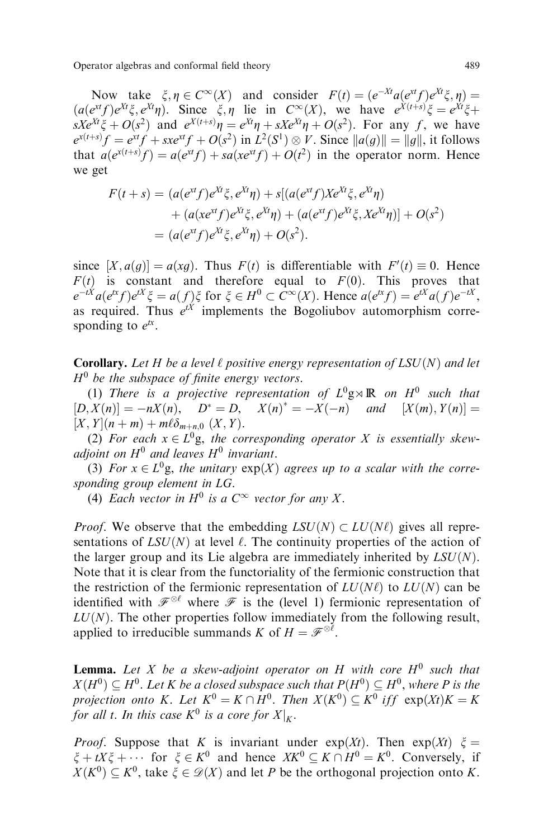Operator algebras and conformal field theory 489

Now take  $\xi, \eta \in C^{\infty}(X)$  and consider  $F(t) = (e^{-Xt}a(e^{xt}f)e^{Xt}\xi, \eta) =$  $(a(e^{xt} f)e^{Xt}\xi, e^{Xt}\eta)$ . Since  $\xi, \eta$  lie in  $C^{\infty}(X)$ , we have  $e^{X(t+s)}\xi = e^{Xt}\xi +$  $sXe^{Xt}\xi + O(s^2)$  and  $e^{X(t+s)}\eta = e^{Xt}\eta + sXe^{Xt}\eta + O(s^2)$ . For any f, we have  $e^{x(t+s)}f = e^{xt}f + sxe^{xt}f + O(s^2)$  in  $L^2(S^1) \otimes V$ . Since  $||a(g)|| = ||g||$ , it follows that  $a(e^{x(t+s)}f) = a(e^{xt}f) + sa(xe^{xt}f) + O(t^2)$  in the operator norm. Hence we get

$$
F(t+s) = (a(e^{xt}f)e^{Xt}\xi, e^{Xt}\eta) + s[(a(e^{xt}f)Xe^{Xt}\xi, e^{Xt}\eta) + (a(xe^{xt}f)e^{Xt}\xi, e^{Xt}\eta) + (a(e^{xt}f)e^{Xt}\xi, Xe^{Xt}\eta)] + O(s^2) = (a(e^{xt}f)e^{Xt}\xi, e^{Xt}\eta) + O(s^2).
$$

since  $[X, a(g)] = a(xg)$ . Thus  $F(t)$  is differentiable with  $F'(t) \equiv 0$ . Hence  $F(t)$  is constant and therefore equal to  $F(0)$ . This proves that  $e^{-tX}a(e^{tx}f)e^{tX}\xi = a(f)\xi$  for  $\xi \in H^0 \subset C^{\infty}(X)$ . Hence  $a(e^{tx}f) = e^{tX}a(f)e^{-tX}$ , as required. Thus  $e^{tX}$  implements the Bogoliubov automorphism corresponding to  $e^{tx}$ .

**Corollary.** Let H be a level  $\ell$  positive energy representation of LSU(N) and let  $H^0$  be the subspace of finite energy vectors.

(1) There is a projective representation of  $L^0$ g $\rtimes \mathbb{R}$  on  $H^0$  such that  $[D, X(n)] = -nX(n), \quad D^* = D, \quad X(n)^* = -X(-n) \quad and \quad [X(m), Y(n)] =$  $[X, Y](n + m) + m\ell\delta_{m+n,0} (X, Y)$ .

(2) For each  $x \in L^0$ g, the corresponding operator X is essentially skewadjoint on  $H^0$  and leaves  $H^0$  invariant.

(3) For  $x \in L^0$ g, the unitary  $exp(X)$  agrees up to a scalar with the corresponding group element in LG.

(4) Each vector in  $H^0$  is a  $C^{\infty}$  vector for any X.

*Proof.* We observe that the embedding  $LSU(N) \subset LU(N\ell)$  gives all representations of  $LSU(N)$  at level  $\ell$ . The continuity properties of the action of the larger group and its Lie algebra are immediately inherited by  $LSU(N)$ . Note that it is clear from the functoriality of the fermionic construction that the restriction of the fermionic representation of  $LU(N\ell)$  to  $LU(N)$  can be identified with  $\mathscr{F}^{\otimes \ell}$  where  $\mathscr{F}$  is the (level 1) fermionic representation of  $LU(N)$ . The other properties follow immediately from the following result, applied to irreducible summands K of  $H = \mathscr{F}^{\otimes \ell}$ .

**Lemma.** Let X be a skew-adjoint operator on H with core  $H^0$  such that  $X(H^0) \subset H^0$ . Let K be a closed subspace such that  $P(H^0) \subset H^0$ , where P is the projection onto K. Let  $K^0 = K \cap \overline{H}^0$ . Then  $X(K^0) \subseteq K^0$  iff  $\exp(Xt)K = K$ for all t. In this case  $K^0$  is a core for  $X\vert_K.$ 

*Proof.* Suppose that K is invariant under  $exp(Xt)$ . Then  $exp(Xt) \xi =$  $\xi + tX\xi + \cdots$  for  $\xi \in K^0$  and hence  $XK^0 \subset K \cap H^0 = K^0$ . Conversely, if  $X(K^0) \subset K^0$ , take  $\xi \in \mathcal{D}(X)$  and let P be the orthogonal projection onto K.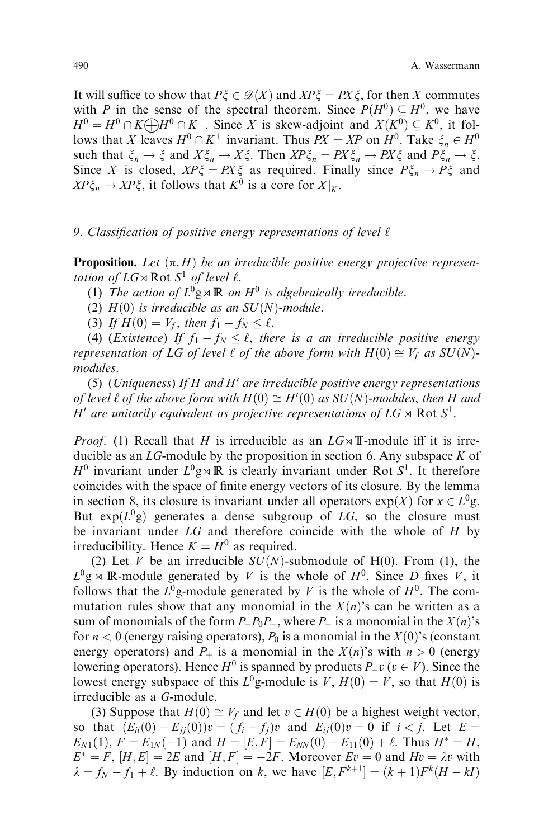It will suffice to show that  $P\xi \in \mathcal{D}(X)$  and  $XP\xi = PX\xi$ , for then X commutes with P in the sense of the spectral theorem. Since  $P(H^0) \subset H^0$ , we have  $H^0 = H^0 \cap K \bigoplus H^0 \cap K^{\perp}$ . Since X is skew-adjoint and  $X(K^0) \subseteq K^0$ , it follows that X leaves  $H^0 \cap K^{\perp}$  invariant. Thus  $PX = XP$  on  $H^0$ . Take  $\xi_n \in H^0$ such that  $\xi_n \to \xi$  and  $X\xi_n \to X\xi$ . Then  $XP\xi_n = PX\xi_n \to PX\xi$  and  $P\xi_n \to \xi$ . Since X is closed,  $XP\xi = PX\xi$  as required. Finally since  $P\xi_n \to P\xi$  and  $XP\xi_n \to XP\xi$ , it follows that  $K^0$  is a core for  $X|_K$ .

#### 9. Classification of positive energy representations of level  $\ell$

**Proposition.** Let  $(\pi, H)$  be an irreducible positive energy projective representation of  $LG \rtimes \text{Rot } S^1$  of level  $\ell$ .

(1) The action of  $L^0$ g $\times \mathbb{R}$  on  $H^0$  is algebraically irreducible.

(2)  $H(0)$  is irreducible as an SU(N)-module.

(3) If  $H(0) = V_f$ , then  $f_1 - f_N \leq \ell$ .

(4) (*Existence*) If  $f_1 - f_N \leq \ell$ , there is a an irreducible positive energy representation of LG of level  $\ell$  of the above form with  $H(0) \cong V_f$  as  $SU(N)$ modules.

(5) (Uniqueness) If H and H' are irreducible positive energy representations of level  $\ell$  of the above form with  $H(0) \cong H'(0)$  as  $SU(N)$ -modules, then H and H' are unitarily equivalent as projective representations of  $LG \rtimes Rot S^1$ .

*Proof.* (1) Recall that H is irreducible as an  $LG \rtimes T$ -module iff it is irreducible as an  $LG$ -module by the proposition in section 6. Any subspace  $K$  of  $H^0$  invariant under  $L^0$ g $\times \mathbb{R}$  is clearly invariant under Rot  $S^1$ . It therefore coincides with the space of finite energy vectors of its closure. By the lemma in section 8, its closure is invariant under all operators  $exp(X)$  for  $x \in L^0 g$ . But  $\exp(L^{0}g)$  generates a dense subgroup of LG, so the closure must be invariant under  $LG$  and therefore coincide with the whole of  $H$  by irreducibility. Hence  $K = H^0$  as required.

(2) Let V be an irreducible  $SU(N)$ -submodule of H(0). From (1), the  $L^0$ g  $\times$  R-module generated by V is the whole of  $H^0$ . Since D fixes V, it follows that the  $L^0$ g-module generated by V is the whole of  $H^0$ . The commutation rules show that any monomial in the  $X(n)$ 's can be written as a sum of monomials of the form  $P_{-}P_{0}P_{+}$ , where  $P_{-}$  is a monomial in the  $X(n)$ 's for  $n < 0$  (energy raising operators),  $P_0$  is a monomial in the  $X(0)$ 's (constant energy operators) and  $P_+$  is a monomial in the  $X(n)$ 's with  $n > 0$  (energy lowering operators). Hence  $H^0$  is spanned by products  $P_v(v \in V)$ . Since the lowest energy subspace of this  $L^0$ g-module is V,  $H(0) = V$ , so that  $H(0)$  is irreducible as a G-module.

(3) Suppose that  $H(0) \cong V_f$  and let  $v \in H(0)$  be a highest weight vector, so that  $(E_{ii}(0) - E_{jj}(0))v = (f_i - f_j)v$  and  $E_{ij}(0)v = 0$  if  $i < j$ . Let  $E =$  $E_{N1}(1)$ ,  $F = E_{1N}(-1)$  and  $H = [E, F] = E_{NN}(0) - E_{11}(0) + \ell$ . Thus  $H^* = H$ ,  $E^* = F$ ,  $[H, E] = 2E$  and  $[H, F] = -2F$ . Moreover  $Ev = 0$  and  $Hv = \lambda v$  with  $\lambda = f_N - f_1 + \ell$ . By induction on k, we have  $[E, F^{k+1}] = (k+1)F^{k}(H - kI)$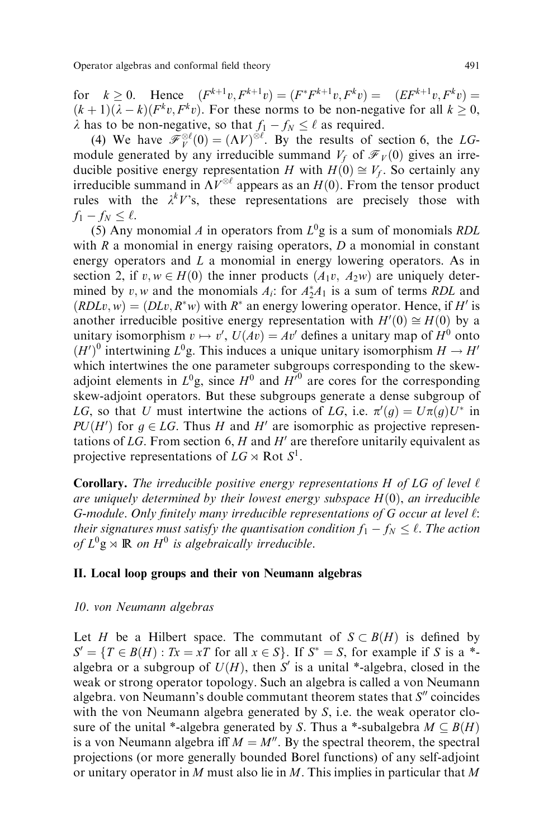for  $k > 0$ . Hence  $(F^{k+1}v, F^{k+1}v) = (F^*F^{k+1}v, F^k v) = (EF^{k+1}v, F^k v) =$  $(k + 1)(\lambda - k)(F^k v, F^k v)$ . For these norms to be non-negative for all  $k > 0$ ,  $\lambda$  has to be non-negative, so that  $f_1 - f_N \leq \ell$  as required.

(4) We have  $\mathscr{F}_{V}^{\otimes \ell}(0) = (\Lambda V)^{\otimes \ell}$ . By the results of section 6, the LGmodule generated by any irreducible summand  $V_f$  of  $\mathcal{F}_V(0)$  gives an irreducible positive energy representation H with  $H(0) \cong V_f$ . So certainly any irreducible summand in  $\Lambda V^{\otimes \ell}$  appears as an  $H(0)$ . From the tensor product rules with the  $\lambda^k V$ 's, these representations are precisely those with  $f_1 - f_N \leq \ell$ .

(5) Any monomial A in operators from  $L^0$ g is a sum of monomials RDL with  $R$  a monomial in energy raising operators,  $D$  a monomial in constant energy operators and L a monomial in energy lowering operators. As in section 2, if  $v, w \in H(0)$  the inner products  $(A_1v, A_2w)$  are uniquely determined by v, w and the monomials  $A_i$ : for  $A_2^*A_1$  is a sum of terms RDL and  $(RDLv, w) = (DLv, R^*w)$  with  $R^*$  an energy lowering operator. Hence, if H' is another irreducible positive energy representation with  $H'(0) \cong H(0)$  by a unitary isomorphism  $v \mapsto v'$ ,  $U(Av) = Av'$  defines a unitary map of  $H^0$  onto  $(H')^0$  intertwining  $L^0$ g. This induces a unique unitary isomorphism  $H \to H'$ which intertwines the one parameter subgroups corresponding to the skewadjoint elements in  $L^0$ g, since  $H^0$  and  $H^{\prime 0}$  are cores for the corresponding skew-adjoint operators. But these subgroups generate a dense subgroup of LG, so that U must intertwine the actions of LG, i.e.  $\pi'(g) = U\pi(g)U^*$  in  $PU(H')$  for  $g \in LG$ . Thus H and H' are isomorphic as projective representations of LG. From section 6, H and  $H'$  are therefore unitarily equivalent as projective representations of  $LG \rtimes \text{Rot } S^1$ .

**Corollary.** The irreducible positive energy representations H of LG of level  $\ell$ are uniquely determined by their lowest energy subspace  $H(0)$ , an irreducible G-module. Only finitely many irreducible representations of G occur at level  $\ell$ : their signatures must satisfy the quantisation condition  $f_1 - f_N \leq \ell$ . The action of  $L^0$ g  $\times \mathbb{R}$  on  $H^0$  is algebraically irreducible.

#### II. Local loop groups and their von Neumann algebras

### 10. von Neumann algebras

Let H be a Hilbert space. The commutant of  $S \subset B(H)$  is defined by  $S' = \{T \in B(H) : Tx = xT \text{ for all } x \in S\}.$  If  $S^* = S$ , for example if S is a  $*$ algebra or a subgroup of  $U(H)$ , then S' is a unital \*-algebra, closed in the weak or strong operator topology. Such an algebra is called a von Neumann algebra. von Neumann's double commutant theorem states that  $S''$  coincides with the von Neumann algebra generated by  $S$ , i.e. the weak operator closure of the unital \*-algebra generated by S. Thus a \*-subalgebra  $M \subseteq B(H)$ is a von Neumann algebra if  $M = M''$ . By the spectral theorem, the spectral projections (or more generally bounded Borel functions) of any self-adjoint or unitary operator in M must also lie in M. This implies in particular that M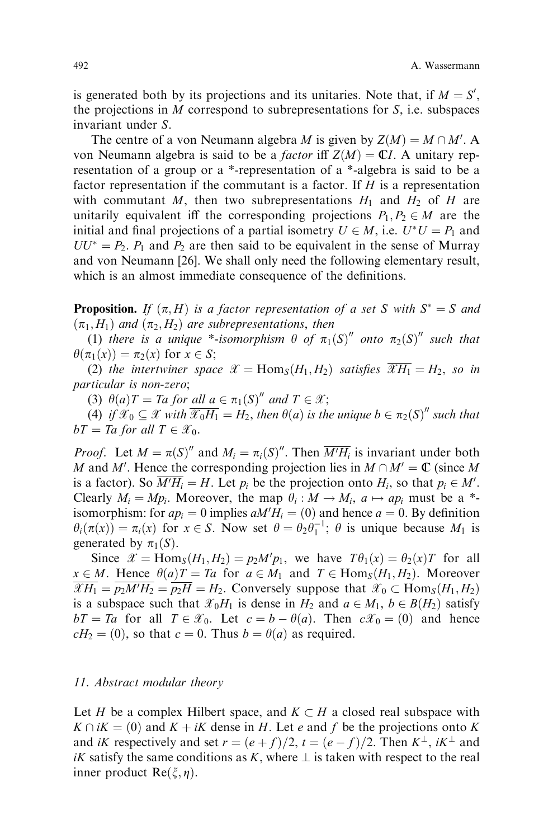is generated both by its projections and its unitaries. Note that, if  $M = S'$ , the projections in M correspond to subrepresentations for  $S$ , i.e. subspaces invariant under S.

The centre of a von Neumann algebra *M* is given by  $Z(M) = M \cap M'$ . A von Neumann algebra is said to be a *factor* iff  $Z(M) = \mathbb{C}I$ . A unitary representation of a group or a \*-representation of a \*-algebra is said to be a factor representation if the commutant is a factor. If  $H$  is a representation with commutant M, then two subrepresentations  $H_1$  and  $H_2$  of H are unitarily equivalent iff the corresponding projections  $P_1, P_2 \in M$  are the initial and final projections of a partial isometry  $U \in M$ , i.e.  $U^*U = P_1$  and  $UU^* = P_2$ .  $P_1$  and  $P_2$  are then said to be equivalent in the sense of Murray and von Neumann [26]. We shall only need the following elementary result, which is an almost immediate consequence of the definitions.

**Proposition.** If  $(\pi, H)$  is a factor representation of a set S with  $S^* = S$  and  $(\pi_1, H_1)$  and  $(\pi_2, H_2)$  are subrepresentations, then

(1) there is a unique \*-isomorphism  $\theta$  of  $\pi_1(S)''$  onto  $\pi_2(S)''$  such that  $\theta(\pi_1(x)) = \pi_2(x)$  for  $x \in S$ ;

(2) the intertwiner space  $\mathscr{X} = \text{Hom}_{S}(H_1, H_2)$  satisfies  $\overline{\mathscr{X}H_1} = H_2$ , so in particular is non-zero;

(3)  $\theta(a)T = Ta$  for all  $a \in \pi_1(S)''$  and  $T \in \mathcal{X}$ ;

(4) if  $\mathscr{X}_0 \subseteq \mathscr{X}$  with  $\overline{\mathscr{X}_0 H_1} = H_2$ , then  $\theta(a)$  is the unique  $b \in \pi_2(S)''$  such that  $bT = Ta$  for all  $T \in \mathcal{X}_0$ .

*Proof.* Let  $M = \pi(S)''$  and  $M_i = \pi_i(S)''$ . Then  $\overline{M'H_i}$  is invariant under both M and M'. Hence the corresponding projection lies in  $M \cap M' = \mathbb{C}$  (since M is a factor). So  $\overline{M'H_i} = H$ . Let  $p_i$  be the projection onto  $H_i$ , so that  $p_i \in M'.$ Clearly  $M_i = Mp_i$ . Moreover, the map  $\theta_i : M \to M_i$ ,  $a \mapsto ap_i$  must be a \*isomorphism: for  $ap_i = 0$  implies  $aM'H_i = (0)$  and hence  $a = 0$ . By definition  $\theta_i(\pi(x)) = \pi_i(x)$  for  $x \in S$ . Now set  $\theta = \theta_2 \theta_1^{-1}$ ;  $\theta$  is unique because  $M_1$  is generated by  $\pi_1(S)$ .

Since  $\mathcal{X} = \text{Hom}_{S}(H_1, H_2) = p_2 M' p_1$ , we have  $T \theta_1(x) = \theta_2(x) T$  for all  $x \in M$ . Hence  $\theta(a)T = Ta$  for  $a \in M_1$  and  $T \in \text{Hom}_S(H_1, H_2)$ . Moreover  $\overline{\mathscr{X}H_1} = \overline{p_2M'H_2} = \overline{p_2H} = H_2$ . Conversely suppose that  $\mathscr{X}_0 \subset \text{Hom}_S(H_1, H_2)$ is a subspace such that  $\mathscr{X}_0 H_1$  is dense in  $H_2$  and  $a \in M_1$ ,  $b \in B(H_2)$  satisfy  $bT = Ta$  for all  $T \in \mathcal{X}_0$ . Let  $c = b - \theta(a)$ . Then  $c\mathcal{X}_0 = (0)$  and hence  $cH_2 = (0)$ , so that  $c = 0$ . Thus  $b = \theta(a)$  as required.

#### 11. Abstract modular theory

Let H be a complex Hilbert space, and  $K \subset H$  a closed real subspace with  $K \cap iK = (0)$  and  $K + iK$  dense in H. Let e and f be the projections onto K and *iK* respectively and set  $r = (e + f)/2$ ,  $t = (e - f)/2$ . Then  $K^{\perp}$ ,  $iK^{\perp}$  and iK satisfy the same conditions as K, where  $\perp$  is taken with respect to the real inner product  $\text{Re}(\xi, \eta)$ .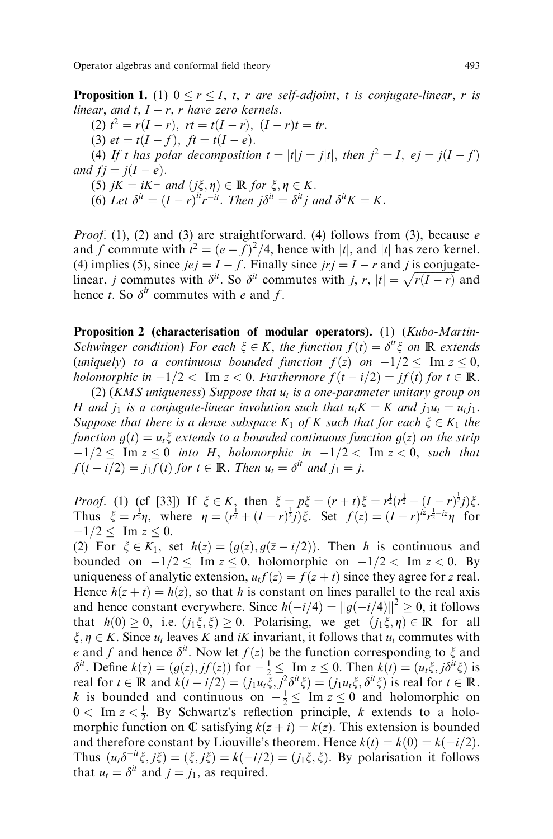Operator algebras and conformal field theory 493

**Proposition 1.** (1)  $0 \le r \le I$ , t, r are self-adjoint, t is conjugate-linear, r is linear, and t,  $I - r$ , r have zero kernels.

(2)  $t^2 = r(I - r)$ ,  $rt = t(I - r)$ ,  $(I - r)t = tr$ .

(3)  $et = t(I - f), \text{ } ft = t(I - e).$ 

(4) If t has polar decomposition  $t = |t|j = j|t|$ , then  $j^2 = I$ ,  $ej = j(I - f)$ and  $fj = j(I - e)$ .

(5)  $jK = iK^{\perp}$  and  $(j\xi, \eta) \in \mathbb{R}$  for  $\xi, \eta \in K$ .

(6) Let  $\delta^{it} = (I - r)^{it} r^{-it}$ . Then  $j \delta^{it} = \delta^{it} j$  and  $\delta^{it} K = K$ .

*Proof.* (1), (2) and (3) are straightforward. (4) follows from (3), because  $e$ and f commute with  $t^2 = (e - f)^2/4$ , hence with |t|, and |t| has zero kernel. (4) implies (5), since  $jej = I - f$ . Finally since  $jrij = I - r$  and j is conjugatelinear, j commutes with  $\delta^{it}$ . So  $\delta^{it}$  commutes with j, r,  $|t| = \sqrt{r(I-r)}$  and hence t. So  $\delta^{it}$  commutes with e and f.

Proposition 2 (characterisation of modular operators). (1) (Kubo-Martin-Schwinger condition) For each  $\xi \in K$ , the function  $f(t) = \delta^{it} \xi$  on R extends (uniquely) to a continuous bounded function  $f(z)$  on  $-1/2 \leq \text{Im } z \leq 0$ , holomorphic in  $-1/2 < \text{Im } z < 0$ . Furthermore  $f(t - i/2) = if(t)$  for  $t \in \mathbb{R}$ .

(2) (KMS uniqueness) Suppose that  $u_t$  is a one-parameter unitary group on H and  $j_1$  is a conjugate-linear involution such that  $u_tK = K$  and  $j_1u_t = u_tj_1$ . Suppose that there is a dense subspace  $K_1$  of K such that for each  $\xi \in K_1$  the function  $g(t) = u_t \xi$  extends to a bounded continuous function  $g(z)$  on the strip  $j-1/2 \leq \overline{Im} z \leq 0$  into H, holomorphic in  $-1/2 < Im z < 0$ , such that  $f(t-i/2) = j_1 f(t)$  for  $t \in \mathbb{R}$ . Then  $u_t = \delta^{it}$  and  $j_1 = j$ .

*Proof.* (1) (cf [33]) If  $\xi \in K$ , then  $\xi = p\xi = (r+t)\xi = r^{\frac{1}{2}}(r^{\frac{1}{2}} + (I-r)^{\frac{1}{2}}j)\xi$ . Thus  $\xi = r^{\frac{1}{2}}\eta$ , where  $\eta = (r^{\frac{1}{2}} + (I - r)^{\frac{1}{2}}j)\xi$ . Set  $f(z) = (I - r)^{\frac{1}{2}}r^{\frac{1}{2} - i z}\eta$  for  $-1/2 \leq \text{Im } z \leq 0.$ 

(2) For  $\xi \in K_1$ , set  $h(z) = (g(z), g(\overline{z} - i/2))$ . Then h is continuous and bounded on  $-1/2 \leq \text{Im } z \leq 0$ , holomorphic on  $-1/2 < \text{Im } z < 0$ . By uniqueness of analytic extension,  $u_t f(z) = f(z + t)$  since they agree for z real. Hence  $h(z + t) = h(z)$ , so that h is constant on lines parallel to the real axis and hence constant everywhere. Since  $h(-i/4) = ||g(-i/4)||^2 \ge 0$ , it follows that  $h(0) \geq 0$ , i.e.  $(j_1\xi, \xi) \geq 0$ . Polarising, we get  $(j_1\xi, \eta) \in \mathbb{R}$  for all  $\xi, \eta \in K$ . Since  $u_t$  leaves K and iK invariant, it follows that  $u_t$  commutes with e and f and hence  $\delta^{it}$ . Now let  $f(z)$  be the function corresponding to  $\xi$  and  $\delta^{it}$ . Define  $k(z) = (g(z), jf(z))$  for  $-\frac{1}{2} \le \lim_{z \to z} z \le 0$ . Then  $k(t) = (u_t \xi, j\delta^{it} \xi)$  is real for  $t \in \mathbb{R}$  and  $k(t - i/2) = (j_1u_t\xi, j^2\delta^{it}\xi) = (j_1u_t\xi, \delta^{it}\xi)$  is real for  $t \in \mathbb{R}$ . k is bounded and continuous on  $-\frac{1}{2} \leq \text{Im } z \leq 0$  and holomorphic on  $0 < \text{Im } z < \frac{1}{2}$ . By Schwartz's reflection principle, k extends to a holomorphic function on  $\mathbb C$  satisfying  $k(z + i) = k(z)$ . This extension is bounded and therefore constant by Liouville's theorem. Hence  $k(t) = k(0) = k(-i/2)$ . Thus  $(u_t \delta^{-it} \xi, j\xi) = (\xi, j\xi) = k(-i/2) = (j_1 \xi, \xi)$ . By polarisation it follows that  $u_t = \delta^{it}$  and  $j = j_1$ , as required.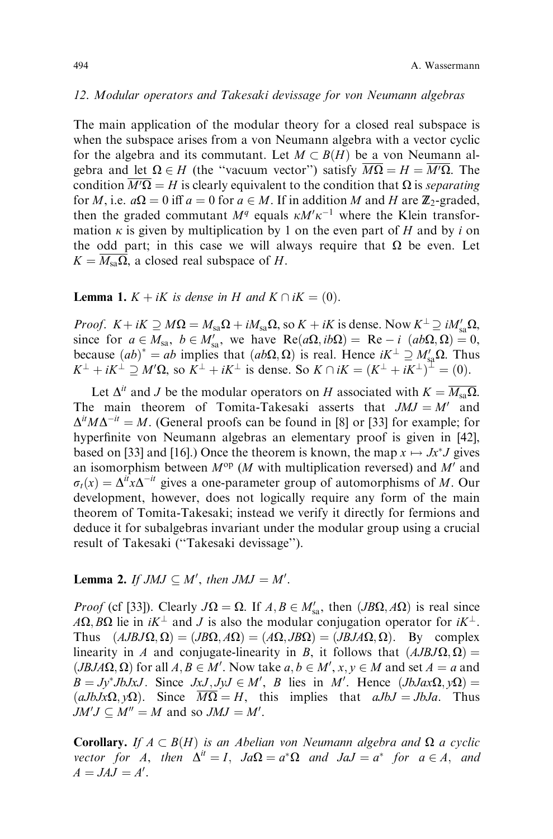#### 12. Modular operators and Takesaki devissage for von Neumann algebras

The main application of the modular theory for a closed real subspace is when the subspace arises from a von Neumann algebra with a vector cyclic for the algebra and its commutant. Let  $M \subset B(H)$  be a von Neumann algebra and let  $\Omega \in H$  (the "vacuum vector") satisfy  $\overline{M\Omega} = H = \overline{M'\Omega}$ . The condition  $\overline{M'\Omega} = H$  is clearly equivalent to the condition that  $\Omega$  is *separating* for M, i.e.  $a\Omega = 0$  iff  $a = 0$  for  $a \in M$ . If in addition M and H are  $\mathbb{Z}_2$ -graded, then the graded commutant  $M<sup>q</sup>$  equals  $\kappa M' \kappa^{-1}$  where the Klein transformation  $\kappa$  is given by multiplication by 1 on the even part of H and by i on the odd part; in this case we will always require that  $\Omega$  be even. Let  $K = \overline{M_{sa} \Omega}$ , a closed real subspace of H.

**Lemma 1.**  $K + iK$  is dense in H and  $K \cap iK = (0)$ .

*Proof.*  $K + iK \supseteq M\Omega = M_{sa}\Omega + iM_{sa}\Omega$ , so  $K + iK$  is dense. Now  $K^{\perp} \supseteq iM'_{sa}\Omega$ , since for  $a \in M_{sa}$ ,  $b \in M'_{sa}$ , we have  $Re(a\Omega, ib\Omega) = Re - i (ab\Omega, \Omega) = 0$ , because  $(ab)^* = ab$  implies that  $(ab\Omega, \Omega)$  is real. Hence  $iK^{\perp} \supseteq M'_{sa}\Omega$ . Thus  $K^{\perp} + iK^{\perp} \supseteq M' \Omega$ , so  $K^{\perp} + iK^{\perp}$  is dense. So  $K \cap iK = (K^{\perp} + iK^{\perp})^{\perp} = (0)$ .

Let  $\Delta^{it}$  and J be the modular operators on H associated with  $K = \overline{M_{sa} \Omega}$ . The main theorem of Tomita-Takesaki asserts that  $JMJ = M'$  and  $\Delta^{it} M \Delta^{-it} = M$ . (General proofs can be found in [8] or [33] for example; for hyperfinite von Neumann algebras an elementary proof is given in [42], based on [33] and [16].) Once the theorem is known, the map  $x \mapsto Jx^*J$  gives an isomorphism between  $M^{op}$  (*M* with multiplication reversed) and M' and  $\sigma_t(x) = \Delta^{it} x \Delta^{-it}$  gives a one-parameter group of automorphisms of M. Our development, however, does not logically require any form of the main theorem of Tomita-Takesaki; instead we verify it directly for fermions and deduce it for subalgebras invariant under the modular group using a crucial result of Takesaki ("Takesaki devissage").

# **Lemma 2.** If  $JMJ \subseteq M'$ , then  $JMJ = M'$ .

*Proof* (cf [33]). Clearly  $J\Omega = \Omega$ . If  $A, B \in M'_{sa}$ , then  $(JB\Omega, A\Omega)$  is real since  $A\Omega$ ; B $\Omega$  lie in  $iK^{\perp}$  and J is also the modular conjugation operator for  $iK^{\perp}$ . Thus  $(AJBJ\Omega, \Omega) = (JB\Omega, A\Omega) = (A\Omega, JB\Omega) = (JBJA\Omega, \Omega)$ . By complex linearity in A and conjugate-linearity in B, it follows that  $(AJBJ\Omega, \Omega)$  =  $(JBJA\Omega, \Omega)$  for all  $A, B \in M'$ . Now take  $a, b \in M', x, y \in M$  and set  $A = a$  and  $B = Jy^*JbJxJ$ . Since  $JxJ, JyJ \in M'$ , B lies in M'. Hence  $(JbJax\Omega, y\Omega)$  $(aJbJx\Omega, y\Omega)$ . Since  $\overline{M\Omega} = H$ , this implies that  $aJbJ = JbJa$ . Thus  $JM'J \subseteq M'' = M$  and so  $JMJ = M'.$ 

**Corollary.** If  $A \subset B(H)$  is an Abelian von Neumann algebra and  $\Omega$  a cyclic vector for A, then  $\Delta^{it} = I$ ,  $Ja\Omega = a^*\Omega$  and  $JaJ = a^*$  for  $a \in A$ , and  $A = JAJ = A'$ .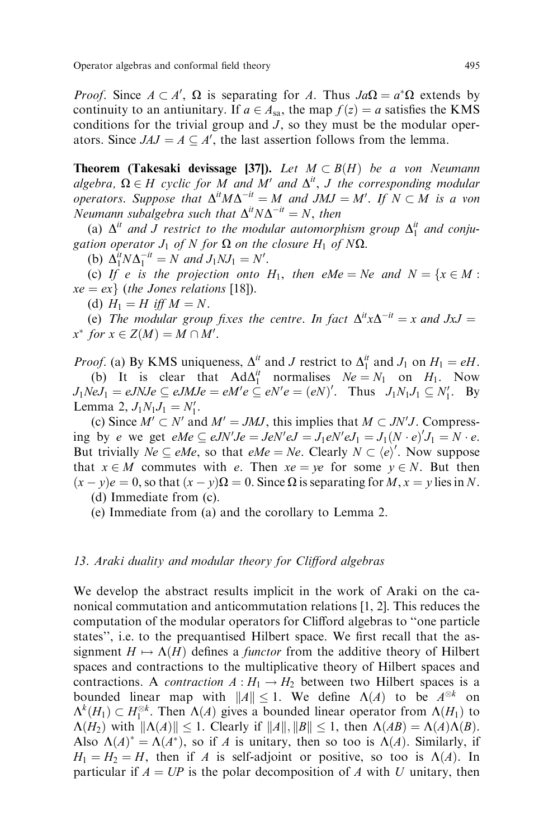*Proof.* Since  $A \subset A'$ ,  $\Omega$  is separating for A. Thus  $Ja\Omega = a^*\Omega$  extends by continuity to an antiunitary. If  $a \in A_{sa}$ , the map  $f(z) = a$  satisfies the KMS conditions for the trivial group and  $J$ , so they must be the modular operators. Since  $JAJ = A \subseteq A'$ , the last assertion follows from the lemma.

**Theorem (Takesaki devissage [37]).** Let  $M \subset B(H)$  be a von Neumann algebra,  $\Omega \in H$  cyclic for M and M' and  $\Delta^{it}$ , J the corresponding modular operators. Suppose that  $\Delta^{it} M \Delta^{-it} = M$  and JMJ = M'. If  $N \subset M$  is a von Neumann subalgebra such that  $\Delta^{it} N \Delta^{-it} = N$ , then

(a)  $\Delta^{it}$  and J restrict to the modular automorphism group  $\Delta_1^{it}$  and conjugation operator  $J_1$  of N for  $\Omega$  on the closure  $H_1$  of N $\Omega$ .

(b)  $\Delta_1^{it} N \Delta_1^{-it} = N$  and  $J_1 N J_1 = N'$ .

(c) If e is the projection onto  $H_1$ , then eMe = Ne and  $N = \{x \in M :$  $xe = ex$  (the Jones relations [18]).

(d)  $H_1 = H$  iff  $M = N$ .

(e) The modular group fixes the centre. In fact  $\Delta^{it} x \Delta^{-it} = x$  and  $JxJ =$  $x^*$  for  $x \in Z(M) = M \cap M'$ .

*Proof.* (a) By KMS uniqueness,  $\Delta_i^i$  and J restrict to  $\Delta_1^i$  and  $J_1$  on  $H_1 = eH$ . (b) It is clear that  $\text{Ad}\Delta_1^{it}$  normalises  $Ne = N_1$  on  $H_1$ . Now  $J_1NeJ_1 = eJNJe \subseteq eJMJe = eM'e \subseteq eN'e = (eN)'$ . Thus  $J_1N_1J_1 \subseteq N'_1$ . By Lemma 2,  $J_1N_1J_1 = N'_1$ .

(c) Since  $M' \subset N'$  and  $M' = JMJ$ , this implies that  $M \subset JN'J$ . Compressing by e we get  $eMe \subseteq eJN'Je = JeN'eJ = J_1eN'eJ_1 = J_1(N \cdot e)J_1 = N \cdot e$ . But trivially  $Ne \subseteq eMe$ , so that  $eMe = Ne$ . Clearly  $N \subset \langle e \rangle'$ . Now suppose that  $x \in M$  commutes with e. Then  $xe = ye$  for some  $y \in N$ . But then  $(x - y)e = 0$ , so that  $(x - y)\Omega = 0$ . Since  $\Omega$  is separating for  $M, x = y$  lies in N.

(d) Immediate from (c).

(e) Immediate from (a) and the corollary to Lemma 2.

#### 13. Araki duality and modular theory for Clifford algebras

We develop the abstract results implicit in the work of Araki on the canonical commutation and anticommutation relations [1, 2]. This reduces the computation of the modular operators for Clifford algebras to "one particle" states", i.e. to the prequantised Hilbert space. We first recall that the assignment  $H \mapsto \Lambda(H)$  defines a *functor* from the additive theory of Hilbert spaces and contractions to the multiplicative theory of Hilbert spaces and contractions. A *contraction*  $A: H_1 \to H_2$  between two Hilbert spaces is a bounded linear map with  $||A|| \le 1$ . We define  $\Lambda(A)$  to be  $A^{\otimes k}$  on  $\Lambda^k(H_1) \subset H_1^{\otimes k}$ . Then  $\Lambda(A)$  gives a bounded linear operator from  $\Lambda(H_1)$  to  $\Lambda(H_2)$  with  $\|\Lambda(A)\| \leq 1$ . Clearly if  $\|A\|, \|B\| \leq 1$ , then  $\Lambda(AB) = \Lambda(A)\Lambda(B)$ . Also  $\Lambda(A)^* = \Lambda(A^*)$ , so if A is unitary, then so too is  $\Lambda(A)$ . Similarly, if  $H_1 = H_2 = H$ , then if A is self-adjoint or positive, so too is  $\Lambda(A)$ . In particular if  $A = UP$  is the polar decomposition of A with U unitary, then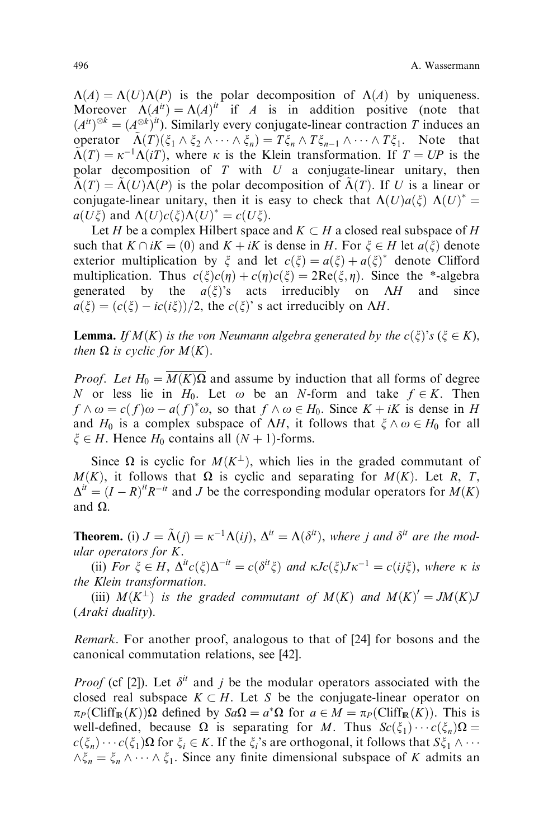$\Lambda(A) = \Lambda(U)\Lambda(P)$  is the polar decomposition of  $\Lambda(A)$  by uniqueness. Moreover  $\Lambda(A^{it}) = \Lambda(A)^{it}$  if A is in addition positive (note that  $(A^{it})^{\otimes k} = (A^{\otimes k})^{it}$ . Similarly every conjugate-linear contraction T induces an operator  $\tilde{\Lambda}(T) (\xi_1 \wedge \xi_2 \wedge \cdots \wedge \xi_n) = T \xi_n \wedge T \xi_{n-1} \wedge \cdots \wedge T \xi_1$ . Note that  $\Lambda(T) = \kappa^{-1}\Lambda(iT)$ , where  $\kappa$  is the Klein transformation. If  $T = UP$  is the polar decomposition of  $T$  with  $U$  a conjugate-linear unitary, then  $\Lambda(T) = \Lambda(U)\Lambda(P)$  is the polar decomposition of  $\Lambda(T)$ . If U is a linear or conjugate-linear unitary, then it is easy to check that  $\Lambda(U)a(\xi) \Lambda(U)^* =$  $a(U\xi)$  and  $\Lambda(U)c(\xi)\Lambda(U)^* = c(U\xi)$ .

Let H be a complex Hilbert space and  $K \subset H$  a closed real subspace of H such that  $K \cap iK = (0)$  and  $K + iK$  is dense in H. For  $\xi \in H$  let  $a(\xi)$  denote exterior multiplication by  $\xi$  and let  $c(\xi) = a(\xi) + a(\xi)^*$  denote Clifford multiplication. Thus  $c(\xi)c(\eta) + c(\eta)c(\xi) = 2\text{Re}(\xi, \eta)$ . Since the \*-algebra generated by the  $a(\xi)$ 's acts irreducibly on  $\Lambda H$  and since  $a(\xi) = (c(\xi) - ic(i\xi))/2$ , the  $c(\xi)$ ' s act irreducibly on AH.

**Lemma.** If  $M(K)$  is the von Neumann algebra generated by the  $c(\xi)$ 's ( $\xi \in K$ ), then  $\Omega$  is cyclic for  $M(K)$ .

*Proof.* Let  $H_0 = M(K)\Omega$  and assume by induction that all forms of degree N or less lie in  $H_0$ . Let  $\omega$  be an N-form and take  $f \in K$ . Then  $f \wedge \omega = c(f)\omega - a(f)^*\omega$ , so that  $f \wedge \omega \in H_0$ . Since  $K + iK$  is dense in H and  $H_0$  is a complex subspace of  $\Delta H$ , it follows that  $\xi \wedge \omega \in H_0$  for all  $\xi \in H$ . Hence  $H_0$  contains all  $(N + 1)$ -forms.

Since  $\Omega$  is cyclic for  $M(K^{\perp})$ , which lies in the graded commutant of  $M(K)$ , it follows that  $\Omega$  is cyclic and separating for  $M(K)$ . Let R, T,  $\Delta^{it} = (I - R)^{it} R^{-it}$  and J be the corresponding modular operators for  $M(K)$ and  $\Omega$ .

**Theorem.** (i)  $J = \tilde{\Lambda}(i) = \kappa^{-1}\Lambda(ii)$ ,  $\Delta^{it} = \Lambda(\delta^{it})$ , where *j* and  $\delta^{it}$  are the modular operators for K.

(ii) For  $\xi \in H$ ,  $\Delta^{it} c(\xi) \Delta^{-it} = c(\delta^{it} \xi)$  and  $\kappa J c(\xi) J \kappa^{-1} = c(i \xi)$ , where  $\kappa$  is the Klein transformation.

(iii)  $M(K^{\perp})$  is the graded commutant of  $M(K)$  and  $M(K)^{\prime} = JM(K)J$ (Araki duality).

Remark. For another proof, analogous to that of [24] for bosons and the canonical commutation relations, see [42].

*Proof* (cf [2]). Let  $\delta^{it}$  and *j* be the modular operators associated with the closed real subspace  $K \subset H$ . Let S be the conjugate-linear operator on  $\pi_P(\text{Cliff}_{\mathbb{R}}(K))\Omega$  defined by  $Sa\Omega = a^*\Omega$  for  $a \in M = \pi_P(\text{Cliff}_{\mathbb{R}}(K))$ . This is well-defined, because  $\Omega$  is separating for M. Thus  $Sc(\xi_1) \cdots c(\xi_n) \Omega =$  $c(\xi_n) \cdots c(\xi_1) \Omega$  for  $\xi_i \in K$ . If the  $\xi_i$ 's are orthogonal, it follows that  $S\xi_1 \wedge \cdots$  $\wedge \xi_n = \xi_n \wedge \cdots \wedge \xi_1$ . Since any finite dimensional subspace of K admits an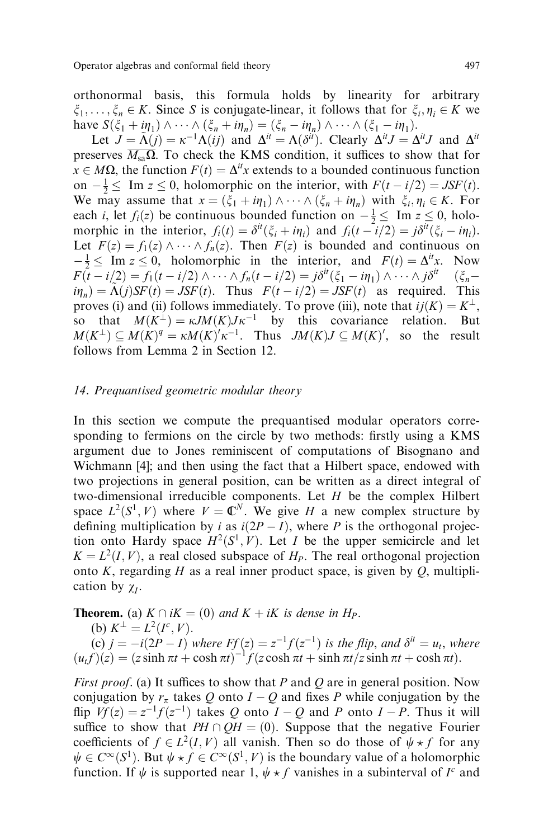orthonormal basis, this formula holds by linearity for arbitrary  $\xi_1, \ldots, \xi_n \in K$ . Since S is conjugate-linear, it follows that for  $\xi_i, \eta_i \in K$  we have  $S(\xi_1 + i\eta_1) \wedge \cdots \wedge (\xi_n + i\eta_n) = (\xi_n - i\eta_n) \wedge \cdots \wedge (\xi_1 - i\eta_1).$ 

Let  $J = \tilde{\Lambda}(j) = \kappa^{-1}\tilde{\Lambda}(ij)$  and  $\Delta^{it} = \tilde{\Lambda}(\delta^{it})$ . Clearly  $\Delta^{it} J = \Delta^{it} J$  and  $\Delta^{it}$ preserves  $\overline{M_{sa} \Omega}$ . To check the KMS condition, it suffices to show that for  $x \in M\Omega$ , the function  $F(t) = \Delta^{it}x$  extends to a bounded continuous function on  $-\frac{1}{2} \leq \text{Im } z \leq 0$ , holomorphic on the interior, with  $F(t - i/2) = JSF(t)$ . We may assume that  $x = (\xi_1 + i\eta_1) \wedge \cdots \wedge (\xi_n + i\eta_n)$  with  $\xi_i, \eta_i \in K$ . For each *i*, let  $f_i(z)$  be continuous bounded function on  $-\frac{1}{2} \leq \text{Im } z \leq 0$ , holomorphic in the interior,  $f_i(t) = \delta^{it}(\xi_i + i\eta_i)$  and  $f_i(t - i/2) = j\delta^{it}(\xi_i - i\eta_i)$ . Let  $F(z) = f_1(z) \wedge \cdots \wedge f_n(z)$ . Then  $F(z)$  is bounded and continuous on  $-\frac{1}{2} \leq \text{Im } z \leq 0$ , holomorphic in the interior, and  $F(t) = \Delta^{it} x$ . Now  $F(\tilde{t} - i/2) = f_1(t - i/2) \wedge \cdots \wedge f_n(t - i/2) = j\delta^{it}(\xi_1 - i\eta_1) \wedge \cdots \wedge j\delta^{it}$   $(\xi_n - i/2)$  $i\eta_n = \tilde{\Lambda}(j)SF(t) = JSF(t)$ . Thus  $F(t - i/2) = JSF(t)$  as required. This proves (i) and (ii) follows immediately. To prove (iii), note that  $ij(K) = K^{\perp}$ , so that  $M(K^{\perp}) = \kappa J M(K) J \kappa^{-1}$  by this covariance relation. But  $M(K^{\perp}) \subseteq M(K)^{q} = \kappa M(K)^{r} \kappa^{-1}$ . Thus  $JM(K)J \subseteq M(K)^{r}$ , so the result follows from Lemma 2 in Section 12.

## 14. Prequantised geometric modular theory

In this section we compute the prequantised modular operators corresponding to fermions on the circle by two methods: firstly using a KMS argument due to Jones reminiscent of computations of Bisognano and Wichmann [4]; and then using the fact that a Hilbert space, endowed with two projections in general position, can be written as a direct integral of two-dimensional irreducible components. Let  $H$  be the complex Hilbert space  $L^2(S^1, V)$  where  $V = \mathbb{C}^N$ . We give H a new complex structure by defining multiplication by i as  $i(2P - I)$ , where P is the orthogonal projection onto Hardy space  $H^2(S^1, V)$ . Let I be the upper semicircle and let  $K = L<sup>2</sup>(I, V)$ , a real closed subspace of  $H<sub>P</sub>$ . The real orthogonal projection onto K, regarding H as a real inner product space, is given by  $Q$ , multiplication by  $\chi_I$ .

**Theorem.** (a)  $K \cap iK = (0)$  and  $K + iK$  is dense in  $H_P$ .

(b) 
$$
K^{\perp} = L^2(I^c, V)
$$
.

(c)  $j = -i(2P - I)$  where  $Ff(z) = z^{-1}f(z^{-1})$  is the flip, and  $\delta^{it} = u_t$ , where  $(u_t f)(z) = (z \sinh \pi t + \cosh \pi t)^{-1} f(z \cosh \pi t + \sinh \pi t / z \sinh \pi t + \cosh \pi t).$ 

First proof. (a) It suffices to show that P and Q are in general position. Now conjugation by  $r_{\pi}$  takes Q onto  $I - Q$  and fixes P while conjugation by the flip  $Vf(z) = z^{-1}f(z^{-1})$  takes Q onto  $I - Q$  and P onto  $I - P$ . Thus it will suffice to show that  $PH \cap QH = (0)$ . Suppose that the negative Fourier coefficients of  $f \in L^2(I, V)$  all vanish. Then so do those of  $\psi \star f$  for any  $\psi \in C^{\infty}(S^1)$ . But  $\psi \star f \in C^{\infty}(S^1, V)$  is the boundary value of a holomorphic function. If  $\psi$  is supported near 1,  $\psi * f$  vanishes in a subinterval of  $I^c$  and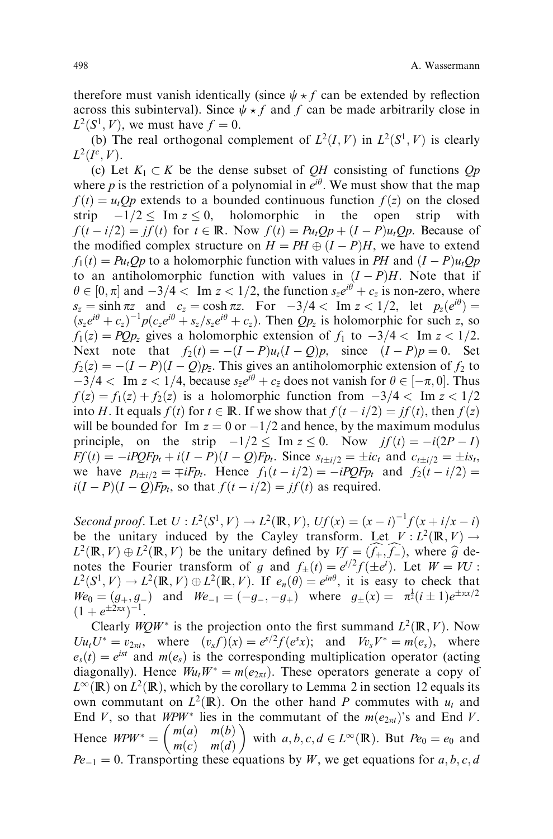therefore must vanish identically (since  $\psi \star f$  can be extended by reflection across this subinterval). Since  $\psi \star f$  and f can be made arbitrarily close in  $L^2(S^1, V)$ , we must have  $f = 0$ .

(b) The real orthogonal complement of  $L^2(I, V)$  in  $L^2(S^1, V)$  is clearly  $L^2(I^c, V)$ .

(c) Let  $K_1 \subset K$  be the dense subset of QH consisting of functions Qp where p is the restriction of a polynomial in  $e^{i\theta}$ . We must show that the map  $f(t) = u_tQp$  extends to a bounded continuous function  $f(z)$  on the closed strip  $-1/2 \leq \text{Im } z \leq 0$ , holomorphic in the open strip with  $f(t - i/2) = if(t)$  for  $t \in \mathbb{R}$ . Now  $f(t) = Pu<sub>t</sub>Qp + (I - P)u<sub>t</sub>Qp$ . Because of the modified complex structure on  $H = PH \oplus (I - P)H$ , we have to extend  $f_1(t) = Pu_tQ_p$  to a holomorphic function with values in PH and  $(I - P)u_tQ_p$ to an antiholomorphic function with values in  $(I - P)H$ . Note that if  $\theta \in [0, \pi]$  and  $-3/4 < \text{Im } z < 1/2$ , the function  $s_z e^{i\theta} + c_z$  is non-zero, where  $s_z = \sinh \pi z$  and  $c_z = \cosh \pi z$ . For  $-3/4 < \text{Im } z < 1/2$ , let  $p_z(e^{i\theta}) =$  $(s_ze^{i\theta}+c_z)^{-1}p(c_ze^{i\theta}+s_z/s_ze^{i\theta}+c_z)$ . Then  $Qp_z$  is holomorphic for such z, so  $f_1(z) = PQp_z$  gives a holomorphic extension of  $f_1$  to  $-3/4 <$  Im  $z < 1/2$ . Next note that  $f_2(t) = -(I - P)u_t(I - Q)p$ , since  $(I - P)p = 0$ . Set  $f_2(z) = -(I - P)(I - Q)p_{\overline{z}}$ . This gives an antiholomorphic extension of  $f_2$  to  $\frac{-3}{4}$  < Im  $z$  < 1/4, because  $s_{\overline{z}}e^{i\theta} + c_{\overline{z}}$  does not vanish for  $\theta \in [-\pi, 0]$ . Thus  $f(z) = f_1(z) + f_2(z)$  is a holomorphic function from  $-3/4 <$  Im  $z < 1/2$ into H. It equals  $f(t)$  for  $t \in \mathbb{R}$ . If we show that  $f(t - i/2) = j f(t)$ , then  $f(z)$ will be bounded for Im  $z = 0$  or  $-\frac{1}{2}$  and hence, by the maximum modulus principle, on the strip  $-1/2 \leq \text{Im } z \leq 0$ . Now  $jf(t) = -i(2P - I)$  $Ff(t) = -iPQFp_t + i(I - P)(I - Q)Fp_t$ . Since  $s_{t\pm i/2} = \pm ic_t$  and  $c_{t\pm i/2} = \pm is_t$ , we have  $p_{t\pm i/2} = \mp iFp_t$ . Hence  $f_1(t-i/2) = -iPQFp_t$  and  $f_2(t-i/2) =$  $i(I - P)(I - Q)Fp_t$ , so that  $f(t - i/2) = jf(t)$  as required.

Second proof. Let  $U: L^2(S^1, V) \to L^2(\mathbb{R}, V)$ ,  $Uf(x) = (x - i)^{-1} f(x + i/x - i)$ be the unitary induced by the Cayley transform. Let  $V : L^2(\mathbb{R}, V) \to$  $L^2(\mathbb{R}, V) \oplus L^2(\mathbb{R}, V)$  be the unitary defined by  $Vf = (\hat{f}_+, \hat{f}_-)$ , where  $\hat{g}$  denotes the Fourier transform of a and  $f_+(t) = e^{t/2} f_+(t)$ . Let  $W = VI$ . notes the Fourier transform of g and  $f_{\pm}(t) = e^{t/2} f(\pm e^t)$ . Let  $W = VU$ :  $L^2(S^1, V) \to L^2(\mathbb{R}, V) \oplus L^2(\mathbb{R}, V)$ . If  $e_n(\theta) = e^{in\theta}$ , it is easy to check that  $W_e(0) = (g_+, g_-)$  and  $W_e(1) = (-g_-, -g_+)$  where  $g_{\pm}(x) = \pi^{\frac{1}{2}}(i \pm 1)e^{\pm \pi x/2}$  $(1 + e^{\pm 2\pi x})^{-1}$ .

Clearly  $WQW^*$  is the projection onto the first summand  $L^2(\mathbb{R}, V)$ . Now  $Uu_tU^* = v_{2\pi t}$ , where  $(v_s f)(x) = e^{s/2} f(e^s x)$ ; and  $Vv_sV^* = m(e_s)$ , where  $e_s(t) = e^{ist}$  and  $m(e_s)$  is the corresponding multiplication operator (acting diagonally). Hence  $W_uW^* = m(e_{2\pi t})$ . These operators generate a copy of  $L^{\infty}(\mathbb{R})$  on  $L^2(\mathbb{R})$ , which by the corollary to Lemma 2 in section 12 equals its own commutant on  $L^2(\mathbb{R})$ . On the other hand P commutes with  $u_t$  and End V, so that  $MPW^*$  lies in the commutant of the  $m(e_{2\pi t})$ 's and End V. Hence  $W P W^* = \begin{pmatrix} m(a) & m(b) \\ m(c) & m(d) \end{pmatrix}$  with  $a, b, c, d \in L^{\infty}(\mathbb{R})$ . But  $Pe_0 = e_0$  and  $Pe_{-1} = 0$ . Transporting these equations by W, we get equations for a, b, c, d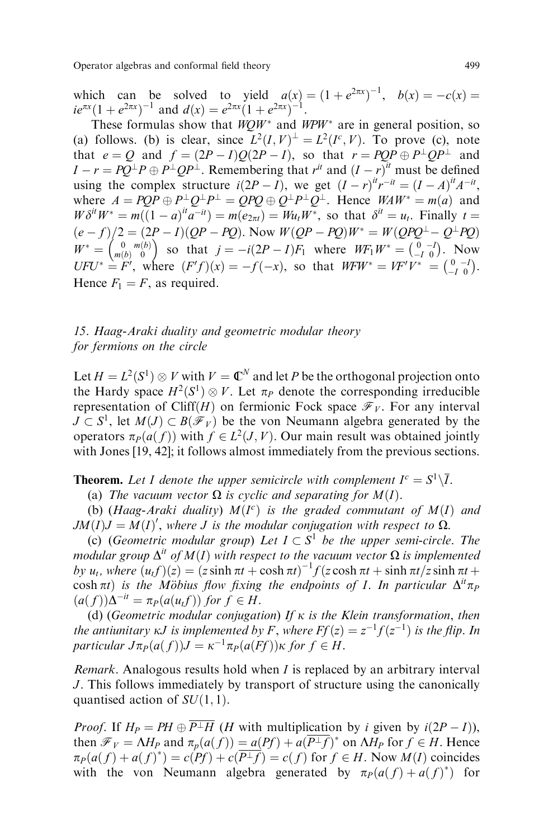which can be solved to yield  $a(x) = (1 + e^{2\pi x})^{-1}$ ,  $b(x) = -c(x) =$  $ie^{\pi x}(1+e^{2\pi x})^{-1}$  and  $d(x) = e^{2\pi x}(1+e^{2\pi x})^{-1}$ .

These formulas show that  $WQW^*$  and  $WPW^*$  are in general position, so (a) follows. (b) is clear, since  $L^2(I, V)^{\perp} = L^2(I^c, V)$ . To prove (c), note that  $e = Q$  and  $f = (2P - I)Q(2P - I)$ , so that  $r = PQP \oplus P^{\perp}QP^{\perp}$  and  $I - r = PQ^{\perp}P \oplus P^{\perp}QP^{\perp}$ . Remembering that  $r^{it}$  and  $(I - r)^{it}$  must be defined using the complex structure  $i(2P - I)$ , we get  $(I - r)^{it}r^{-it} = (I - A)^{it}A^{-it}$ , where  $A = POP \oplus P^{\perp} Q^{\perp} P^{\perp} = QPQ \oplus Q^{\perp} P^{\perp} Q^{\perp}$ . Hence  $WAW^* = m(a)$  and  $W\delta^{it}W^* = m((1-a)^{it}a^{-it}) = m(e_{2\pi t}) = Wu_tW^*$ , so that  $\delta^{it} = u_t$ . Finally  $t =$  $(e - f)/2 = (2P - I)(QP - PQ)$ . Now  $W(QP - PQ)W^* = W(QPQ^{\perp} - Q^{\perp}PQ)$  $W^* = \begin{pmatrix} 0 & m(b) \\ m(b) & 0 \end{pmatrix}$  so that  $j = -i(2P - I)F_1$  where  $WF_1W^* = \begin{pmatrix} 0 & -I \\ -I & 0 \end{pmatrix}$ . Now  $UFU^* = F'$ , where  $(F'f)(x) = -f(-x)$ , so that  $WFW^* = VF'V^* = \begin{pmatrix} 0 & -I \\ -I & 0 \end{pmatrix}$ . Hence  $F_1 = F$ , as required.

# 15. Haag-Araki duality and geometric modular theory for fermions on the circle

Let  $H = L^2(S^1) \otimes V$  with  $V = \mathbb{C}^N$  and let P be the orthogonal projection onto the Hardy space  $H^2(S^1) \otimes V$ . Let  $\pi_P$  denote the corresponding irreducible representation of Cliff(H) on fermionic Fock space  $\mathcal{F}_V$ . For any interval  $J \subset S^1$ , let  $M(J) \subset B(\mathcal{F}_V)$  be the von Neumann algebra generated by the operators  $\pi_P(a(f))$  with  $f \in L^2(J, V)$ . Our main result was obtained jointly with Jones [19, 42]; it follows almost immediately from the previous sections.

**Theorem.** Let I denote the upper semicircle with complement  $I^c = S^1 \backslash \overline{I}$ .

(a) The vacuum vector  $\Omega$  is cyclic and separating for  $M(I)$ .

(b) (Haag-Araki duality)  $M(I^c)$  is the graded commutant of  $M(I)$  and  $JM(I)J = M(I)'$ , where J is the modular conjugation with respect to  $\Omega$ .

(c) (Geometric modular group) Let  $I \subset S^1$  be the upper semi-circle. The modular group  $\Delta^{it}$  of  $M(I)$  with respect to the vacuum vector  $\Omega$  is implemented by  $u_t$ , where  $(u_t f)(z) = (z \sinh \pi t + \cosh \pi t)^{-1} f(z \cosh \pi t + \sinh \pi t / z \sinh \pi t +$ cosh  $\pi t$ ) is the Möbius flow fixing the endpoints of I. In particular  $\Delta^{it} \pi_P$  $(a(f))\Delta^{-it} = \pi_P(a(u,f))$  for  $f \in H$ .

(d) (Geometric modular conjugation) If  $\kappa$  is the Klein transformation, then the antiunitary  $\kappa J$  is implemented by F, where  $Ff(z) = z^{-1}f(z^{-1})$  is the flip. In particular  $J\pi_P(a(f))J = \kappa^{-1}\pi_P(a(Ff))\kappa$  for  $f \in H$ .

*Remark.* Analogous results hold when  $I$  is replaced by an arbitrary interval J. This follows immediately by transport of structure using the canonically quantised action of  $SU(1, 1)$ .

*Proof.* If  $H_P = PH \oplus \overline{P^{\perp}H}$  (*H* with multiplication by *i* given by  $i(2P - I)$ ), then  $\mathcal{F}_V = \Lambda H_P$  and  $\pi_p(a(f)) = a(Pf) + a(\overline{P^{\perp}f})^*$  on  $\Lambda H_P$  for  $f \in H$ . Hence  $\pi_P(a(f) + a(f)^*) = c(Pf) + c(\overline{P^{\perp}f}) = c(f)$  for  $f \in H$ . Now  $M(I)$  coincides with the von Neumann algebra generated by  $\pi_P(a(f) + a(f^*))$  for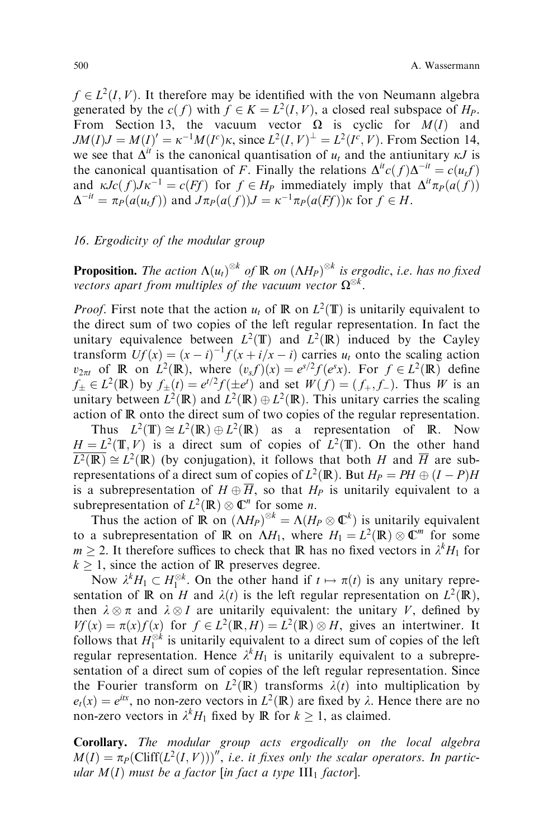$f \in L^2(I, V)$ . It therefore may be identified with the von Neumann algebra generated by the  $c(f)$  with  $f \in K = L^2(I, V)$ , a closed real subspace of  $H_P$ . From Section 13, the vacuum vector  $\Omega$  is cyclic for  $M(I)$  and  $JM(I)J = M(I)' = \kappa^{-1}M(I^c)\kappa$ , since  $L^2(I, V)^{\perp} = L^2(I^c, V)$ . From Section 14, we see that  $\Delta^{it}$  is the canonical quantisation of  $u_t$  and the antiunitary  $\kappa J$  is the canonical quantisation of F. Finally the relations  $\Delta^{it} c(f) \Delta^{-it} = c(u_t f)$ and  $\kappa Jc(f)J\kappa^{-1} = c(Ff)$  for  $f \in H_P$  immediately imply that  $\Delta^{it}\pi_P(a(f))$  $\Delta^{-it} = \pi_P(a(u_t f))$  and  $J\pi_P(a(f))J = \kappa^{-1}\pi_P(a(Ff))\kappa$  for  $f \in H$ .

## 16. Ergodicity of the modular group

**Proposition.** The action  $\Lambda(u_t)^{\otimes k}$  of  $\mathbb R$  on  $(\Lambda H_P)^{\otimes k}$  is ergodic, i.e. has no fixed vectors apart from multiples of the vacuum vector  $\Omega^{\otimes k}.$ 

*Proof.* First note that the action  $u_t$  of  $\mathbb R$  on  $L^2(\mathbb T)$  is unitarily equivalent to the direct sum of two copies of the left regular representation. In fact the unitary equivalence between  $L^2(\mathbb{T})$  and  $L^2(\mathbb{R})$  induced by the Cayley transform  $Uf(x) = (x - i)^{-1} f(x + i/x - i)$  carries  $u_t$  onto the scaling action  $v_{2\pi t}$  of **R** on  $L^2(\mathbb{R})$ , where  $(v_s f)(x) = e^{s/2} f(e^s x)$ . For  $f \in L^2(\mathbb{R})$  define  $f_{\pm} \in L^2(\mathbb{R})$  by  $f_{\pm}(t) = e^{t/2} f(\pm e^t)$  and set  $W(f) = (f_+, f_-)$ . Thus W is an unitary between  $L^2(\mathbb{R})$  and  $L^2(\mathbb{R}) \oplus L^2(\mathbb{R})$ . This unitary carries the scaling action of R onto the direct sum of two copies of the regular representation.

Thus  $L^2(\mathbb{T}) \cong L^2(\mathbb{R}) \oplus L^2(\mathbb{R})$  as a representation of  $\mathbb{R}$ . Now  $H = L^2(\mathbb{T}, V)$  is a direct sum of copies of  $L^2(\mathbb{T})$ . On the other hand  $\overline{L^2(\mathbb{R})} \cong L^2(\mathbb{R})$  (by conjugation), it follows that both H and  $\overline{H}$  are subrepresentations of a direct sum of copies of  $L^2(\mathbb{R})$ . But  $H_P = PH \oplus (I - P)H$ is a subrepresentation of  $H \oplus \overline{H}$ , so that  $H_P$  is unitarily equivalent to a subrepresentation of  $L^2(\mathbb{R}) \otimes \mathbb{C}^n$  for some *n*.

Thus the action of  $\mathbb R$  on  $(\Lambda H_P)^{\otimes k} = \Lambda(H_P \otimes \mathbb C^k)$  is unitarily equivalent to a subrepresentation of  $\mathbb R$  on  $\Delta H_1$ , where  $H_1 = L^2(\mathbb R) \otimes \mathbb C^m$  for some  $m \ge 2$ . It therefore suffices to check that **R** has no fixed vectors in  $\lambda^k H_1$  for  $k \geq 1$ , since the action of R preserves degree.

Now  $\lambda^k H_1 \subset H_1^{\otimes k}$ . On the other hand if  $t \mapsto \pi(t)$  is any unitary representation of  $\mathbb R$  on H and  $\lambda(t)$  is the left regular representation on  $L^2(\mathbb R)$ , then  $\lambda \otimes \pi$  and  $\lambda \otimes I$  are unitarily equivalent: the unitary V, defined by  $Vf(x) = \pi(x)f(x)$  for  $f \in L^2(\mathbb{R}, H) = L^2(\mathbb{R}) \otimes H$ , gives an intertwiner. It follows that  $H_1^{\otimes k}$  is unitarily equivalent to a direct sum of copies of the left regular representation. Hence  $\lambda^k H_1$  is unitarily equivalent to a subrepresentation of a direct sum of copies of the left regular representation. Since the Fourier transform on  $L^2(\mathbb{R})$  transforms  $\lambda(t)$  into multiplication by  $e_t(x) = e^{itx}$ , no non-zero vectors in  $L^2(\mathbb{R})$  are fixed by  $\lambda$ . Hence there are no non-zero vectors in  $\lambda^k H_1$  fixed by **R** for  $k \ge 1$ , as claimed.

Corollary. The modular group acts ergodically on the local algebra  $M(I) = \pi_P \left( \text{Cliff}(L^2(I, V)) \right)^{\prime \prime}$ , i.e. it fixes only the scalar operators. In particular  $M(I)$  must be a factor [in fact a type  $III_1$  factor].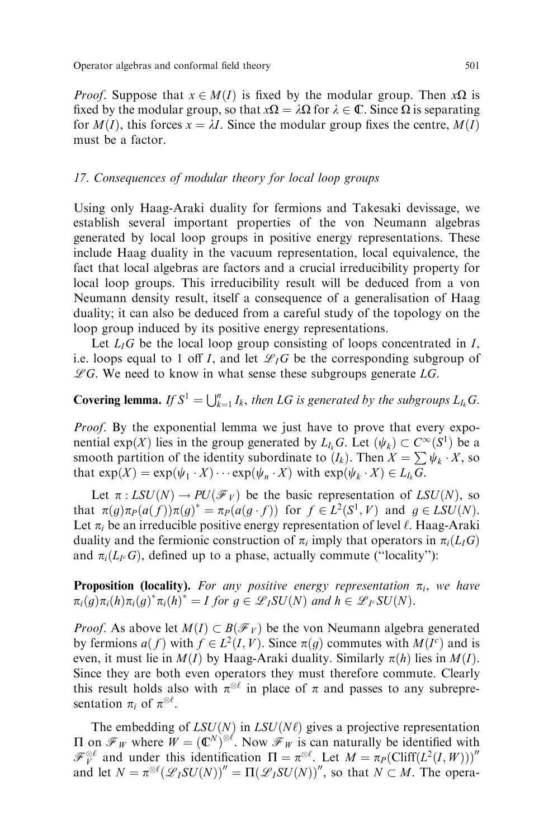*Proof.* Suppose that  $x \in M(I)$  is fixed by the modular group. Then  $x\Omega$  is fixed by the modular group, so that  $x\Omega = \lambda \Omega$  for  $\lambda \in \mathbb{C}$ . Since  $\Omega$  is separating for  $M(I)$ , this forces  $x = \lambda I$ . Since the modular group fixes the centre,  $M(I)$ must be a factor.

#### 17. Consequences of modular theory for local loop groups

Using only Haag-Araki duality for fermions and Takesaki devissage, we establish several important properties of the von Neumann algebras generated by local loop groups in positive energy representations. These include Haag duality in the vacuum representation, local equivalence, the fact that local algebras are factors and a crucial irreducibility property for local loop groups. This irreducibility result will be deduced from a von Neumann density result, itself a consequence of a generalisation of Haag duality; it can also be deduced from a careful study of the topology on the loop group induced by its positive energy representations.

Let  $L_i$ G be the local loop group consisting of loops concentrated in I, i.e. loops equal to 1 off I, and let  $\mathscr{L}_I G$  be the corresponding subgroup of  $\mathscr{L}G$ . We need to know in what sense these subgroups generate  $LG$ .

# **Covering lemma.** If  $S^1 = \bigcup_{k=1}^n I_k$ , then LG is generated by the subgroups  $L_{I_k}$ G.

Proof. By the exponential lemma we just have to prove that every exponential  $exp(X)$  lies in the group generated by  $L_k G$ . Let  $(\psi_k) \subset C^{\infty}(S^1)$  be a smooth partition of the identity subordinate to  $(I_k)$ . Then  $X = \sum \psi_k \cdot X$ , so that  $exp(X) = exp(\psi_1 \cdot X) \cdots exp(\psi_n \cdot X)$  with  $exp(\psi_k \cdot X) \in L_k G$ .

Let  $\pi : LSU(N) \to PU(\mathcal{F}_V)$  be the basic representation of  $LSU(N)$ , so that  $\pi(g)\pi_P(a(f))\pi(g)^* = \pi_P(a(g \cdot f))$  for  $f \in L^2(S^1, V)$  and  $g \in LSU(N)$ . Let  $\pi_i$  be an irreducible positive energy representation of level  $\ell$ . Haag-Araki duality and the fermionic construction of  $\pi_i$  imply that operators in  $\pi_i(L \mid G)$ and  $\pi_i(L_i G)$ , defined up to a phase, actually commute ("locality"):

**Proposition (locality).** For any positive energy representation  $\pi_i$ , we have  $\pi_i(g)\pi_i(h)\pi_i(g)^*\pi_i(h)^* = I$  for  $g \in \mathscr{L}_I SU(N)$  and  $h \in \mathscr{L}_I \circ SU(N)$ .

*Proof.* As above let  $M(I) \subset B(\mathcal{F}_V)$  be the von Neumann algebra generated by fermions  $a(f)$  with  $f \in L^2(I, V)$ . Since  $\pi(g)$  commutes with  $M(I^c)$  and is even, it must lie in  $M(I)$  by Haag-Araki duality. Similarly  $\pi(h)$  lies in  $M(I)$ . Since they are both even operators they must therefore commute. Clearly this result holds also with  $\pi^{\otimes \ell}$  in place of  $\pi$  and passes to any subrepresentation  $\pi_i$  of  $\pi^{\otimes \ell}$ .

The embedding of  $LSU(N)$  in  $LSU(N\ell)$  gives a projective representation  $\Pi$  on  $\mathscr{F}_W$  where  $W = (\mathbb{C}^N)^{\otimes \ell}$ . Now  $\mathscr{F}_W$  is can naturally be identified with  $\mathscr{F}_{V}^{\otimes \ell}$  and under this identification  $\Pi = \pi^{\otimes \ell}$ . Let  $M = \pi_{P}(\text{Cliff}(L^{2}(I, W)))''$ and let  $N = \pi^{\otimes \ell}(\mathscr{L}_I SU(N))'' = \Pi(\mathscr{L}_I SU(N))''$ , so that  $N \subset M$ . The opera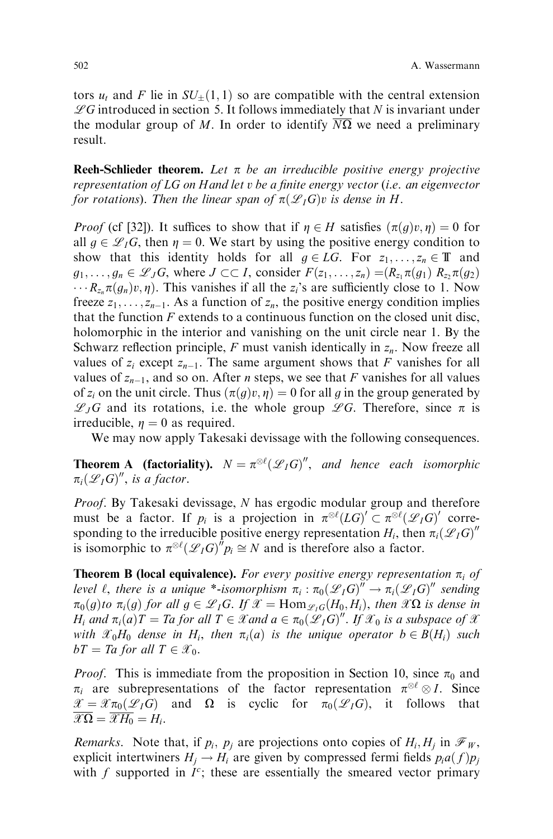tors  $u_t$  and F lie in  $SU_{\pm}(1,1)$  so are compatible with the central extension  $\mathscr{L}G$  introduced in section 5. It follows immediately that N is invariant under the modular group of M. In order to identify  $N\Omega$  we need a preliminary result.

**Reeh-Schlieder theorem.** Let  $\pi$  be an irreducible positive energy projective representation of  $LG$  on Hand let  $v$  be a finite energy vector (i.e. an eigenvector for rotations). Then the linear span of  $\pi(\mathscr{L}_I G)v$  is dense in H.

*Proof* (cf [32]). It suffices to show that if  $\eta \in H$  satisfies  $(\pi(g)v, \eta) = 0$  for all  $g \in \mathcal{L}_I G$ , then  $\eta = 0$ . We start by using the positive energy condition to show that this identity holds for all  $g \in LG$ . For  $z_1, \ldots, z_n \in \mathbb{T}$  and  $g_1, \ldots, g_n \in \mathscr{L}_J G$ , where  $J \subset \subset I$ , consider  $F(z_1, \ldots, z_n) = (R_{z_1} \pi(g_1) R_{z_2} \pi(g_2))$  $\cdots R_{z_n}\pi(q_n)v, \eta$ ). This vanishes if all the  $z_i$ 's are sufficiently close to 1. Now freeze  $z_1, \ldots, z_{n-1}$ . As a function of  $z_n$ , the positive energy condition implies that the function  $F$  extends to a continuous function on the closed unit disc, holomorphic in the interior and vanishing on the unit circle near 1. By the Schwarz reflection principle, F must vanish identically in  $z_n$ . Now freeze all values of  $z_i$  except  $z_{n-1}$ . The same argument shows that F vanishes for all values of  $z_{n-1}$ , and so on. After *n* steps, we see that F vanishes for all values of  $z_i$  on the unit circle. Thus  $(\pi(g)v, \eta) = 0$  for all g in the group generated by  $\mathscr{L}_JG$  and its rotations, i.e. the whole group  $\mathscr{L}G$ . Therefore, since  $\pi$  is irreducible,  $\eta = 0$  as required.

We may now apply Takesaki devissage with the following consequences.

**Theorem A** (factoriality).  $N = \pi^{\otimes \ell}(\mathscr{L}_I G)'$ , and hence each isomorphic  $\pi_i(\mathscr{L}_I G)'$ , is a factor.

Proof. By Takesaki devissage, N has ergodic modular group and therefore must be a factor. If  $p_i$  is a projection in  $\pi^{\otimes \ell}(LG)' \subset \pi^{\otimes \ell}(\mathscr{L}_IG)'$  corresponding to the irreducible positive energy representation  $H_i$ , then  $\pi_i(\mathscr{L}_IG)^{n}$ is isomorphic to  $\pi^{\otimes \ell}(\mathscr{L}_I G)^T p_i \cong N$  and is therefore also a factor.

**Theorem B (local equivalence).** For every positive energy representation  $\pi_i$  of level  $\ell$ , there is a unique \*-isomorphism  $\pi_i : \pi_0(\mathscr{L}_I G)^{ij} \to \pi_i(\mathscr{L}_I G)^{ij}$  sending  $\pi_0(g)$  to  $\pi_i(g)$  for all  $g \in \mathscr{L}_I G$ . If  $\mathscr{X} = \text{Hom}_{\mathscr{L}_I G}(H_0, H_i)$ , then  $\mathscr{X}\Omega$  is dense in  $H_i$  and  $\pi_i(a)T = Ta$  for all  $T \in \mathscr{X}$  and  $a \in \pi_0(\mathscr{L}_IG)^{\prime\prime}$ . If  $\mathscr{X}_0$  is a subspace of  $\mathscr{X}$ with  $\mathscr{X}_0H_0$  dense in  $H_i$ , then  $\pi_i(a)$  is the unique operator  $b \in B(H_i)$  such  $bT = Ta$  for all  $T \in \mathcal{X}_0$ .

*Proof.* This is immediate from the proposition in Section 10, since  $\pi_0$  and  $\pi_i$  are subrepresentations of the factor representation  $\pi^{\otimes \ell} \otimes I$ . Since  $\mathscr{X} = \mathscr{X}\pi_0(\mathscr{L}_I G)$  and  $\Omega$  is cyclic for  $\pi_0(\mathscr{L}_I G)$ , it follows that  $\overline{\mathscr{X}\Omega}=\overline{\mathscr{X}H_0}=H_i.$ 

*Remarks.* Note that, if  $p_i$ ,  $p_j$  are projections onto copies of  $H_i$ ,  $H_j$  in  $\mathcal{F}_W$ , explicit intertwiners  $H_i \to H_i$  are given by compressed fermi fields  $p_i a(f) p_i$ with f supported in  $I^c$ ; these are essentially the smeared vector primary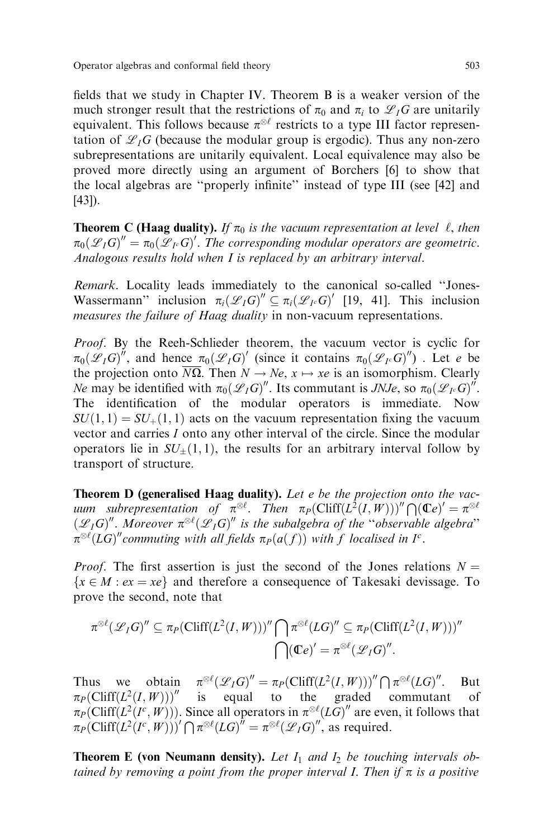fields that we study in Chapter IV. Theorem B is a weaker version of the much stronger result that the restrictions of  $\pi_0$  and  $\pi_i$  to  $\mathscr{L}_I G$  are unitarily equivalent. This follows because  $\pi^{\otimes \ell}$  restricts to a type III factor representation of  $\mathscr{L}_I G$  (because the modular group is ergodic). Thus any non-zero subrepresentations are unitarily equivalent. Local equivalence may also be proved more directly using an argument of Borchers [6] to show that the local algebras are "properly infinite" instead of type III (see [42] and [43]).

**Theorem C (Haag duality).** If  $\pi_0$  is the vacuum representation at level  $\ell$ , then  $\pi_0(\mathscr{L}_I G)'' = \pi_0(\mathscr{L}_I G)'$ . The corresponding modular operators are geometric. Analogous results hold when I is replaced by an arbitrary interval.

Remark. Locality leads immediately to the canonical so-called "Jones-Wassermann" inclusion  $\pi_i(\mathscr{L}_IG)'' \subseteq \pi_i(\mathscr{L}_IG)'$  [19, 41]. This inclusion measures the failure of Haag duality in non-vacuum representations.

Proof. By the Reeh-Schlieder theorem, the vacuum vector is cyclic for  $\pi_0(\mathscr{L}_I G)^{n}$ , and hence  $\pi_0(\mathscr{L}_I G)'$  (since it contains  $\pi_0(\mathscr{L}_I G)^{n}$ ). Let e be the projection onto  $\overline{N\Omega}$ . Then  $N \to Ne$ ,  $x \mapsto xe$  is an isomorphism. Clearly *Ne* may be identified with  $\pi_0(\mathscr{L}_IG)''$ . Its commutant is *JNJe*, so  $\pi_0(\mathscr{L}_IG)''$ . The identification of the modular operators is immediate. Now  $SU(1, 1) = SU<sub>+</sub>(1, 1)$  acts on the vacuum representation fixing the vacuum vector and carries I onto any other interval of the circle. Since the modular operators lie in  $SU_{\pm}(1,1)$ , the results for an arbitrary interval follow by transport of structure.

Theorem D (generalised Haag duality). Let e be the projection onto the vacuum subrepresentation of  $\pi^{\otimes \ell}$ . Then  $\pi_P(\mathrm{Cliff}(L^2(I,W)))'' \bigcap (\mathbb{C}e)' = \pi^{\otimes \ell}$  $(\mathscr{L}_I G)''.$  Moreover  $\pi^{\otimes \ell}(\mathscr{L}_I G)''$  is the subalgebra of the "observable algebra"  $\pi^{\otimes \ell} (LG)''$  commuting with all fields  $\pi_P(a(f))$  with f localised in I<sup>c</sup>.

*Proof.* The first assertion is just the second of the Jones relations  $N =$  ${x \in M : ex = xe}$  and therefore a consequence of Takesaki devissage. To prove the second, note that

$$
\pi^{\otimes \ell}(\mathscr{L}_I G)'' \subseteq \pi_P(\mathrm{Cliff}(L^2(I,W)))'' \bigcap \pi^{\otimes \ell}(LG)'' \subseteq \pi_P(\mathrm{Cliff}(L^2(I,W)))''
$$

$$
\bigcap (\mathbb{C}e)' = \pi^{\otimes \ell}(\mathscr{L}_I G)''.
$$

Thus we obtain  $\pi^{\otimes \ell}(\mathscr{L}_IG)'' = \pi_P(\text{Cliff}(L^2(I, W)))'' \bigcap \pi^{\otimes \ell}(LG)''$ . But  $\pi_P(\text{Cliff}(L^2(I, W)))$ " is equal to the graded commutant of  $\pi_P(\text{Cliff}(L^2(I^c,W)))$ . Since all operators in  $\pi^{\otimes \ell}(LG)''$  are even, it follows that  $\pi_P \big( \text{Cliff} (L^2(I^c, W))' \bigcap \pi^{\otimes \ell} (LG)^{\hat{\ell}} = \pi^{\otimes \ell} (\mathscr{L}_I G)^{\hat{\ell}}$ , as required.

**Theorem E** (von Neumann density). Let  $I_1$  and  $I_2$  be touching intervals obtained by removing a point from the proper interval I. Then if  $\pi$  is a positive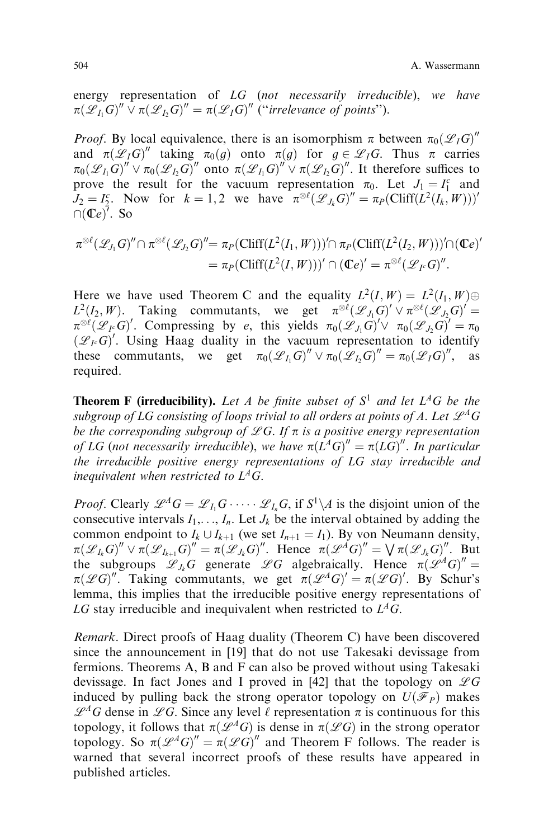energy representation of LG (not necessarily irreducible), we have  $\pi(\mathscr{L}_{I_1}G)'' \vee \pi(\mathscr{L}_{I_2}G)'' = \pi(\mathscr{L}_IG)''$  ("irrelevance of points").

*Proof.* By local equivalence, there is an isomorphism  $\pi$  between  $\pi_0(\mathscr{L}_I G)''$ and  $\pi(\mathscr{L}_I G)''$  taking  $\pi_0(g)$  onto  $\pi(g)$  for  $g \in \mathscr{L}_I G$ . Thus  $\pi$  carries  $\pi_0(\mathscr{L}_{I_1}G)'' \vee \pi_0(\mathscr{L}_{I_2}G)''$  onto  $\pi(\mathscr{L}_{I_1}G)'' \vee \pi(\mathscr{L}_{I_2}G)''$ . It therefore suffices to prove the result for the vacuum representation  $\pi_0$ . Let  $J_1 = I_1^c$  and  $J_2 = I_2^c$ . Now for  $k = 1, 2$  we have  $\pi^{\otimes \ell}(\mathcal{L}_{J_k}G)'' = \pi_P(\text{Cliff}(L^2(I_k, W)))'$  $\cap$ (Ce)<sup>7</sup>. So

$$
\pi^{\otimes \ell}(\mathcal{L}_{J_1}G)'' \cap \pi^{\otimes \ell}(\mathcal{L}_{J_2}G)'' = \pi_P(\text{Cliff}(L^2(I_1, W)))' \cap \pi_P(\text{Cliff}(L^2(I_2, W)))' \cap (\mathbb{C}e)'
$$
  
=  $\pi_P(\text{Cliff}(L^2(I, W)))' \cap (\mathbb{C}e)' = \pi^{\otimes \ell}(\mathcal{L}_{I^c}G)''.$ 

Here we have used Theorem C and the equality  $L^2(I, W) = L^2(I_1, W) \oplus$  $L^2(I_2, W)$ . Taking commutants, we get  $\pi^{\otimes \ell}(\mathscr{L}_{J_1}G)' \vee \pi^{\otimes \ell}(\mathscr{L}_{J_2}G)' =$  $\pi^{\otimes \ell}(\mathscr{L}_I \circ G)'$ . Compressing by e, this yields  $\pi_0(\mathscr{L}_{J_1}G)' \vee \pi_0(\mathscr{L}_{J_2}G)' = \pi_0$  $(\mathscr{L}_I G)'$ . Using Haag duality in the vacuum representation to identify these commutants, we get  $\pi_0(\mathscr{L}_{I_1}G)'' \vee \pi_0(\mathscr{L}_{I_2}G)'' = \pi_0(\mathscr{L}_IG)''$ , as required.

**Theorem F (irreducibility).** Let A be finite subset of  $S^1$  and let  $L^AG$  be the subgroup of LG consisting of loops trivial to all orders at points of A. Let  $\mathscr{L}^A G$ be the corresponding subgroup of  $\mathscr{L}G$ . If  $\pi$  is a positive energy representation of LG (not necessarily irreducible), we have  $\pi(L^AG)'' = \pi(LG)''$ . In particular the irreducible positive energy representations of LG stay irreducible and inequivalent when restricted to  $L^4G$ .

*Proof.* Clearly  $\mathscr{L}^A G = \mathscr{L}_I G \cdots \mathscr{L}_{I_n} G$ , if  $S^1 \backslash A$  is the disjoint union of the consecutive intervals  $I_1, \ldots, I_n$ . Let  $J_k$  be the interval obtained by adding the common endpoint to  $I_k \cup I_{k+1}$  (we set  $I_{n+1} = I_1$ ). By von Neumann density,  $\pi(\mathscr{L}_{I_k}G)'' \vee \pi(\mathscr{L}_{I_{k+1}}G)'' = \pi(\mathscr{L}_{J_k}G)''$ . Hence  $\pi(\mathscr{L}^{\tilde{A}}G)'' = \bigvee \pi(\mathscr{L}_{J_k}G)''$ . But the subgroups  $\mathscr{L}_{J_k}G$  generate  $\mathscr{L}G$  algebraically. Hence  $\pi(\mathscr{L}^AG)''=$  $\pi(\mathscr{L}G)''$ . Taking commutants, we get  $\pi(\mathscr{L}^AG)' = \pi(\mathscr{L}G)'$ . By Schur's lemma, this implies that the irreducible positive energy representations of LG stay irreducible and inequivalent when restricted to  $L^4G$ .

Remark. Direct proofs of Haag duality (Theorem C) have been discovered since the announcement in [19] that do not use Takesaki devissage from fermions. Theorems A, B and F can also be proved without using Takesaki devissage. In fact Jones and I proved in [42] that the topology on  $\mathscr{L}G$ induced by pulling back the strong operator topology on  $U(\mathscr{F}_P)$  makes  $\mathscr{L}^A G$  dense in  $\mathscr{L} G$ . Since any level  $\ell$  representation  $\pi$  is continuous for this topology, it follows that  $\pi(\mathcal{L}^A G)$  is dense in  $\pi(\mathcal{L}G)$  in the strong operator topology. So  $\pi(\mathscr{L}^A G)'' = \pi(\mathscr{L} G)'$  and Theorem F follows. The reader is warned that several incorrect proofs of these results have appeared in published articles.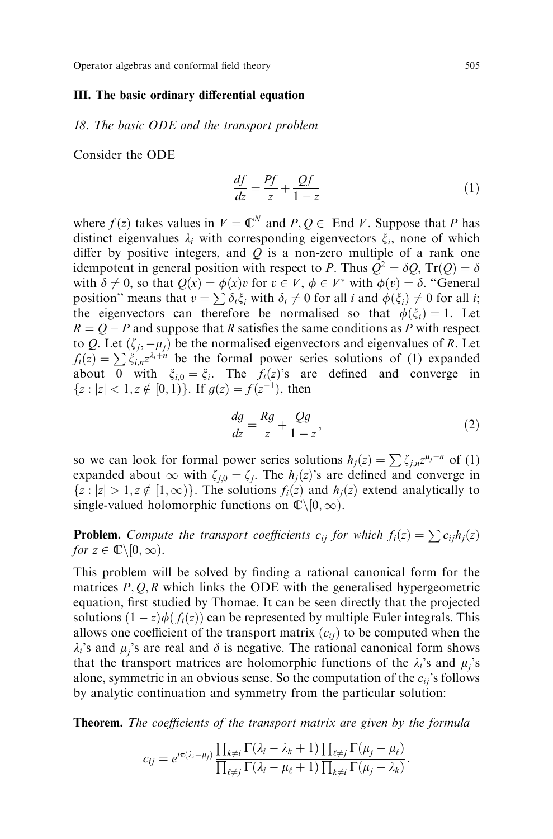#### III. The basic ordinary differential equation

18. The basic ODE and the transport problem

Consider the ODE

$$
\frac{df}{dz} = \frac{Pf}{z} + \frac{Qf}{1 - z} \tag{1}
$$

where  $f(z)$  takes values in  $V = \mathbb{C}^N$  and  $P, Q \in \text{End } V$ . Suppose that P has distinct eigenvalues  $\lambda_i$  with corresponding eigenvectors  $\xi_i$ , none of which differ by positive integers, and  $Q$  is a non-zero multiple of a rank one idempotent in general position with respect to P. Thus  $\hat{Q}^2 = \delta Q$ , Tr(Q) =  $\delta$ with  $\delta \neq 0$ , so that  $Q(x) = \phi(x)v$  for  $v \in V$ ,  $\phi \in V^*$  with  $\phi(v) = \delta$ . "General position" means that  $v = \sum \delta_i \xi_i$  with  $\delta_i \neq 0$  for all i and  $\phi(\xi_i) \neq 0$  for all i; the eigenvectors can therefore be normalised so that  $\phi(\xi_i) = 1$ . Let  $R = Q - P$  and suppose that R satisfies the same conditions as P with respect to Q. Let  $(\zeta_i, -\mu_i)$  be the normalised eigenvectors and eigenvalues of R. Let  $f_i(z) = \sum \xi_{i,n} z^{\lambda_i + n}$  be the formal power series solutions of (1) expanded about 0 with  $\xi_{i,0} = \xi_i$ . The  $f_i(z)$ 's are defined and converge in  ${z: |z| < 1, z \notin [0, 1)}.$  If  $g(z) = f(z^{-1})$ , then

$$
\frac{dg}{dz} = \frac{Rg}{z} + \frac{Qg}{1-z},\tag{2}
$$

so we can look for formal power series solutions  $h_i(z) = \sum \zeta_{i,n} z^{\mu_j - n}$  of (1) expanded about  $\infty$  with  $\zeta_{i,0} = \zeta_i$ . The  $h_i(z)$ 's are defined and converge in  ${z : |z| > 1, z \notin [1, \infty)}$ . The solutions  $f_i(z)$  and  $h_i(z)$  extend analytically to single-valued holomorphic functions on  $\mathbb{C}\setminus[0,\infty)$ .

**Problem.** Compute the transport coefficients  $c_{ij}$  for which  $f_i(z) = \sum c_{ij}h_j(z)$ for  $z \in \mathbb{C} \backslash [0, \infty)$ .

This problem will be solved by finding a rational canonical form for the matrices  $P, Q, R$  which links the ODE with the generalised hypergeometric equation, first studied by Thomae. It can be seen directly that the projected solutions  $(1 - z)\phi(f_i(z))$  can be represented by multiple Euler integrals. This allows one coefficient of the transport matrix  $(c_{ii})$  to be computed when the  $\lambda_i$ 's and  $\mu_i$ 's are real and  $\delta$  is negative. The rational canonical form shows that the transport matrices are holomorphic functions of the  $\lambda_i$ 's and  $\mu_i$ 's alone, symmetric in an obvious sense. So the computation of the  $c_{ij}$ 's follows by analytic continuation and symmetry from the particular solution:

**Theorem.** The coefficients of the transport matrix are given by the formula

$$
c_{ij}=e^{i\pi(\lambda_i-\mu_j)}\frac{\prod_{k\neq i}\Gamma(\lambda_i-\lambda_k+1)\prod_{\ell\neq j}\Gamma(\mu_j-\mu_\ell)}{\prod_{\ell\neq j}\Gamma(\lambda_i-\mu_\ell+1)\prod_{k\neq i}\Gamma(\mu_j-\lambda_k)}.
$$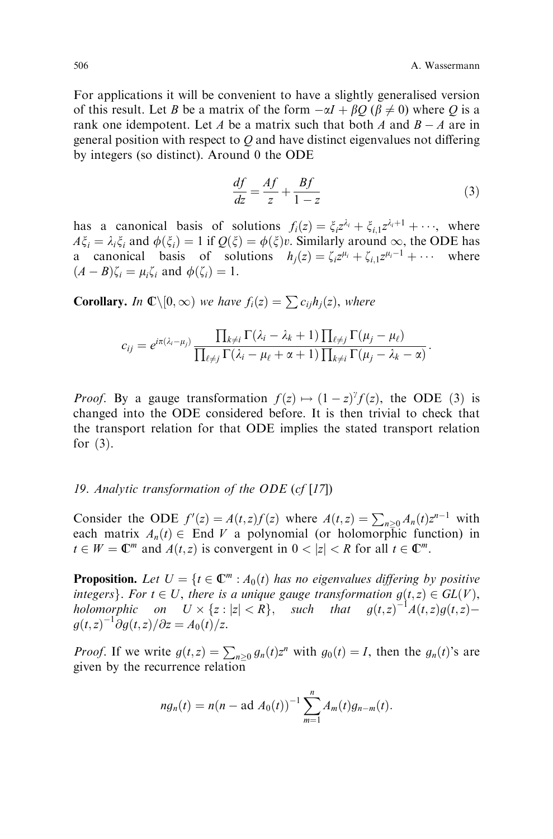:

For applications it will be convenient to have a slightly generalised version of this result. Let B be a matrix of the form  $-\alpha I + \beta Q$  ( $\beta \neq 0$ ) where Q is a rank one idempotent. Let A be a matrix such that both A and  $B - A$  are in general position with respect to  $Q$  and have distinct eigenvalues not differing by integers (so distinct). Around 0 the ODE

$$
\frac{df}{dz} = \frac{Af}{z} + \frac{Bf}{1 - z} \tag{3}
$$

has a canonical basis of solutions  $f_i(z) = \xi_i z^{\lambda_i} + \xi_{i,1} z^{\lambda_i+1} + \cdots$ , where  $A\xi_i = \lambda_i \xi_i$  and  $\phi(\xi_i) = 1$  if  $Q(\xi) = \phi(\xi)v$ . Similarly around  $\infty$ , the ODE has a canonical basis of solutions  $h_i(z) = \zeta_i z^{\mu_i} + \zeta_{i,1} z^{\mu_i-1} + \cdots$  where  $(A - B)\zeta_i = \mu_i \zeta_i$  and  $\phi(\zeta_i) = 1$ .

**Corollary.** In  $\mathbb{C}\setminus[0,\infty)$  we have  $f_i(z) = \sum c_{ij}h_j(z)$ , where

$$
c_{ij} = e^{i\pi(\lambda_i - \mu_j)} \frac{\prod_{k \neq i} \Gamma(\lambda_i - \lambda_k + 1) \prod_{\ell \neq j} \Gamma(\mu_j - \mu_\ell)}{\prod_{\ell \neq j} \Gamma(\lambda_i - \mu_\ell + \alpha + 1) \prod_{k \neq i} \Gamma(\mu_j - \lambda_k - \alpha)}
$$

*Proof.* By a gauge transformation  $f(z) \mapsto (1-z)^{\gamma} f(z)$ , the ODE (3) is changed into the ODE considered before. It is then trivial to check that the transport relation for that ODE implies the stated transport relation for  $(3)$ .

# 19. Analytic transformation of the ODE  $(cf[17])$

Consider the ODE  $f'(z) = A(t, z)f(z)$  where  $A(t, z) = \sum_{n \geq 0} A_n(t)z^{n-1}$  with each matrix  $A_n(t) \in$  End V a polynomial (or holomorphic function) in  $t \in W = \mathbb{C}^m$  and  $A(t, z)$  is convergent in  $0 < |z| < R$  for all  $t \in \mathbb{C}^m$ .

**Proposition.** Let  $U = \{t \in \mathbb{C}^m : A_0(t) \text{ has no eigenvalues differing by positive } \}$ integers}. For  $t \in U$ , there is a unique gauge transformation  $g(t, z) \in GL(V)$ , holomorphic on  $U \times \{z : |z| < R\}$ , such that  $g(t, z)^{-1}A(t, z)g(t, z)$  $g(t,z)^{-1}\partial g(t,z)/\partial z = A_0(t)/z.$ 

*Proof.* If we write  $g(t, z) = \sum_{n \geq 0} g_n(t) z^n$  with  $g_0(t) = I$ , then the  $g_n(t)$ 's are given by the recurrence relation

$$
ng_n(t) = n(n - \text{ad }A_0(t))^{-1} \sum_{m=1}^n A_m(t)g_{n-m}(t).
$$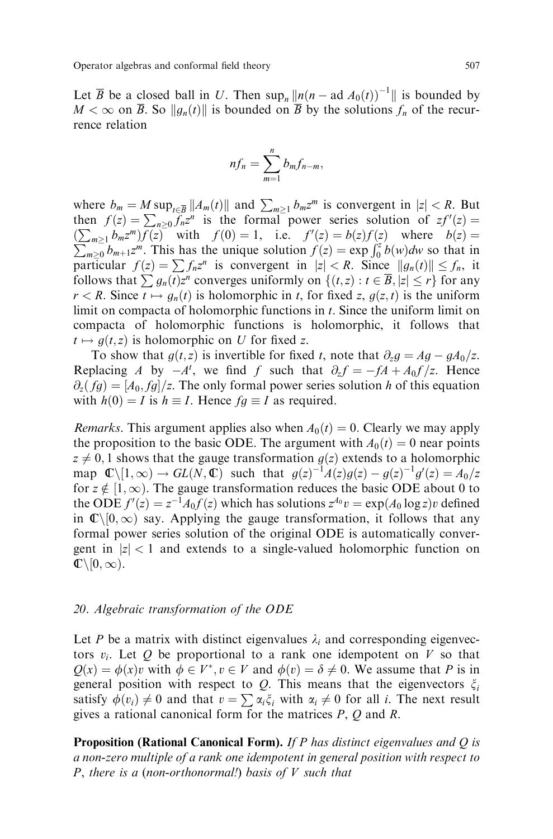Operator algebras and conformal field theory 507

Let  $\overline{B}$  be a closed ball in U. Then sup<sub>n</sub>  $\Vert n(n - \text{ad }A_0(t))^{-1} \Vert$  is bounded by  $M < \infty$  on  $\overline{B}$ . So  $\|g_n(t)\|$  is bounded on  $\overline{B}$  by the solutions  $f_n$  of the recurrence relation

$$
nf_n=\sum_{m=1}^n b_m f_{n-m},
$$

where  $b_m = M \sup_{t \in \overline{B}} ||A_m(t)||$  and  $\sum_{m \geq 1} b_m z^m$  is convergent in  $|z| < R$ . But then  $f(z) = \sum_{n\geq 0} \overline{f_n} z^n$  is the formal power series solution of  $zf'(z) =$  $(\sum_{m\geq 1} b_m z^m) f(z)$  with  $f(0) = 1$ , i.e.  $f'(z) = b(z) f(z)$  where  $b(z) =$  $\sum_{m\geq 0}^{m\geq 1} b_{m+1}z^m$ . This has the unique solution  $f(z) = \exp \int_0^z b(w)dw$  so that in particular  $f(z) = \sum f_n z^n$  is convergent in  $|z| < R$ . Since  $||g_n(t)|| \le f_n$ , it follows that  $\sum g_n(t)z^n$  converges uniformly on  $\{(t,z) : t \in \overline{B}, |z| \leq r\}$  for any  $r < R$ . Since  $t \mapsto g_n(t)$  is holomorphic in t, for fixed z,  $g(z, t)$  is the uniform limit on compacta of holomorphic functions in  $t$ . Since the uniform limit on compacta of holomorphic functions is holomorphic, it follows that  $t \mapsto g(t, z)$  is holomorphic on U for fixed z.

To show that  $g(t, z)$  is invertible for fixed t, note that  $\partial_z g = Ag - gA_0/z$ . Replacing A by  $-A^t$ , we find f such that  $\partial_z f = -fA + A_0 f / z$ . Hence  $\partial_z (fg) = [A_0, fg]/z$ . The only formal power series solution h of this equation with  $h(0) = I$  is  $h \equiv I$ . Hence  $fg \equiv I$  as required.

*Remarks*. This argument applies also when  $A_0(t) = 0$ . Clearly we may apply the proposition to the basic ODE. The argument with  $A_0(t) = 0$  near points  $z \neq 0, 1$  shows that the gauge transformation  $g(z)$  extends to a holomorphic map  $\mathbb{C}\setminus[1,\infty) \to GL(N,\mathbb{C})$  such that  $g(z)^{-1}A(z)g(z) - g(z)^{-1}g'(z) = A_0/z$ for  $z \notin [1,\infty)$ . The gauge transformation reduces the basic ODE about 0 to the ODE  $f'(z) = z^{-1}A_0f(z)$  which has solutions  $z^{A_0}v = \exp(A_0 \log z)v$  defined in  $\mathbb{C}\setminus[0,\infty)$  say. Applying the gauge transformation, it follows that any formal power series solution of the original ODE is automatically convergent in  $|z| < 1$  and extends to a single-valued holomorphic function on  $\mathbb{C}\backslash [0,\infty).$ 

## 20. Algebraic transformation of the ODE

Let P be a matrix with distinct eigenvalues  $\lambda_i$  and corresponding eigenvectors  $v_i$ . Let Q be proportional to a rank one idempotent on V so that  $Q(x) = \phi(x)v$  with  $\phi \in V^*$ ,  $v \in V$  and  $\phi(v) = \delta \neq 0$ . We assume that P is in general position with respect to Q. This means that the eigenvectors  $\xi_i$ satisfy  $\phi(v_i) \neq 0$  and that  $v = \sum_{i} \alpha_i \xi_i$  with  $\alpha_i \neq 0$  for all i. The next result gives a rational canonical form for the matrices P, Q and R.

**Proposition (Rational Canonical Form).** If P has distinct eigenvalues and  $Q$  is a non-zero multiple of a rank one idempotent in general position with respect to P, there is a (non-orthonormal!) basis of  $V$  such that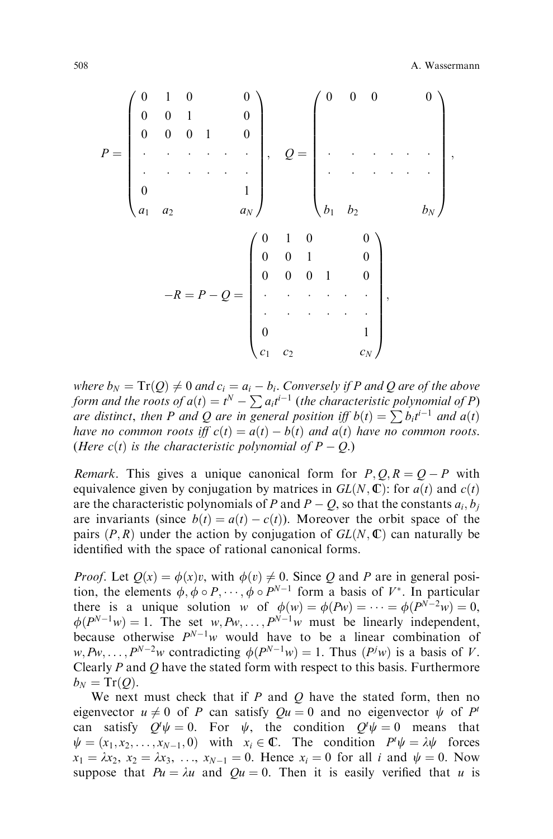$$
P = \begin{pmatrix} 0 & 1 & 0 & & & 0 \\ 0 & 0 & 1 & & 0 \\ & \ddots & \ddots & \ddots & \ddots \\ & & & & 1 \\ 0 & & & & 1 \\ a_1 & a_2 & & & a_N \end{pmatrix}, \quad Q = \begin{pmatrix} 0 & 0 & 0 & & 0 \\ & & & & 0 \\ & & & & \ddots \\ & & & & & \ddots \\ & & & & & & \vdots \\ b_1 & b_2 & & & b_N \end{pmatrix},
$$

$$
-R = P - Q = \begin{pmatrix} 0 & 1 & 0 & & 0 \\ & 0 & 0 & 1 & & 0 \\ & & & & \ddots & \ddots \\ 0 & & 0 & 1 & & 0 \\ & & & & & \ddots \\ & & & & & & \vdots \\ 0 & & & & & 1 \\ c_1 & c_2 & & & c_N \end{pmatrix},
$$

where  $b_N = Tr(Q) \neq 0$  and  $c_i = a_i - b_i$ . Conversely if P and Q are of the above form and the roots of  $a(t) = t^N - \sum a_i t^{i-1}$  (the characteristic polynomial of P) are distinct, then P and Q are in general position iff  $b(t) = \sum b_i t^{i-1}$  and  $a(t)$ have no common roots iff  $c(t) = a(t) - b(t)$  and  $a(t)$  have no common roots. (Here c(t) is the characteristic polynomial of  $P - Q$ .)

Remark. This gives a unique canonical form for  $P, Q, R = Q - P$  with equivalence given by conjugation by matrices in  $GL(N, \mathbb{C})$ : for  $a(t)$  and  $c(t)$ are the characteristic polynomials of P and  $P - Q$ , so that the constants  $a_i, b_j$ are invariants (since  $b(t) = a(t) - c(t)$ ). Moreover the orbit space of the pairs  $(P, R)$  under the action by conjugation of  $GL(N, \mathbb{C})$  can naturally be identified with the space of rational canonical forms.

*Proof.* Let  $Q(x) = \phi(x)v$ , with  $\phi(v) \neq 0$ . Since Q and P are in general position, the elements  $\phi, \phi \circ P, \cdots, \phi \circ P^{N-1}$  form a basis of  $V^*$ . In particular there is a unique solution w of  $\phi(w) = \phi(Pw) = \cdots = \phi(P^{\tilde{N}-2}w) = 0$ ,  $\phi(P^{N-1}w) = 1$ . The set  $w, Pw, \ldots, P^{N-1}w$  must be linearly independent, because otherwise  $P^{N-1}w$  would have to be a linear combination of  $w, Pw, \ldots, P^{N-2}w$  contradicting  $\phi(P^{N-1}w) = 1$ . Thus  $(P^jw)$  is a basis of V. Clearly  $P$  and  $Q$  have the stated form with respect to this basis. Furthermore  $b_N = Tr(Q)$ .

We next must check that if  $P$  and  $Q$  have the stated form, then no eigenvector  $u \neq 0$  of P can satisfy  $Qu = 0$  and no eigenvector  $\psi$  of P<sup>t</sup> can satisfy  $Q^t \psi = 0$ . For  $\psi$ , the condition  $Q^t \psi = 0$  means that  $\psi = (x_1, x_2, \dots, x_{N-1}, 0)$  with  $x_i \in \mathbb{C}$ . The condition  $P^t \psi = \lambda \psi$  forces  $x_1 = \lambda x_2, x_2 = \lambda x_3, ..., x_{N-1} = 0$ . Hence  $x_i = 0$  for all i and  $\psi = 0$ . Now suppose that  $Pu = \lambda u$  and  $Qu = 0$ . Then it is easily verified that u is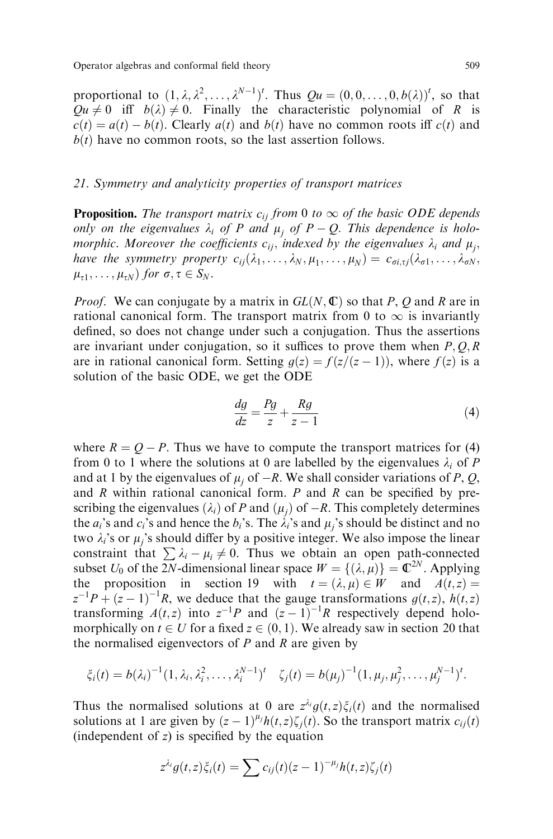proportional to  $(1, \lambda, \lambda^2, \ldots, \lambda^{N-1})^t$ . Thus  $Qu = (0, 0, \ldots, 0, b(\lambda))^t$ , so that  $Qu \neq 0$  iff  $b(\lambda) \neq 0$ . Finally the characteristic polynomial of R is  $c(t) = a(t) - b(t)$ . Clearly  $a(t)$  and  $b(t)$  have no common roots iff  $c(t)$  and  $b(t)$  have no common roots, so the last assertion follows.

## 21. Symmetry and analyticity properties of transport matrices

**Proposition.** The transport matrix  $c_{ii}$  from 0 to  $\infty$  of the basic ODE depends only on the eigenvalues  $\lambda_i$  of P and  $\mu_j$  of P – Q. This dependence is holomorphic. Moreover the coefficients  $c_{ii}$ , indexed by the eigenvalues  $\lambda_i$  and  $\mu_i$ , have the symmetry property  $c_{ij}(\lambda_1,\ldots,\lambda_N,\mu_1,\ldots,\mu_N) = c_{\sigma i,\tau j}(\lambda_{\sigma 1},\ldots,\lambda_{\sigma N},\lambda_N)$  $\mu_{\tau 1}, \ldots, \mu_{\tau N}$  for  $\sigma, \tau \in S_N$ .

*Proof.* We can conjugate by a matrix in  $GL(N, \mathbb{C})$  so that P, Q and R are in rational canonical form. The transport matrix from 0 to  $\infty$  is invariantly defined, so does not change under such a conjugation. Thus the assertions are invariant under conjugation, so it suffices to prove them when  $P, Q, R$ are in rational canonical form. Setting  $g(z) = f(z/(z-1))$ , where  $f(z)$  is a solution of the basic ODE, we get the ODE

$$
\frac{dg}{dz} = \frac{Pg}{z} + \frac{Rg}{z - 1} \tag{4}
$$

where  $R = Q - P$ . Thus we have to compute the transport matrices for (4) from 0 to 1 where the solutions at 0 are labelled by the eigenvalues  $\lambda_i$  of P and at 1 by the eigenvalues of  $\mu_i$  of  $-R$ . We shall consider variations of P, Q, and  $R$  within rational canonical form.  $P$  and  $R$  can be specified by prescribing the eigenvalues  $(\lambda_i)$  of P and  $(\mu_i)$  of  $-R$ . This completely determines the  $a_i$ 's and  $c_i$ 's and hence the  $b_i$ 's. The  $\lambda_i$ 's and  $\mu_i$ 's should be distinct and no two  $\lambda_i$ 's or  $\mu_i$ 's should differ by a positive integer. We also impose the linear constraint that  $\sum \lambda_i - \mu_i \neq 0$ . Thus we obtain an open path-connected subset  $U_0$  of the  $2N$ -dimensional linear space  $W = \{(\lambda, \mu)\}\ = \mathbb{C}^{2N}$ . Applying the proposition in section 19 with  $t = (\lambda, \mu) \in W$  and  $A(t, z) =$  $z^{-1}P + (z-1)^{-1}R$ , we deduce that the gauge transformations  $g(t, z)$ ,  $h(t, z)$ transforming  $A(t, z)$  into  $z^{-1}P$  and  $(z - 1)^{-1}R$  respectively depend holomorphically on  $t \in U$  for a fixed  $z \in (0, 1)$ . We already saw in section 20 that the normalised eigenvectors of  $P$  and  $R$  are given by

$$
\xi_i(t) = b(\lambda_i)^{-1} (1, \lambda_i, \lambda_i^2, \dots, \lambda_i^{N-1})^t \quad \zeta_j(t) = b(\mu_j)^{-1} (1, \mu_j, \mu_j^2, \dots, \mu_j^{N-1})^t.
$$

Thus the normalised solutions at 0 are  $z^{\lambda_i}g(t,z)\xi_i(t)$  and the normalised solutions at 1 are given by  $(z - 1)^{\mu_j} h(t, z) \zeta_j(t)$ . So the transport matrix  $c_{ij}(t)$ (independent of  $z$ ) is specified by the equation

$$
z^{\lambda_i}g(t,z)\xi_i(t)=\sum c_{ij}(t)(z-1)^{-\mu_j}h(t,z)\zeta_j(t)
$$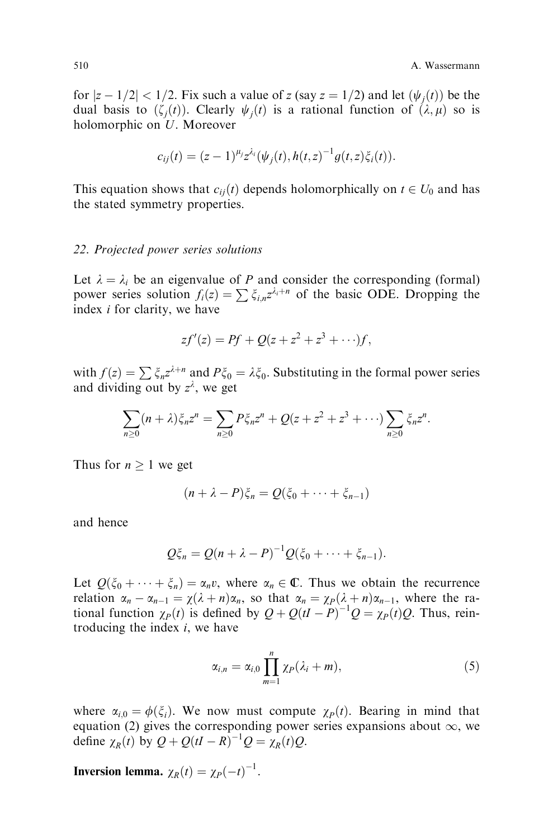for  $|z - 1/2| < 1/2$ . Fix such a value of z (say  $z = 1/2$ ) and let  $(\psi_i(t))$  be the dual basis to  $(\zeta_i(t))$ . Clearly  $\psi_i(t)$  is a rational function of  $(\lambda, \mu)$  so is holomorphic on U. Moreover

$$
c_{ij}(t) = (z-1)^{\mu_j} z^{\lambda_i} (\psi_j(t), h(t, z)^{-1} g(t, z) \xi_i(t)).
$$

This equation shows that  $c_{ij}(t)$  depends holomorphically on  $t \in U_0$  and has the stated symmetry properties.

#### 22. Projected power series solutions

Let  $\lambda = \lambda_i$  be an eigenvalue of P and consider the corresponding (formal) power series solution  $f_i(z) = \sum \xi_{i,n} z^{\lambda_i+n}$  of the basic ODE. Dropping the index i for clarity, we have

$$
zf'(z) = Pf + Q(z + z^2 + z^3 + \cdots)f,
$$

with  $f(z) = \sum \xi_n z^{\lambda+n}$  and  $P\xi_0 = \lambda \xi_0$ . Substituting in the formal power series and dividing out by  $z^{\lambda}$ , we get

$$
\sum_{n\geq 0} (n+\lambda)\xi_n z^n = \sum_{n\geq 0} P\xi_n z^n + Q(z+z^2+z^3+\cdots) \sum_{n\geq 0} \xi_n z^n.
$$

Thus for  $n \geq 1$  we get

$$
(n+\lambda-P)\xi_n=Q(\xi_0+\cdots+\xi_{n-1})
$$

and hence

$$
Q\xi_n = Q(n + \lambda - P)^{-1}Q(\xi_0 + \cdots + \xi_{n-1}).
$$

Let  $Q(\xi_0 + \cdots + \xi_n) = \alpha_n v$ , where  $\alpha_n \in \mathbb{C}$ . Thus we obtain the recurrence relation  $\alpha_n - \alpha_{n-1} = \chi(\lambda + n)\alpha_n$ , so that  $\alpha_n = \chi_P(\lambda + n)\alpha_{n-1}$ , where the rational function  $\chi_P(t)$  is defined by  $Q + Q(tI - P)^{-1}Q = \chi_P(t)Q$ . Thus, reintroducing the index  $i$ , we have

$$
\alpha_{i,n} = \alpha_{i,0} \prod_{m=1}^{n} \chi_P(\lambda_i + m), \qquad (5)
$$

where  $\alpha_{i,0} = \phi(\xi_i)$ . We now must compute  $\chi_P(t)$ . Bearing in mind that equation (2) gives the corresponding power series expansions about  $\infty$ , we define  $\chi_R(t)$  by  $Q + Q(tI - R)^{-1}Q = \chi_R(t)Q$ .

**Inversion lemma.**  $\chi_R(t) = \chi_P(-t)^{-1}$ .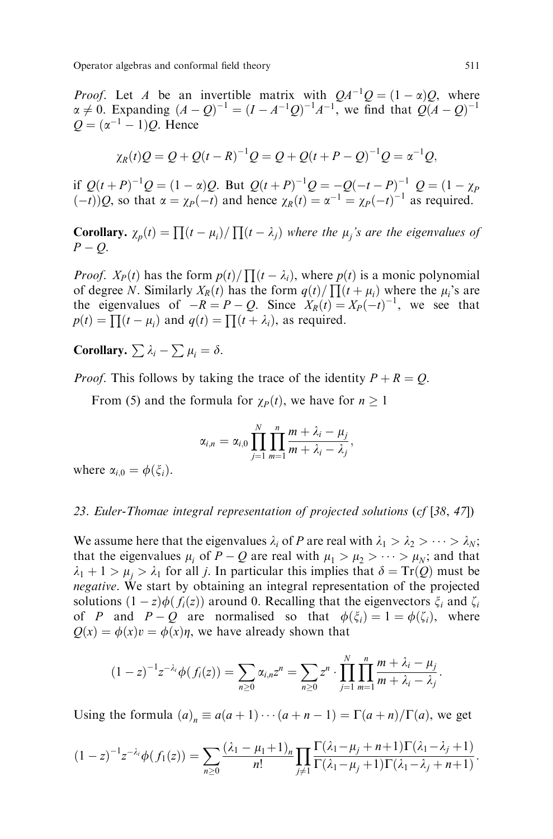Operator algebras and conformal field theory 511

*Proof.* Let A be an invertible matrix with  $QA^{-1}Q = (1 - \alpha)Q$ , where  $\alpha \neq 0$ . Expanding  $(A - Q)^{-1} = (I - A^{-1}Q)^{-1}A^{-1}$ , we find that  $Q(A - Q)^{-1}$  $Q = (\alpha^{-1} - 1)Q$ . Hence

$$
\chi_R(t)Q = Q + Q(t - R)^{-1}Q = Q + Q(t + P - Q)^{-1}Q = \alpha^{-1}Q,
$$

if  $Q(t+P)^{-1}Q = (1-\alpha)Q$ . But  $Q(t+P)^{-1}Q = -Q(-t-P)^{-1}Q = (1-\chi_P)$  $\widetilde{f}(-t)$ )Q, so that  $\alpha = \chi_P(-t)$  and hence  $\chi_R(t) = \alpha^{-1} = \chi_P(-t)^{-1}$  as required.

**Corollary.**  $\chi_p(t) = \prod (t - \mu_i) / \prod (t - \lambda_j)$  where the  $\mu_j$ 's are the eigenvalues of  $P - Q$ .

*Proof.*  $X_P(t)$  has the form  $p(t) / \prod_{i=1}^k (t - \lambda_i)$ , where  $p(t)$  is a monic polynomial of degree N. Similarly  $X_R(t)$  has the form  $q(t)/\prod (t + \mu_i)$  where the  $\mu_i$ 's are the eigenvalues of  $-R = P - Q$ . Since  $X_R(t) = X_P(-t)^{-1}$ , we see that  $p(t) = \prod (t - \mu_i)$  and  $q(t) = \prod (t + \lambda_i)$ , as required.

Corollary.  $\sum \lambda_i - \sum \mu_i = \delta$ .

*Proof.* This follows by taking the trace of the identity  $P + R = Q$ .

From (5) and the formula for  $\chi_P(t)$ , we have for  $n \geq 1$ 

$$
\alpha_{i,n} = \alpha_{i,0} \prod_{j=1}^N \prod_{m=1}^n \frac{m + \lambda_i - \mu_j}{m + \lambda_i - \lambda_j},
$$

where  $\alpha_{i,0} = \phi(\xi_i)$ .

# 23. Euler-Thomae integral representation of projected solutions (cf [38, 47])

We assume here that the eigenvalues  $\lambda_i$  of P are real with  $\lambda_1 > \lambda_2 > \cdots > \lambda_N$ ; that the eigenvalues  $\mu_i$  of  $P - Q$  are real with  $\mu_1 > \mu_2 > \cdots > \mu_N$ ; and that  $\lambda_1 + 1 > \mu_i > \lambda_1$  for all *j*. In particular this implies that  $\delta = \text{Tr}(Q)$  must be negative. We start by obtaining an integral representation of the projected solutions  $(1 - z)\phi(f_i(z))$  around 0. Recalling that the eigenvectors  $\xi_i$  and  $\zeta_i$ of P and  $P - Q$  are normalised so that  $\phi(\xi_i) = 1 = \phi(\zeta_i)$ , where  $Q(x) = \phi(x)v = \phi(x)\eta$ , we have already shown that

$$
(1-z)^{-1}z^{-\lambda_i}\phi(f_i(z))=\sum_{n\geq 0}\alpha_{i,n}z^n=\sum_{n\geq 0}z^n\cdot\prod_{j=1}^N\prod_{m=1}^n\frac{m+\lambda_i-\mu_j}{m+\lambda_i-\lambda_j}.
$$

Using the formula  $(a)_n \equiv a(a + 1) \cdots (a + n - 1) = \Gamma(a + n) / \Gamma(a)$ , we get

$$
(1-z)^{-1}z^{-\lambda_i}\phi(f_1(z))=\sum_{n\geq 0}\frac{(\lambda_1-\mu_1+1)_n}{n!}\prod_{j\neq 1}\frac{\Gamma(\lambda_1-\mu_j+n+1)\Gamma(\lambda_1-\lambda_j+1)}{\Gamma(\lambda_1-\mu_j+1)\Gamma(\lambda_1-\lambda_j+n+1)}.
$$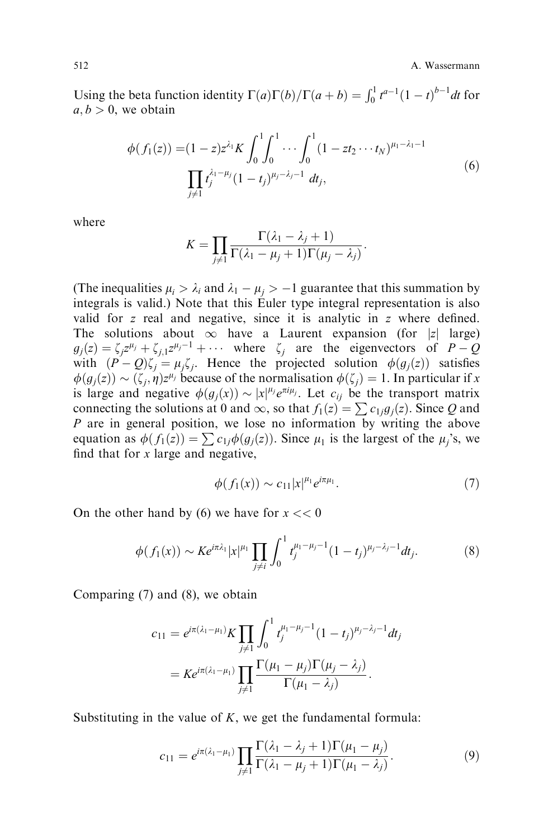512 **A. Wassermann** 

Using the beta function identity  $\Gamma(a)\Gamma(b)/\Gamma(a+b) = \int_0^1 t^{a-1}(1-t)^{b-1}dt$  for  $a, b > 0$ , we obtain

$$
\phi(f_1(z)) = (1-z)z^{\lambda_1} K \int_0^1 \int_0^1 \cdots \int_0^1 (1 - z t_2 \cdots t_N)^{\mu_1 - \lambda_1 - 1}
$$
\n
$$
\prod_{j \neq 1} t_j^{\lambda_1 - \mu_j} (1 - t_j)^{\mu_j - \lambda_j - 1} dt_j,
$$
\n(6)

where

$$
K = \prod_{j \neq 1} \frac{\Gamma(\lambda_1 - \lambda_j + 1)}{\Gamma(\lambda_1 - \mu_j + 1)\Gamma(\mu_j - \lambda_j)}.
$$

(The inequalities  $\mu_i > \lambda_i$  and  $\lambda_1 - \mu_i > -1$  guarantee that this summation by integrals is valid.) Note that this Euler type integral representation is also valid for  $z$  real and negative, since it is analytic in  $z$  where defined. The solutions about  $\infty$  have a Laurent expansion (for |z| large)  $g_j(z) = \zeta_i z^{\mu_j} + \zeta_{j,1} z^{\mu_j - 1} + \cdots$  where  $\zeta_j$  are the eigenvectors of  $P - Q$ with  $(P - Q)\zeta_i = \mu_i \zeta_i$ . Hence the projected solution  $\phi(g_i(z))$  satisfies  $\phi(g_j(z)) \sim (\zeta_j, \eta) z^{\mu_j}$  because of the normalisation  $\phi(\zeta_j) = 1$ . In particular if x is large and negative  $\phi(g_j(x)) \sim |x|^{\mu_j} e^{\pi i \mu_j}$ . Let  $c_{ij}$  be the transport matrix connecting the solutions at 0 and  $\infty$ , so that  $f_1(z) = \sum c_{1j}g_j(z)$ . Since Q and P are in general position, we lose no information by writing the above equation as  $\phi(f_1(z)) = \sum c_{1j}\phi(g_j(z))$ . Since  $\mu_1$  is the largest of the  $\mu_j$ 's, we find that for  $x$  large and negative,

$$
\phi(f_1(x)) \sim c_{11}|x|^{\mu_1} e^{i\pi \mu_1}.\tag{7}
$$

On the other hand by (6) we have for  $x \ll 0$ 

$$
\phi(f_1(x)) \sim Ke^{i\pi\lambda_1}|x|^{\mu_1}\prod_{j\neq i}\int_0^1 t_j^{\mu_1-\mu_j-1}(1-t_j)^{\mu_j-\lambda_j-1}dt_j.
$$
 (8)

Comparing (7) and (8), we obtain

$$
c_{11} = e^{i\pi(\lambda_1 - \mu_1)} K \prod_{j \neq 1} \int_0^1 t_j^{\mu_1 - \mu_j - 1} (1 - t_j)^{\mu_j - \lambda_j - 1} dt_j
$$
  
=  $K e^{i\pi(\lambda_1 - \mu_1)} \prod_{j \neq 1} \frac{\Gamma(\mu_1 - \mu_j) \Gamma(\mu_j - \lambda_j)}{\Gamma(\mu_1 - \lambda_j)}.$ 

Substituting in the value of  $K$ , we get the fundamental formula:

$$
c_{11} = e^{i\pi(\lambda_1 - \mu_1)} \prod_{j \neq 1} \frac{\Gamma(\lambda_1 - \lambda_j + 1)\Gamma(\mu_1 - \mu_j)}{\Gamma(\lambda_1 - \mu_j + 1)\Gamma(\mu_1 - \lambda_j)}.
$$
(9)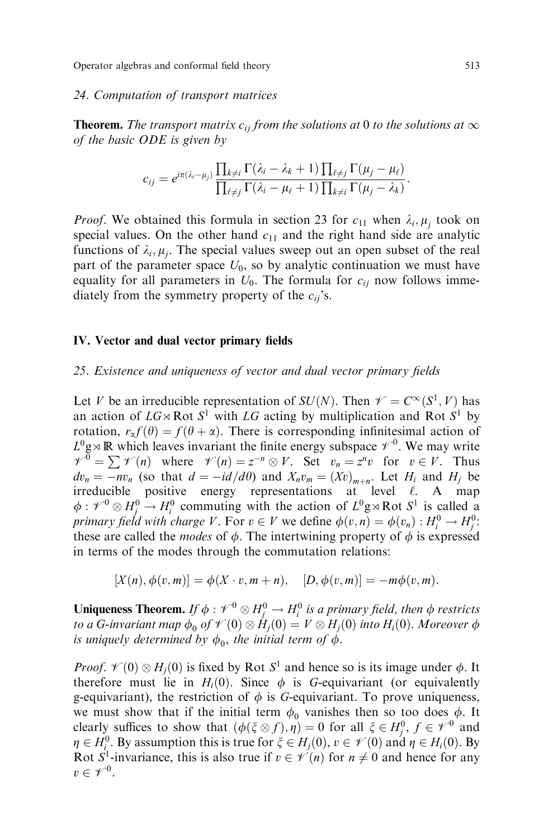#### 24. Computation of transport matrices

**Theorem.** The transport matrix  $c_{ij}$  from the solutions at 0 to the solutions at  $\infty$ of the basic ODE is given by

$$
c_{ij}=e^{i\pi(\lambda_i-\mu_j)}\frac{\prod_{k\neq i}\Gamma(\lambda_i-\lambda_k+1)\prod_{\ell\neq j}\Gamma(\mu_j-\mu_\ell)}{\prod_{\ell\neq j}\Gamma(\lambda_i-\mu_\ell+1)\prod_{k\neq i}\Gamma(\mu_j-\lambda_k)}.
$$

*Proof.* We obtained this formula in section 23 for  $c_{11}$  when  $\lambda_i$ ,  $\mu_i$  took on special values. On the other hand  $c_{11}$  and the right hand side are analytic functions of  $\lambda_i$ ,  $\mu_i$ . The special values sweep out an open subset of the real part of the parameter space  $U_0$ , so by analytic continuation we must have equality for all parameters in  $U_0$ . The formula for  $c_{ii}$  now follows immediately from the symmetry property of the  $c_{ii}$ 's.

#### IV. Vector and dual vector primary fields

## $25.$  Existence and uniqueness of vector and dual vector primary fields

Let V be an irreducible representation of  $SU(N)$ . Then  $\mathscr{V} = C^{\infty}(S^1, V)$  has an action of  $LG \rtimes \text{Rot } S^1$  with LG acting by multiplication and Rot  $S^1$  by rotation,  $r_{\alpha} f(\theta) = f(\theta + \alpha)$ . There is corresponding infinitesimal action of  $L^0$ g $\times$  R which leaves invariant the finite energy subspace  $\mathscr{V}^0$ . We may write  $V^0 = \sum \mathcal{V}(n)$  where  $\mathcal{V}(n) = z^{-n} \otimes V$ . Set  $v_n = z^n v$  for  $v \in V$ . Thus  $dv_n = -nv_n$  (so that  $d = -id/d\theta$ ) and  $X_nv_m = (Xv)_{m+n}$ . Let  $H_i$  and  $H_j$  be irreducible positive energy representations at level  $\ell$ . A map  $\phi: \mathscr{V}^0 \otimes H_j^0 \to H_i^0$  commuting with the action of  $L^0 \mathfrak{g} \rtimes \text{Rot } S^1$  is called a primary field with charge V. For  $v \in V$  we define  $\phi(v,n) = \phi(v_n) : H_i^0 \to H_j^0$ : these are called the *modes* of  $\phi$ . The intertwining property of  $\phi$  is expressed in terms of the modes through the commutation relations:

$$
[X(n), \phi(v, m)] = \phi(X \cdot v, m + n), \quad [D, \phi(v, m)] = -m\phi(v, m).
$$

**Uniqueness Theorem.** If  $\phi : \mathscr{V}^0 \otimes H_j^0 \to H_i^0$  is a primary field, then  $\phi$  restricts to a G-invariant map  $\phi_0$  of  $\mathscr{V}(0)\otimes H_j(0)=V\otimes H_j(0)$  into  $H_i(0).$  Moreover  $\phi$ is uniquely determined by  $\phi_0$ , the initial term of  $\phi$ .

*Proof.*  $\mathcal{V}(0) \otimes H_j(0)$  is fixed by Rot  $S^1$  and hence so is its image under  $\phi$ . It therefore must lie in  $H_i(0)$ . Since  $\phi$  is G-equivariant (or equivalently g-equivariant), the restriction of  $\phi$  is G-equivariant. To prove uniqueness, we must show that if the initial term  $\phi_0$  vanishes then so too does  $\phi$ . It clearly suffices to show that  $(\phi(\xi \otimes f), \eta) = 0$  for all  $\xi \in H_1^0$ ,  $f \in \mathcal{V}^0$  and  $\eta \in H_i^0$ . By assumption this is true for  $\xi \in H_i(0)$ ,  $v \in \mathcal{V}(0)$  and  $\eta \in H_i(0)$ . By Rot  $S^1$ -invariance, this is also true if  $v \in \mathcal{V}(n)$  for  $n \neq 0$  and hence for any  $v \in \mathscr{V}^0$ .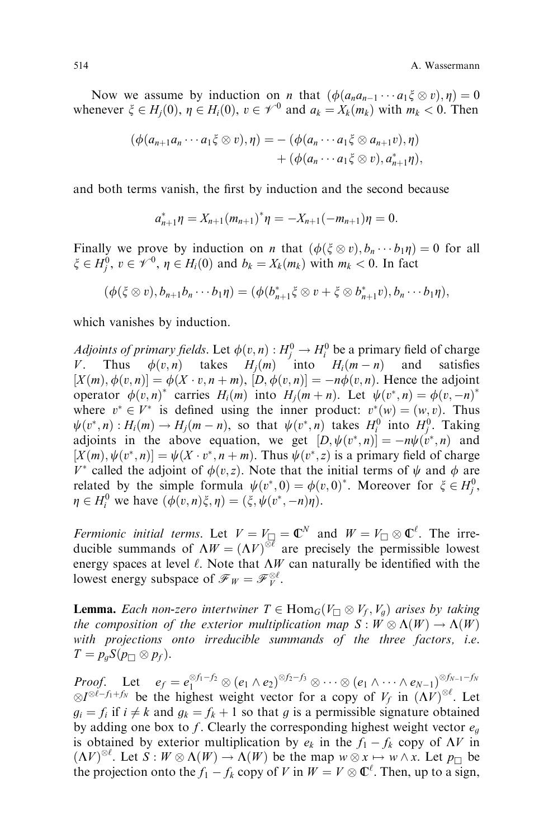Now we assume by induction on *n* that  $(\phi(a_n a_{n-1} \cdots a_1 \xi \otimes v), \eta) = 0$ whenever  $\xi \in H_i(0)$ ,  $\eta \in H_i(0)$ ,  $v \in \mathcal{V}^0$  and  $a_k = X_k(m_k)$  with  $m_k < 0$ . Then

$$
(\phi(a_{n+1}a_n\cdots a_1\xi\otimes v),\eta) = -(\phi(a_n\cdots a_1\xi\otimes a_{n+1}v),\eta) +(\phi(a_n\cdots a_1\xi\otimes v),a_{n+1}^*\eta),
$$

and both terms vanish, the first by induction and the second because

$$
a_{n+1}^* \eta = X_{n+1} (m_{n+1})^* \eta = -X_{n+1} (-m_{n+1}) \eta = 0.
$$

Finally we prove by induction on *n* that  $(\phi(\xi \otimes v), b_n \cdots b_1 \eta) = 0$  for all  $\xi \in H_j^0$ ,  $v \in \mathscr{V}^0$ ,  $\eta \in H_i(0)$  and  $b_k = X_k(m_k)$  with  $m_k < 0$ . In fact

$$
(\phi(\xi\otimes v),b_{n+1}b_n\cdots b_1\eta)=(\phi(b_{n+1}^*\xi\otimes v+\xi\otimes b_{n+1}^*v),b_n\cdots b_1\eta),
$$

which vanishes by induction.

*Adjoints of primary fields.* Let  $\phi(v, n) : H_j^0 \to H_i^0$  be a primary field of charge V. Thus  $\phi(v, n)$  takes  $H_i(m)$  into  $H_i(m - n)$  and satisfies  $[X(m), \phi(v, n)] = \phi(X \cdot v, n + m), [D, \phi(v, n)] = -n\phi(v, n).$  Hence the adjoint operator  $\phi(v, n)^*$  carries  $H_i(m)$  into  $H_j(m+n)$ . Let  $\psi(v^*, n) = \phi(v, -n)^*$ where  $v^* \in V^*$  is defined using the inner product:  $v^*(w) = (w, v)$ . Thus  $\psi(v^*, n) : H_i(m) \to H_j(m-n)$ , so that  $\psi(v^*, n)$  takes  $H_i^0$  into  $H_j^0$ . Taking adjoints in the above equation, we get  $[D, \psi(v^*, n)] = -n\psi(v^*, n)$  and  $[X(m), \psi(v^*, n)] = \psi(X \cdot v^*, n + m)$ . Thus  $\psi(v^*, z)$  is a primary field of charge  $V^*$  called the adjoint of  $\phi(v, z)$ . Note that the initial terms of  $\psi$  and  $\phi$  are related by the simple formula  $\psi(v^*,0) = \phi(v,0)^*$ . Moreover for  $\xi \in H_j^0$ ,  $\eta \in H_i^0$  we have  $(\phi(v, n)\xi, \eta) = (\xi, \psi(v^*, -n)\eta)$ .

Fermionic initial terms. Let  $V = V_{\square} = \mathbb{C}^N$  and  $W = V_{\square} \otimes \mathbb{C}^{\ell}$ . The irreducible summands of  $\Lambda W = (\Lambda V)^{\otimes \ell}$  are precisely the permissible lowest energy spaces at level  $\ell$ . Note that  $\Lambda W$  can naturally be identified with the lowest energy subspace of  $\mathscr{F}_W = \mathscr{F}_V^{\otimes \ell}$ .

**Lemma.** Each non-zero intertwiner  $T \in \text{Hom}_G(V_\square \otimes V_f, V_g)$  arises by taking the composition of the exterior multiplication map  $S:W\otimes\Lambda(W)\to\Lambda(W)$ with projections onto irreducible summands of the three factors, i.e.  $T = p_g S(p_\Box \otimes p_f).$ 

 $Proof.$  Let  $e_f = e_1^{\otimes f_1-f_2} \otimes (e_1 \wedge e_2)^{\otimes f_2-f_3} \otimes \cdots \otimes (e_1 \wedge \cdots \wedge e_{N-1})^{\otimes f_{N-1}-f_N}$  $\otimes I^{\otimes \ell-f_1+f_N}$  be the highest weight vector for a copy of  $V_f$  in  $(\Lambda V)^{\otimes \ell}$ . Let  $g_i = f_i$  if  $i \neq k$  and  $g_k = f_k + 1$  so that g is a permissible signature obtained by adding one box to f. Clearly the corresponding highest weight vector  $e_g$ is obtained by exterior multiplication by  $e_k$  in the  $f_1 - f_k$  copy of  $\Lambda V$  in  $(\Lambda V)^{\otimes \ell}$ . Let  $S: W \otimes \Lambda(W) \to \Lambda(W)$  be the map  $w \otimes x \mapsto w \wedge x$ . Let  $p_{\Box}$  be the projection onto the  $f_1 - f_k$  copy of V in  $W = V \otimes \mathbb{C}^{\ell}$ . Then, up to a sign,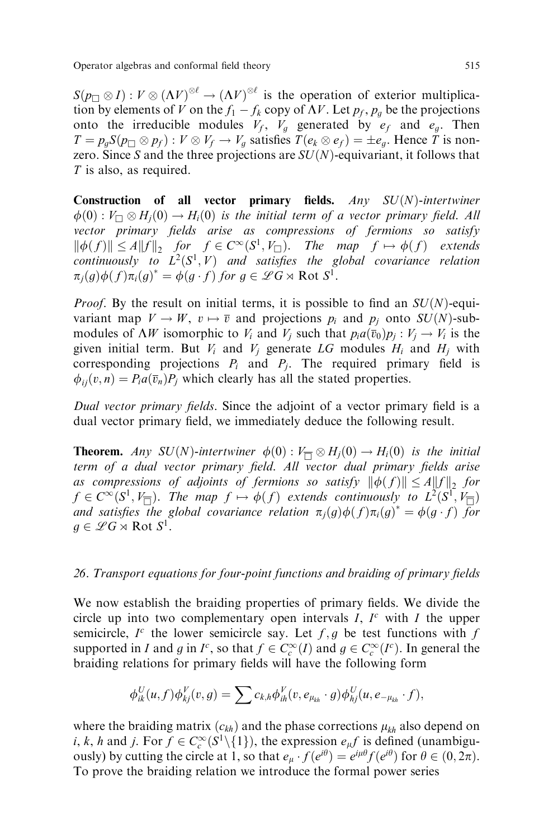$S(p_\square \otimes I) : V \otimes (\Lambda V)^{\otimes \ell} \to (\Lambda V)^{\otimes \ell}$  is the operation of exterior multiplication by elements of V on the  $f_1 - f_k$  copy of  $\Lambda V$ . Let  $p_f, p_g$  be the projections onto the irreducible modules  $V_f$ ,  $V_g$  generated by  $e_f$  and  $e_g$ . Then  $T = p_g S(p_{\square} \otimes p_f) : V \otimes V_f \to V_g$  satisfies  $T(e_k \otimes e_f) = \pm e_g$ . Hence T is nonzero. Since S and the three projections are  $SU(N)$ -equivariant, it follows that T is also, as required.

Construction of all vector primary fields.  $Any$   $SU(N)$ -intertwiner  $\phi(0): V_{\square} \otimes H_j(0) \to H_i(0)$  is the initial term of a vector primary field. All vector primary fields arise as compressions of fermions so satisfy  $\|\phi(f)\| \le A\|f\|_2$  for  $f \in C^\infty(S^1, V_\square)$ . The map  $f \mapsto \phi(f)$  extends continuously to  $L^2(S^1, V)$  and satisfies the global covariance relation  $\pi_j(g)\phi(f)\pi_i(g)^* = \phi(g\cdot f)$  for  $g \in \mathscr{L}G \rtimes \text{Rot } S^1$ .

*Proof.* By the result on initial terms, it is possible to find an  $SU(N)$ -equivariant map  $V \to W$ ,  $v \mapsto \overline{v}$  and projections  $p_i$  and  $p_j$  onto  $SU(N)$ -submodules of  $\Lambda W$  isomorphic to  $V_i$  and  $V_j$  such that  $p_i a(\overline{v}_0)p_j : V_j \to V_i$  is the given initial term. But  $V_i$  and  $V_j$  generate LG modules  $H_i$  and  $H_j$  with corresponding projections  $P_i$  and  $P_j$ . The required primary field is  $\phi_{ii}(v, n) = P_i a(\overline{v}_n) P_i$  which clearly has all the stated properties.

Dual vector primary fields. Since the adjoint of a vector primary field is a dual vector primary field, we immediately deduce the following result.

**Theorem.** Any SU(N)-intertwiner  $\phi(0) : V_{\overline{\Box}} \otimes H_j(0) \to H_i(0)$  is the initial term of a dual vector primary field. All vector dual primary fields arise as compressions of adjoints of fermions so satisfy  $\|\phi(f)\| \le A \|f\|_2$  for  $f \in C^{\infty}(S^1, V_{\overline{\square}}).$  The map  $f \mapsto \phi(f)$  extends continuously to  $L^2(S^1, V_{\overline{\square}})$ and satisfies the global covariance relation  $\pi_j(g)\phi(f)\pi_i(g)^* = \phi(g \cdot f)$  for  $q \in \mathscr{L}G \rtimes \text{Rot } S^1$ .

## 26. Transport equations for four-point functions and braiding of primary fields

We now establish the braiding properties of primary fields. We divide the circle up into two complementary open intervals  $I, I<sup>c</sup>$  with  $I$  the upper semicircle,  $I^c$  the lower semicircle say. Let  $f, g$  be test functions with  $f$ supported in *I* and *g* in *I<sup>c</sup>*, so that  $f \in C_c^{\infty}(I)$  and  $g \in C_c^{\infty}(I^c)$ . In general the braiding relations for primary fields will have the following form

$$
\phi_{ik}^U(u,f)\phi_{kj}^V(v,g)=\sum c_{k,h}\phi_{ih}^V(v,e_{\mu_{kh}}\cdot g)\phi_{hj}^U(u,e_{-\mu_{kh}}\cdot f),
$$

where the braiding matrix  $(c_{kh})$  and the phase corrections  $\mu_{kh}$  also depend on *i*, *k*, *h* and *j*. For  $f \in C_c^{\infty}(\mathcal{S}^1 \setminus \{1\})$ , the expression  $e_{\mu}f$  is defined (unambiguously) by cutting the circle at 1, so that  $e_{\mu} \cdot f(e^{i\theta}) = e^{i\mu\theta} f(e^{i\theta})$  for  $\theta \in (0, 2\pi)$ . To prove the braiding relation we introduce the formal power series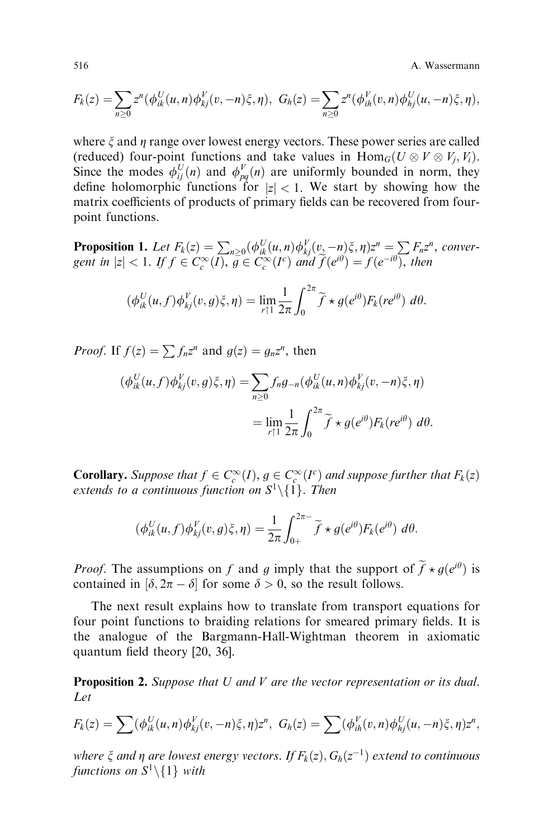516 A. Wassermann

$$
F_k(z) = \sum_{n\geq 0} z^n (\phi_{ik}^U(u, n) \phi_{kj}^V(v, -n) \xi, \eta), \ G_h(z) = \sum_{n\geq 0} z^n (\phi_{ih}^V(v, n) \phi_{hj}^U(u, -n) \xi, \eta),
$$

where  $\xi$  and  $\eta$  range over lowest energy vectors. These power series are called (reduced) four-point functions and take values in  $\text{Hom}_G(U \otimes V \otimes V_j, V_i)$ . Since the modes  $\phi_{ij}^U(n)$  and  $\phi_{pq}^V(n)$  are uniformly bounded in norm, they define holomorphic functions for  $|z| < 1$ . We start by showing how the matrix coefficients of products of primary fields can be recovered from fourpoint functions.

**Proposition 1.** Let  $F_k(z) = \sum_{n\geq 0} (\phi_{ik}^U(u, n)\phi_{kj}^V(v, -n)\xi, \eta)z^n = \sum F_n z^n$ , convergent in  $|z| < 1$ . If  $f \in C_c^{\infty}(\overline{I})$ ,  $g \in C_c^{\infty}(I^c)$  and  $\widetilde{f}(e^{i\theta}) = f(e^{-i\theta})$ , then

$$
(\phi_{ik}^U(u,f)\phi_{kj}^V(v,g)\xi,\eta) = \lim_{r \uparrow 1} \frac{1}{2\pi} \int_0^{2\pi} \widetilde{f} \star g(e^{i\theta}) F_k(re^{i\theta}) d\theta.
$$

*Proof.* If  $f(z) = \sum f_n z^n$  and  $g(z) = g_n z^n$ , then

$$
\begin{aligned} (\phi_{ik}^U(u,f)\phi_{kj}^V(v,g)\xi,\eta) &= \sum_{n\geq 0} f_n g_{-n}(\phi_{ik}^U(u,n)\phi_{kj}^V(v,-n)\xi,\eta) \\ &= \lim_{r\uparrow 1} \frac{1}{2\pi} \int_0^{2\pi} \widetilde{f} \star g(e^{i\theta}) F_k(re^{i\theta}) \ d\theta. \end{aligned}
$$

**Corollary.** Suppose that  $f \in C_c^{\infty}(I)$ ,  $g \in C_c^{\infty}(I^c)$  and suppose further that  $F_k(z)$ extends to a continuous function on  $S^1\backslash\{1\}$ . Then

$$
(\phi_{ik}^U(u,f)\phi_{kj}^V(v,g)\xi,\eta) = \frac{1}{2\pi} \int_{0+}^{2\pi-} \widetilde{f} \star g(e^{i\theta}) F_k(e^{i\theta}) d\theta.
$$

*Proof.* The assumptions on f and g imply that the support of  $\tilde{f} \star g(e^{i\theta})$  is contained in [S, 27, s] for some  $S > 0$  as the result follows contained in  $\delta$ ,  $2\pi - \delta$  for some  $\delta > 0$ , so the result follows.

The next result explains how to translate from transport equations for four point functions to braiding relations for smeared primary fields. It is the analogue of the Bargmann-Hall-Wightman theorem in axiomatic quantum field theory  $[20, 36]$ .

**Proposition 2.** Suppose that  $U$  and  $V$  are the vector representation or its dual. Let

$$
F_k(z) = \sum (\phi_{ik}^U(u, n) \phi_{kj}^V(v, -n) \xi, \eta) z^n, \ G_h(z) = \sum (\phi_{ih}^V(v, n) \phi_{hj}^U(u, -n) \xi, \eta) z^n,
$$

where  $\xi$  and  $\eta$  are lowest energy vectors. If  $F_k(z)$ ,  $G_h(z^{-1})$  extend to continuous functions on  $S^1\backslash\{1\}$  with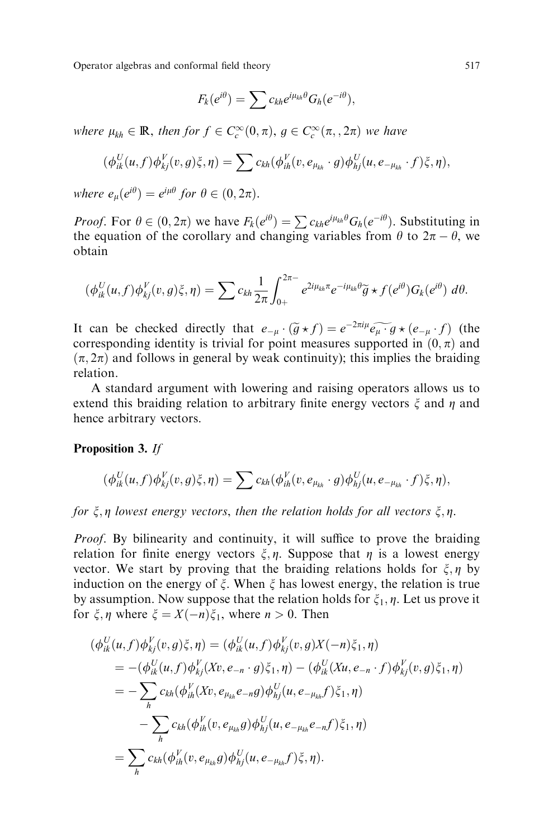Operator algebras and conformal field theory 517

$$
F_k(e^{i\theta}) = \sum c_{kh} e^{i\mu_{kh}\theta} G_h(e^{-i\theta}),
$$

where  $\mu_{kh} \in \mathbb{R}$ , then for  $f \in C_c^{\infty}(0, \pi)$ ,  $g \in C_c^{\infty}(\pi, 2\pi)$  we have

$$
(\phi_{ik}^U(u,f)\phi_{kj}^V(v,g)\xi,\eta)=\sum c_{kh}(\phi_{ih}^V(v,e_{\mu_{kh}}\cdot g)\phi_{hj}^U(u,e_{-\mu_{kh}}\cdot f)\xi,\eta),
$$

where  $e_{\mu} (e^{i\theta}) = e^{i\mu\theta}$  for  $\theta \in (0, 2\pi)$ .

*Proof.* For  $\theta \in (0, 2\pi)$  we have  $F_k(e^{i\theta}) = \sum c_{kh} e^{i\mu_{kh}\theta} G_h(e^{-i\theta})$ . Substituting in the equation of the corollary and changing variables from  $\theta$  to  $2\pi - \theta$ , we obtain

$$
(\phi_{ik}^U(u,f)\phi_{kj}^V(v,g)\xi,\eta) = \sum c_{kh} \frac{1}{2\pi} \int_{0+}^{2\pi-} e^{2i\mu_{kh}\pi} e^{-i\mu_{kh}\theta} \widetilde{g} \star f(e^{i\theta}) G_k(e^{i\theta}) d\theta.
$$

It can be checked directly that  $e_{-\mu} \cdot (\tilde{g} \star f) = e^{-2\pi i \mu} \widetilde{e_{\mu} \cdot g} \star (e_{-\mu} \cdot f)$  (the corresponding identity is trivial for point measures supported in  $(0, \pi)$  and  $(\pi, 2\pi)$  and follows in general by weak continuity); this implies the braiding relation.

A standard argument with lowering and raising operators allows us to extend this braiding relation to arbitrary finite energy vectors  $\zeta$  and  $\eta$  and hence arbitrary vectors.

## Proposition 3. If

$$
(\phi_{ik}^U(u,f)\phi_{kj}^V(v,g)\xi,\eta)=\sum c_{kh}(\phi_{ih}^V(v,e_{\mu_{kh}}\cdot g)\phi_{hj}^U(u,e_{-\mu_{kh}}\cdot f)\xi,\eta),
$$

for  $\xi, \eta$  lowest energy vectors, then the relation holds for all vectors  $\xi, \eta$ .

*Proof.* By bilinearity and continuity, it will suffice to prove the braiding relation for finite energy vectors  $\xi, \eta$ . Suppose that  $\eta$  is a lowest energy vector. We start by proving that the braiding relations holds for  $\xi, \eta$  by induction on the energy of  $\xi$ . When  $\xi$  has lowest energy, the relation is true by assumption. Now suppose that the relation holds for  $\xi_1$ ,  $\eta$ . Let us prove it for  $\xi, \eta$  where  $\xi = X(-n)\xi_1$ , where  $n > 0$ . Then

$$
(\phi_{ik}^{U}(u, f) \phi_{kj}^{V}(v, g) \xi, \eta) = (\phi_{ik}^{U}(u, f) \phi_{kj}^{V}(v, g) X(-n) \xi_{1}, \eta)
$$
  
\n
$$
= -(\phi_{ik}^{U}(u, f) \phi_{kj}^{V}(Xv, e_{-n} \cdot g) \xi_{1}, \eta) - (\phi_{ik}^{U}(Xu, e_{-n} \cdot f) \phi_{kj}^{V}(v, g) \xi_{1}, \eta)
$$
  
\n
$$
= -\sum_{h} c_{kh} (\phi_{ih}^{V}(Xv, e_{\mu_{kh}} e_{-n} g) \phi_{hj}^{U}(u, e_{-\mu_{kh}} f) \xi_{1}, \eta)
$$
  
\n
$$
- \sum_{h} c_{kh} (\phi_{ih}^{V}(v, e_{\mu_{kh}} g) \phi_{hj}^{U}(u, e_{-\mu_{kh}} e_{-n} f) \xi_{1}, \eta)
$$
  
\n
$$
= \sum_{h} c_{kh} (\phi_{ih}^{V}(v, e_{\mu_{kh}} g) \phi_{hj}^{U}(u, e_{-\mu_{kh}} f) \xi, \eta).
$$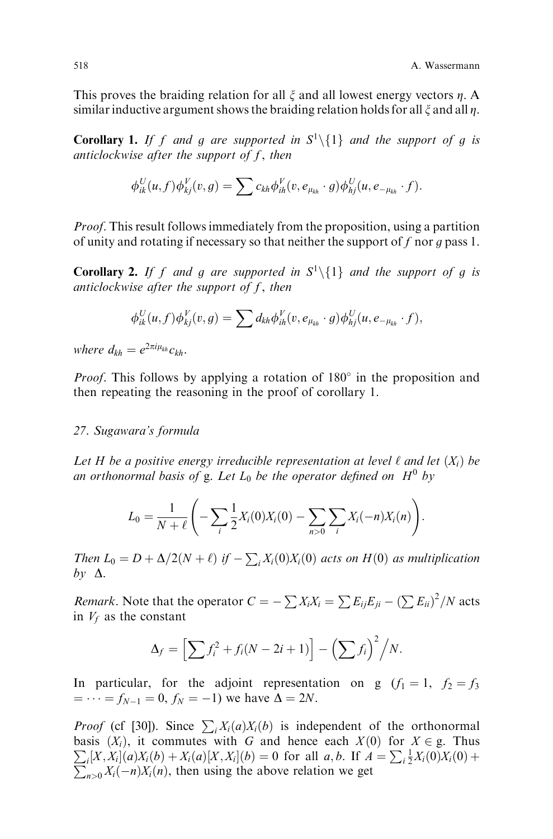This proves the braiding relation for all  $\xi$  and all lowest energy vectors  $\eta$ . A similar inductive argument shows the braiding relation holds for all  $\xi$  and all  $\eta$ .

**Corollary 1.** If f and g are supported in  $S^1 \setminus \{1\}$  and the support of g is anticlockwise after the support of  $f$ , then

$$
\phi_{ik}^U(u, f)\phi_{kj}^V(v, g) = \sum c_{kh}\phi_{ih}^V(v, e_{\mu_{kh}} \cdot g)\phi_{hj}^U(u, e_{-\mu_{kh}} \cdot f).
$$

Proof. This result follows immediately from the proposition, using a partition of unity and rotating if necessary so that neither the support of f nor q pass 1.

**Corollary 2.** If f and g are supported in  $S^1 \setminus \{1\}$  and the support of g is anticlockwise after the support of  $f$ , then

$$
\phi_{ik}^U(u,f)\phi_{kj}^V(v,g)=\sum d_{kh}\phi_{ih}^V(v,e_{\mu_{kh}}\cdot g)\phi_{hj}^U(u,e_{-\mu_{kh}}\cdot f),
$$

where  $d_{kh} = e^{2\pi i \mu_{kh}} c_{kh}$ .

*Proof.* This follows by applying a rotation of  $180^\circ$  in the proposition and then repeating the reasoning in the proof of corollary 1.

# 27. Sugawara's formula

Let H be a positive energy irreducible representation at level  $\ell$  and let  $(X_i)$  be an orthonormal basis of g. Let  $L_0$  be the operator defined on  $H^0$  by

$$
L_0 = \frac{1}{N+\ell} \left( -\sum_i \frac{1}{2} X_i(0) X_i(0) - \sum_{n>0} \sum_i X_i(-n) X_i(n) \right).
$$

Then  $L_0 = D + \Delta/2(N + \ell)$  if  $-\sum_i X_i(0)X_i(0)$  acts on  $H(0)$  as multiplication  $b\nu \Delta$ .

*Remark*. Note that the operator  $C = -\sum X_i X_i = \sum E_{ij} E_{ji} - (\sum E_{ii})^2 / N$  acts in  $V_f$  as the constant

$$
\Delta_f = \left[ \sum f_i^2 + f_i (N - 2i + 1) \right] - \left( \sum f_i \right)^2 / N.
$$

In particular, for the adjoint representation on g  $(f_1 = 1, f_2 = f_3)$  $f_N = \cdots = f_{N-1} = 0, f_N = -1$  we have  $\Delta = 2N$ .

*Proof* (cf [30]). Since  $\sum_i X_i(a)X_i(b)$  is independent of the orthonormal basis  $(X_i)$ , it commutes with G and hence each  $X(0)$  for  $X \in \mathfrak{g}$ . Thus  $\sum_i [X, X_i](a)X_i(b) + X_i(a)[X, X_i](b) = 0$  for all  $a, b$ . If  $A = \sum_i \frac{1}{2}X_i(0)X_i(0) +$  $\sum_{n>0} X_i(-n)X_i(n)$ , then using the above relation we get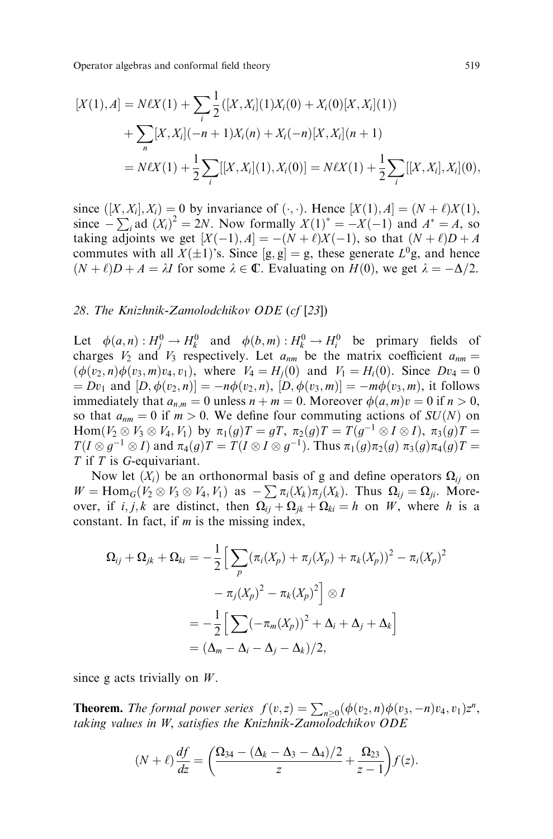Operator algebras and conformal field theory 519

$$
[X(1), A] = N\ell X(1) + \sum_{i} \frac{1}{2} ([X, X_i](1)X_i(0) + X_i(0)[X, X_i](1))
$$
  
+ 
$$
\sum_{n} [X, X_i](-n+1)X_i(n) + X_i(-n)[X, X_i](n+1)
$$
  
= 
$$
N\ell X(1) + \frac{1}{2} \sum_{i} [[X, X_i](1), X_i(0)] = N\ell X(1) + \frac{1}{2} \sum_{i} [[X, X_i], X_i](0),
$$

since  $([X, X_i], X_i) = 0$  by invariance of  $(\cdot, \cdot)$ . Hence  $[X(1), A] = (N + \ell)X(1),$ since  $-\sum_i$  ad  $(X_i)^2 = 2N$ . Now formally  $X(1)^* = -X(-1)$  and  $A^* = A$ , so taking adjoints we get  $[X(-1), A] = -(N + \ell)X(-1)$ , so that  $(N + \ell)D + A$ commutes with all  $X(\pm 1)$ 's. Since  $[g, g] = g$ , these generate  $L^0 g$ , and hence  $(N + \ell)D + A = \lambda I$  for some  $\lambda \in \mathbb{C}$ . Evaluating on  $H(0)$ , we get  $\lambda = -\Delta/2$ .

#### 28. The Knizhnik-Zamolodchikov ODE (cf [23])

Let  $\phi(a, n) : H_j^0 \to H_k^0$  and  $\phi(b, m) : H_k^0 \to H_i^0$  be primary fields of charges  $V_2$  and  $V_3$  respectively. Let  $a_{nm}$  be the matrix coefficient  $a_{nm}$  =  $(\phi(v_2, n)\phi(v_3, m)v_4, v_1)$ , where  $V_4 = H_i(0)$  and  $V_1 = H_i(0)$ . Since  $Dv_4 = 0$  $D[v_1 \text{ and } [D, \phi(v_2, n)] = -n\phi(v_2, n), [D, \phi(v_3, m)] = -m\phi(v_3, m),$  it follows immediately that  $a_{n,m} = 0$  unless  $n + m = 0$ . Moreover  $\phi(a, m)v = 0$  if  $n > 0$ , so that  $a_{nm} = 0$  if  $m > 0$ . We define four commuting actions of  $SU(N)$  on  $\text{Hom}(V_2 \otimes V_3 \otimes V_4, V_1)$  by  $\pi_1(g)T = gT$ ,  $\pi_2(g)T = T(g^{-1} \otimes I \otimes I)$ ,  $\pi_3(g)T =$  $T(I \otimes g^{-1} \otimes I)$  and  $\pi_4(g)T = T(I \otimes I \otimes g^{-1})$ . Thus  $\pi_1(g)\pi_2(g) \pi_3(g)\pi_4(g)T =$ T if T is G-equivariant.

Now let  $(X_i)$  be an orthonormal basis of g and define operators  $\Omega_{ii}$  on  $W = \text{Hom}_G(V_2 \otimes V_3 \otimes V_4, V_1)$  as  $-\sum \pi_i(X_k)\pi_j(X_k)$ . Thus  $\Omega_{ij} = \Omega_{ji}$ . Moreover, if i, j, k are distinct, then  $\Omega_{ii} + \Omega_{ik} + \Omega_{ki} = h$  on W, where h is a constant. In fact, if  $m$  is the missing index,

$$
\Omega_{ij} + \Omega_{jk} + \Omega_{ki} = -\frac{1}{2} \Big[ \sum_p (\pi_i(X_p) + \pi_j(X_p) + \pi_k(X_p))^2 - \pi_i(X_p)^2 - \pi_j(X_p)^2 - \pi_k(X_p)^2 \Big] \otimes I
$$
  
=  $-\frac{1}{2} \Big[ \sum (-\pi_m(X_p))^2 + \Delta_i + \Delta_j + \Delta_k \Big]$   
=  $(\Delta_m - \Delta_i - \Delta_j - \Delta_k)/2$ ,

since g acts trivially on  $W$ .

**Theorem.** The formal power series  $f(v, z) = \sum_{n\geq 0} (\phi(v_2, n)\phi(v_3, -n)v_4, v_1)z^n$ , taking values in W, satisfies the Knizhnik-Zamolodchikov  $ODE$ 

$$
(N+\ell)\frac{df}{dz} = \left(\frac{\Omega_{34} - (\Delta_k - \Delta_3 - \Delta_4)/2}{z} + \frac{\Omega_{23}}{z-1}\right) f(z).
$$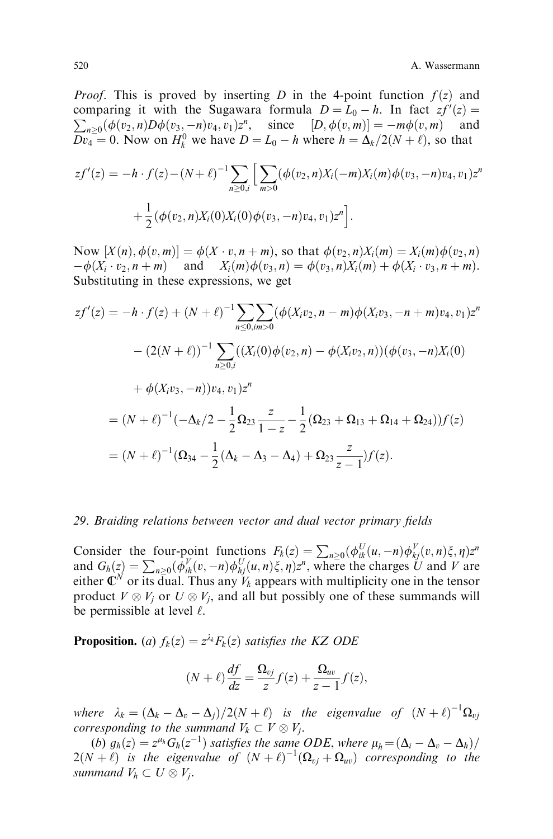*Proof.* This is proved by inserting D in the 4-point function  $f(z)$  and comparing it with the Sugawara formula  $D = L_0 - h$ . In fact  $zf'(z) =$  $\sum_{n\geq 0} (\phi(v_2, n) D\phi(v_3, -n)v_4, v_1) z^n$ , since  $[D, \phi(v, m)] = -m\phi(v, m)$  and  $Dv_4 = 0$ . Now on  $H_k^0$  we have  $D = L_0 - h$  where  $h = \Delta_k/2(N + \ell)$ , so that

$$
zf'(z) = -h \cdot f(z) - (N + \ell)^{-1} \sum_{n \ge 0, i} \left[ \sum_{m > 0} (\phi(v_2, n) X_i(-m) X_i(m) \phi(v_3, -n) v_4, v_1) z^n + \frac{1}{2} (\phi(v_2, n) X_i(0) X_i(0) \phi(v_3, -n) v_4, v_1) z^n \right].
$$

Now  $[X(n), \phi(v, m)] = \phi(X \cdot v, n + m)$ , so that  $\phi(v_2, n)X_i(m) = X_i(m)\phi(v_2, n)$  $-\phi(X_i \cdot v_2, n + m)$  and  $X_i(m)\phi(v_3, n) = \phi(v_3, n)X_i(m) + \phi(X_i \cdot v_3, n + m).$ Substituting in these expressions, we get

$$
zf'(z) = -h \cdot f(z) + (N + \ell)^{-1} \sum_{n \le 0, im > 0} (\phi(X_i v_2, n - m) \phi(X_i v_3, -n + m) v_4, v_1) z^n
$$
  

$$
- (2(N + \ell))^{-1} \sum_{n \ge 0, i} ((X_i(0) \phi(v_2, n) - \phi(X_i v_2, n)) (\phi(v_3, -n) X_i(0)
$$
  

$$
+ \phi(X_i v_3, -n)) v_4, v_1) z^n
$$
  

$$
= (N + \ell)^{-1} (-\Delta_k/2 - \frac{1}{2} \Omega_{23} \frac{z}{1 - z} - \frac{1}{2} (\Omega_{23} + \Omega_{13} + \Omega_{14} + \Omega_{24})) f(z)
$$
  

$$
= (N + \ell)^{-1} (\Omega_{34} - \frac{1}{2} (\Delta_k - \Delta_3 - \Delta_4) + \Omega_{23} \frac{z}{z - 1}) f(z).
$$

## 29. Braiding relations between vector and dual vector primary fields

Consider the four-point functions  $F_k(z) = \sum_{n\geq 0} (\phi_{ik}^U(u, -n) \phi_{kj}^V(v, n)\xi, \eta) z^n$ and  $G_h(z) = \sum_{n\geq 0} (\bar{\phi}_{ih}^V(v, -n)\phi_{hj}^U(u, n)\xi, \eta)z^n$ , where the charges U and V are either  $\mathbf{\overline{C}}^N$  or its dual. Thus any  $V_k$  appears with multiplicity one in the tensor product  $V \otimes V_j$  or  $U \otimes V_j$ , and all but possibly one of these summands will be permissible at level  $\ell$ .

**Proposition.** (a)  $f_k(z) = z^{\lambda_k}F_k(z)$  satisfies the KZ ODE

$$
(N+\ell)\frac{df}{dz} = \frac{\Omega_{vj}}{z}f(z) + \frac{\Omega_{uv}}{z-1}f(z),
$$

where  $\lambda_k = (\Delta_k - \Delta_v - \Delta_j)/2(N + \ell)$  is the eigenvalue of  $(N + \ell)^{-1} \Omega_{vj}$ corresponding to the summand  $V_k \subset V \otimes V_j$ .

(b)  $g_h(z) = z^{\mu_h}G_h(z^{-1})$  satisfies the same ODE, where  $\mu_h = (\Delta_i - \Delta_v - \Delta_h)/$  $2(N+\ell)$  is the eigenvalue of  $(N+\ell)^{-1}(\Omega_{vj}+\Omega_{uv})$  corresponding to the summand  $V_h \subset U \otimes V_j$ .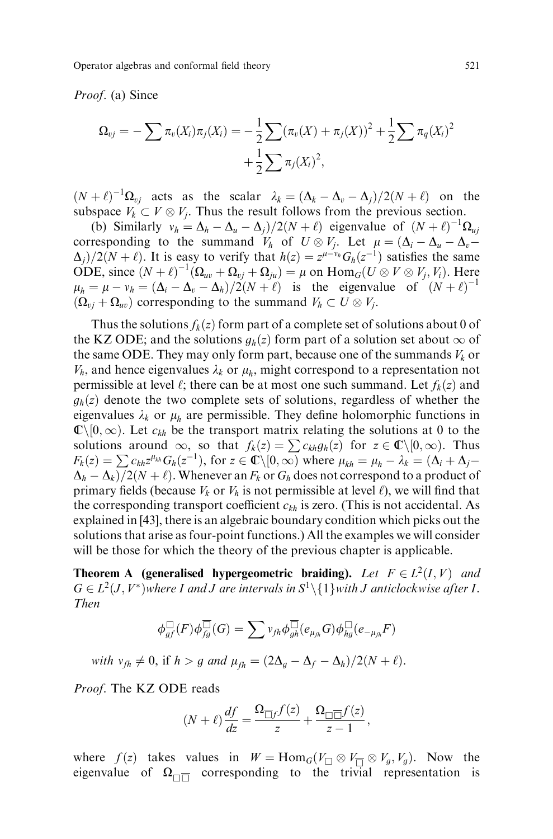Operator algebras and conformal field theory 521

#### Proof. (a) Since

$$
\Omega_{vj} = -\sum \pi_v(X_i)\pi_j(X_i) = -\frac{1}{2}\sum (\pi_v(X) + \pi_j(X))^2 + \frac{1}{2}\sum \pi_q(X_i)^2 + \frac{1}{2}\sum \pi_j(X_i)^2,
$$

 $(N + \ell)^{-1} \Omega_{vj}$  acts as the scalar  $\lambda_k = (\Delta_k - \Delta_v - \Delta_j)/2(N + \ell)$  on the subspace  $V_k \subset V \otimes V_j$ . Thus the result follows from the previous section.

(b) Similarly  $v_h = \Delta_h - \Delta_u - \Delta_j/2(N + \ell)$  eigenvalue of  $(N + \ell)^{-1} \Omega_{uj}$ corresponding to the summand  $V_h$  of  $U \otimes V_j$ . Let  $\mu = (\Delta_i - \Delta_u - \Delta_v - \Delta_v)$  $\Delta_i/2(N + \ell)$ . It is easy to verify that  $h(z) = z^{\mu-\nu} \delta_h(z^{-1})$  satisfies the same ODE, since  $(N+\ell)^{-1}(\Omega_{uv} + \Omega_{vj} + \Omega_{ju}) = \mu$  on  $\text{Hom}_G(U \otimes V \otimes V_j, V_i)$ . Here  $\mu_h = \mu - v_h = (\Delta_i - \Delta_v - \Delta_h)/2(N + \ell)$  is the eigenvalue of  $(N + \ell)^{-1}$  $(\Omega_{vj} + \Omega_{uv})$  corresponding to the summand  $V_h \subset U \otimes V_j$ .

Thus the solutions  $f_k(z)$  form part of a complete set of solutions about 0 of the KZ ODE; and the solutions  $g_h(z)$  form part of a solution set about  $\infty$  of the same ODE. They may only form part, because one of the summands  $V_k$  or  $V_h$ , and hence eigenvalues  $\lambda_k$  or  $\mu_h$ , might correspond to a representation not permissible at level  $\ell$ ; there can be at most one such summand. Let  $f_k(z)$  and  $g_h(z)$  denote the two complete sets of solutions, regardless of whether the eigenvalues  $\lambda_k$  or  $\mu_h$  are permissible. They define holomorphic functions in  $\mathbb{C}\setminus[0,\infty)$ . Let  $c_{kh}$  be the transport matrix relating the solutions at 0 to the solutions around  $\infty$ , so that  $f_k(z) = \sum c_{kh} g_h(z)$  for  $z \in \mathbb{C} \setminus [0, \infty)$ . Thus  $F_k(z) = \sum c_{kh}z^{\mu_{kh}}G_h(z^{-1}),$  for  $z \in \mathbb{C} \setminus [0, \infty)$  where  $\mu_{kh} = \mu_h - \lambda_k = (\Delta_i + \Delta_j - \Delta_k)$  $\Delta_h - \Delta_k / 2(N + \ell)$ . Whenever an  $F_k$  or  $G_h$  does not correspond to a product of primary fields (because  $V_k$  or  $V_h$  is not permissible at level  $\ell$ ), we will find that the corresponding transport coefficient  $c_{kh}$  is zero. (This is not accidental. As explained in [43], there is an algebraic boundary condition which picks out the solutions that arise as four-point functions.) All the examples we will consider will be those for which the theory of the previous chapter is applicable.

**Theorem A** (generalised hypergeometric braiding). Let  $F \in L^2(I, V)$  and  $G \in L^2(J, V^*)$  where I and J are intervals in  $S^1 \setminus \{1\}$  with J anticlockwise after I. Then

$$
\phi_{gf}^{\Box}(F)\phi_{fg}^{\overline{\Box}}(G)=\sum v_{fh}\phi_{gh}^{\overline{\Box}}(e_{\mu_{fh}}G)\phi_{hg}^{\Box}(e_{-\mu_{fh}}F)
$$

with  $v_{fh} \neq 0$ , if  $h > g$  and  $\mu_{fh} = (2\Delta_g - \Delta_f - \Delta_h)/2(N + \ell)$ .

Proof. The KZ ODE reads

$$
(N+\ell)\frac{df}{dz} = \frac{\Omega_{\overline{\Box}f}f(z)}{z} + \frac{\Omega_{\overline{\Box}\overline{\Box}}f(z)}{z-1},
$$

where  $f(z)$  takes values in  $W = \text{Hom}_G(V_{\square} \otimes V_{\overline{\square}} \otimes V_g, V_g)$ . Now the eigenvalue of  $\Omega_{\Pi}$  corresponding to the trivial representation is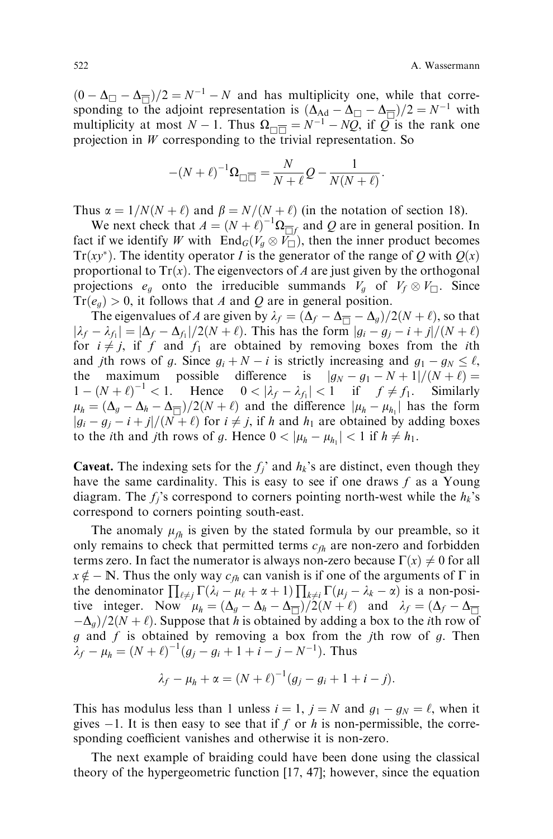$(0 - \Delta_{\square} - \Delta_{\overline{\square}})/2 = N^{-1} - N$  and has multiplicity one, while that corresponding to the adjoint representation is  $(\Delta_{\text{Ad}} - \Delta_{\Box} - \Delta_{\overline{\Box}})/2 = N^{-1}$  with multiplicity at most  $N - 1$ . Thus  $\Omega_{\square} = N^{-1} - NQ$ , if  $Q$  is the rank one projection in  $W$  corresponding to the trivial representation. So

$$
-(N+\ell)^{-1}\Omega_{\square \overline{\square}} = \frac{N}{N+\ell}Q - \frac{1}{N(N+\ell)}.
$$

Thus  $\alpha = 1/N(N + \ell)$  and  $\beta = N/(N + \ell)$  (in the notation of section 18).

We next check that  $A = (N + \ell)^{-1} \Omega_{\overline{\Box}f}$  and Q are in general position. In fact if we identify W with  $\text{End}_G(V_g \otimes V_\square)$ , then the inner product becomes  $Tr(xy^*)$ . The identity operator *I* is the generator of the range of Q with  $Q(x)$ proportional to  $Tr(x)$ . The eigenvectors of A are just given by the orthogonal projections  $e_g$  onto the irreducible summands  $V_g$  of  $V_f \otimes V_{\square}$ . Since  $Tr(e_g) > 0$ , it follows that A and Q are in general position.

The eigenvalues of A are given by  $\lambda_f = (\Delta_f - \Delta_{\overline{a}} - \Delta_g)/2(N + \ell)$ , so that  $|\lambda_f - \lambda_{f_1}| = |\Delta_f - \Delta_{f_1}|/2(N + \ell)$ . This has the form  $|g_i - g_j - i + j|/(N + \ell)$ for  $i \neq j$ , if f and  $f_1$  are obtained by removing boxes from the *i*th and *j*th rows of g. Since  $g_i + N - i$  is strictly increasing and  $g_1 - g_N \le \ell$ , the maximum possible difference is  $|g_N - g_1 - N + 1|/(N + \ell)$  $1 - (N + \ell)^{-1} < 1$ . Hence  $0 < |\lambda_f - \lambda_{f_1}| < 1$  if  $f \neq f_1$ . Similarly  $\mu_h = (\Delta_g - \Delta_h - \Delta_{\overline{1}})/2(N + \ell)$  and the difference  $|\mu_h - \mu_{h_1}|$  has the form  $|g_i - g_j - i + j|/(\overline{N} + \ell)$  for  $i \neq j$ , if h and  $h_1$  are obtained by adding boxes to the *i*th and *j*th rows of g. Hence  $0 < |\mu_h - \mu_{h_1}| < 1$  if  $h \neq h_1$ .

**Caveat.** The indexing sets for the  $f_i$  and  $h_k$ 's are distinct, even though they have the same cardinality. This is easy to see if one draws  $f$  as a Young diagram. The  $f_i$ 's correspond to corners pointing north-west while the  $h_k$ 's correspond to corners pointing south-east.

The anomaly  $\mu_{fh}$  is given by the stated formula by our preamble, so it only remains to check that permitted terms  $c_{fh}$  are non-zero and forbidden terms zero. In fact the numerator is always non-zero because  $\Gamma(x) \neq 0$  for all  $x \notin -\mathbb{N}$ . Thus the only way  $c_{fh}$  can vanish is if one of the arguments of  $\Gamma$  in the denominator  $\prod_{\ell \neq j} \Gamma(\lambda_i - \mu_\ell + \alpha + 1) \prod_{k \neq i} \Gamma(\mu_j - \lambda_k - \alpha)$  is a non-positive integer. Now  $\mu_h = (\Delta_g - \Delta_h - \Delta_{\overline{\Box}})/2(N + \ell)$  and  $\lambda_f = (\Delta_f - \Delta_{\overline{\Box}})$  $-\Delta_a$ /2(N + l). Suppose that h is obtained by adding a box to the *i*th row of  $g$  and  $f$  is obtained by removing a box from the jth row of  $g$ . Then  $\lambda_f - \mu_h = (N + \ell)^{-1} (g_j - g_i + 1 + i - j - N^{-1}).$  Thus

$$
\lambda_f - \mu_h + \alpha = (N + \ell)^{-1} (g_j - g_i + 1 + i - j).
$$

This has modulus less than 1 unless  $i = 1$ ,  $j = N$  and  $g_1 - g_N = \ell$ , when it gives  $-1$ . It is then easy to see that if f or h is non-permissible, the corresponding coefficient vanishes and otherwise it is non-zero.

The next example of braiding could have been done using the classical theory of the hypergeometric function [17, 47]; however, since the equation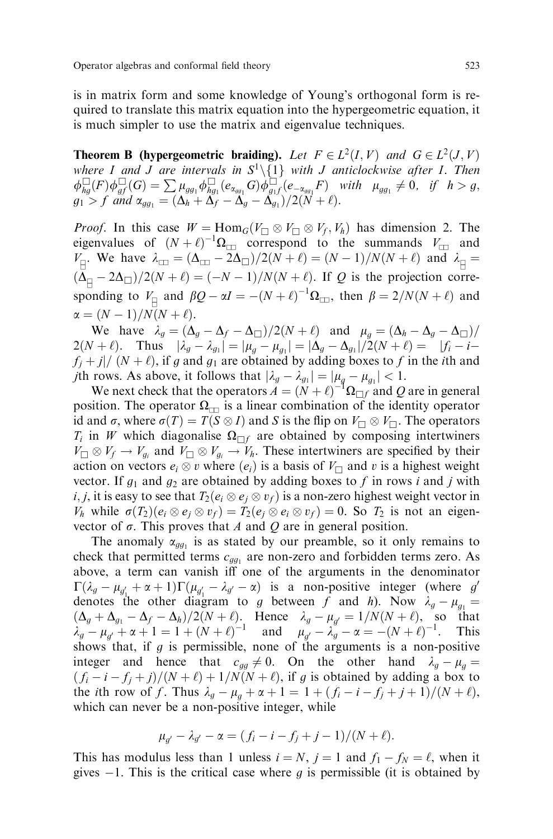is in matrix form and some knowledge of Young's orthogonal form is required to translate this matrix equation into the hypergeometric equation, it is much simpler to use the matrix and eigenvalue techniques.

**Theorem B** (hypergeometric braiding). Let  $F \in L^2(I, V)$  and  $G \in L^2(J, V)$ where I and J are intervals in  $S^1\setminus\{1\}$  with J anticlockwise after I. Then  $\phi_{hg}^{\square}(F)\phi_{gf}^{\square}(G)=\sum \mu_{gg_1}\phi_{hg_1}^{\square}(e_{\alpha_{gg_1}}G)\phi_{g_1f}^{\square}(e_{-\alpha_{gg_1}}F)$  with  $\mu_{gg_1}\neq 0$ , if  $h>g,$  $g_1 > f$  and  $\alpha_{gg_1} = (\Delta_h + \Delta_f - \Delta_g - \Delta_{g_1})/2(N + \ell).$ 

*Proof.* In this case  $W = \text{Hom}_G(V_{\square} \otimes V_{\square} \otimes V_f, V_h)$  has dimension 2. The eigenvalues of  $(N + \ell)^{-1} \Omega_{\square}$  correspond to the summands  $V_{\square}$  and  $V_{\parallel}$ . We have  $\lambda_{\square} = (\Delta_{\square} - 2\Delta_{\square})/2(N + \ell) = (N - 1)/N(N + \ell)$  and  $\lambda_{\parallel} =$  $(\Delta_{\Box} - 2\Delta_{\Box})/2(N + \ell) = (-N - 1)/N(N + \ell)$ . If Q is the projection corresponding to  $V_{\text{H}}$  and  $\beta Q - \alpha I = -(N + \ell)^{-1} \Omega_{\text{H}}$ , then  $\beta = 2/N(N + \ell)$  and  $\alpha = (N - 1)/N(N + \ell).$ 

We have  $\lambda_g = (\Delta_g - \Delta_f - \Delta_\square)/2(N + \ell)$  and  $\mu_g = (\Delta_h - \Delta_g - \Delta_\square)/2(N + \ell)$  $2(N + \ell)$ . Thus  $|\lambda_g - \lambda_{g_1}| = |\mu_g - \mu_{g_1}| = |\Delta_g - \Delta_{g_1}|/2(N + \ell) = |f_i - i$  $f_i + j \mid (N + \ell)$ , if g and  $g_1$  are obtained by adding boxes to f in the ith and *j*th rows. As above, it follows that  $|\lambda_g - \lambda_{g_1}| = |\mu_g - \mu_{g_1}| < 1$ .

We next check that the operators  $\vec{A} = (\vec{N} + \ell)^{-1} \Omega_{\Box f}$  and Q are in general position. The operator  $\Omega_{\square}$  is a linear combination of the identity operator id and  $\sigma$ , where  $\sigma(T) = T(S \otimes I)$  and S is the flip on  $V_{\Box} \otimes V_{\Box}$ . The operators  $T_i$  in W which diagonalise  $\Omega_{\Box f}$  are obtained by composing intertwiners  $V_{\square} \otimes V_f \to V_{g_i}$  and  $V_{\square} \otimes V_{g_i} \to V_h$ . These intertwiners are specified by their action on vectors  $e_i \otimes v$  where  $(e_i)$  is a basis of  $V_{\Box}$  and v is a highest weight vector. If  $g_1$  and  $g_2$  are obtained by adding boxes to f in rows i and j with  $i,j,$  it is easy to see that  $T_2(e_i\otimes e_j\otimes v_f)$  is a non-zero highest weight vector in  $V_h$  while  $\sigma(T_2)(e_i \otimes e_j \otimes v_f) = T_2(e_j \otimes e_i \otimes v_f) = 0$ . So  $T_2$  is not an eigenvector of  $\sigma$ . This proves that A and Q are in general position.

The anomaly  $\alpha_{qq_1}$  is as stated by our preamble, so it only remains to check that permitted terms  $c_{qq_1}$  are non-zero and forbidden terms zero. As above, a term can vanish iff one of the arguments in the denominator  $\Gamma(\lambda_g - \mu_{g'_\perp} + \alpha + 1)\Gamma(\mu_{g'_\perp} - \lambda_{g'} - \alpha)$  is a non-positive integer (where g' denotes the other diagram to g between f and h). Now  $\lambda_g - \mu_{g_1} =$  $(\Delta_g + \Delta_{g_1} - \Delta_f - \Delta_h)/2(N + \ell)$ . Hence  $\lambda_g - \mu_{g'} = 1/N(N + \ell)$ , so that  $\lambda_g - \mu_{g'} + \alpha + 1 = 1 + (N + \ell)^{-1}$  and  $\mu_{g'} - \lambda_g - \alpha = -(N + \ell)^{-1}$ . This shows that, if  $g$  is permissible, none of the arguments is a non-positive integer and hence that  $c_{gg} \neq 0$ . On the other hand  $\lambda_g - \mu_g =$  $(f_i - i - f_j + j)/(N + \ell) + 1/N(N + \ell)$ , if g is obtained by adding a box to the *i*th row of f. Thus  $\lambda_g - \mu_g + \alpha + 1 = 1 + (f_i - i - f_j + j + 1)/(N + \ell)$ , which can never be a non-positive integer, while

$$
\mu_{g'} - \lambda_{g'} - \alpha = (f_i - i - f_j + j - 1)/(N + \ell).
$$

This has modulus less than 1 unless  $i = N$ ,  $j = 1$  and  $f_1 - f_N = \ell$ , when it gives  $-1$ . This is the critical case where g is permissible (it is obtained by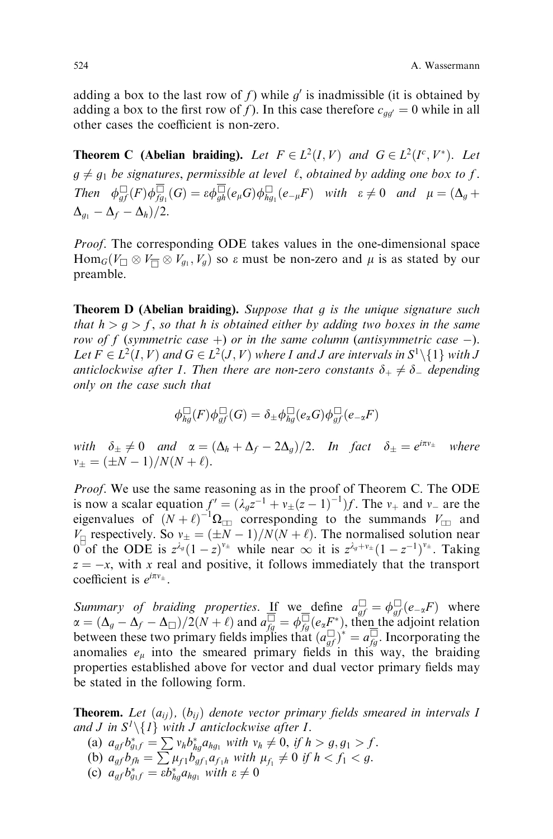adding a box to the last row of f) while g' is inadmissible (it is obtained by adding a box to the first row of f). In this case therefore  $c_{qq'} = 0$  while in all other cases the coefficient is non-zero.

**Theorem C** (Abelian braiding). Let  $F \in L^2(I, V)$  and  $G \in L^2(I^c, V^*)$ . Let  $g \neq g_1$  be signatures, permissible at level  $\ell$ , obtained by adding one box to f. Then  $\phi_{gf} \Box (F) \phi_{fg1} \Box (G) = \varepsilon \phi_{gh} \Box (e_\mu G) \phi_{hg1} \Box (e_{-\mu} F)$  with  $\varepsilon \neq 0$  and  $\mu = (\Delta_g +$  $\Delta_{q_1} - \Delta_f - \Delta_h)/2.$ 

Proof. The corresponding ODE takes values in the one-dimensional space  $\text{Hom}_G(V_\square \otimes V_\square \otimes V_{g_1}, V_g)$  so  $\varepsilon$  must be non-zero and  $\mu$  is as stated by our preamble.

**Theorem D (Abelian braiding).** Suppose that  $g$  is the unique signature such that  $h > g > f$ , so that h is obtained either by adding two boxes in the same row of f (symmetric case  $+)$  or in the same column (antisymmetric case  $-)$ . Let  $F \in L^2(I, V)$  and  $G \in L^2(J, V)$  where I and J are intervals in  $S^1 \setminus \{1\}$  with J anticlockwise after I. Then there are non-zero constants  $\delta_+ \neq \delta_-$  depending only on the case such that

$$
\phi_{hg}^{\square}(F)\phi_{gf}^{\square}(G)=\delta_{\pm}\phi_{hg}^{\square}(e_{\alpha}G)\phi_{gf}^{\square}(e_{-\alpha}F)
$$

with  $\delta_{\pm} \neq 0$  and  $\alpha = (\Delta_h + \Delta_f - 2\Delta_g)/2$ . In fact  $\delta_{\pm} = e^{i\pi v_{\pm}}$  where  $v_{\pm} = (\pm N - 1)/N(N + \ell).$ 

Proof. We use the same reasoning as in the proof of Theorem C. The ODE is now a scalar equation  $f' = (\lambda_g z^{-1} + v_{\pm} (z - 1)^{-1}) f$ . The  $v_{+}$  and  $v_{-}$  are the eigenvalues of  $(N + \ell)^{-1} \Omega_{\text{m}}$  corresponding to the summands  $V_{\text{m}}$  and  $V_{\text{eff}}$  respectively. So  $v_{\pm} = (\pm N - 1)/N(N + \ell)$ . The normalised solution near  $0^{\degree}$  of the ODE is  $z^{\lambda_g}(1-z)^{v_{\pm}}$  while near  $\infty$  it is  $z^{\lambda_g+v_{\pm}}(1-z^{-1})^{v_{\pm}}$ . Taking  $z = -x$ , with x real and positive, it follows immediately that the transport coefficient is  $e^{i\pi v_{\pm}}$ .

*Summary of braiding properties.* If we define  $a_{gf}^{\Box} = \phi_{gf}^{\Box}(e_{-\alpha}F)$  where  $\alpha = (\Delta_g - \Delta_f - \Delta_\square)/2(\bar{N} + \ell)$  and  $a_{fg}^{\square} = \phi_{fg}^{\square}(e_{\alpha}F^*)$ , then the adjoint relation between these two primary fields implies that  $(a_{gf}^{\Box})^* = a_{fg}^{\Box}$ . Incorporating the anomalies  $e_{\mu}$  into the smeared primary fields in this way, the braiding properties established above for vector and dual vector primary fields may be stated in the following form.

**Theorem.** Let  $(a_{ij})$ ,  $(b_{ij})$  denote vector primary fields smeared in intervals I and J in  $S^1 \setminus \{1\}$  with J anticlockwise after I.

- (a)  $a_{gf}b_{g_1f}^* = \sum v_h b_{hg}^* a_{hg_1}$  with  $v_h \neq 0$ , if  $h > g, g_1 > f$ .
- (b)  $a_{gf}b_{fh} = \sum \mu_{f1} b_{gf_1} a_{f_1h}$  with  $\mu_{f_1} \neq 0$  if  $h < f_1 < g$ .
- (c)  $a_{gf}b_{g_1f}^* = \varepsilon b_{hg}^* a_{hg_1}$  with  $\varepsilon \neq 0$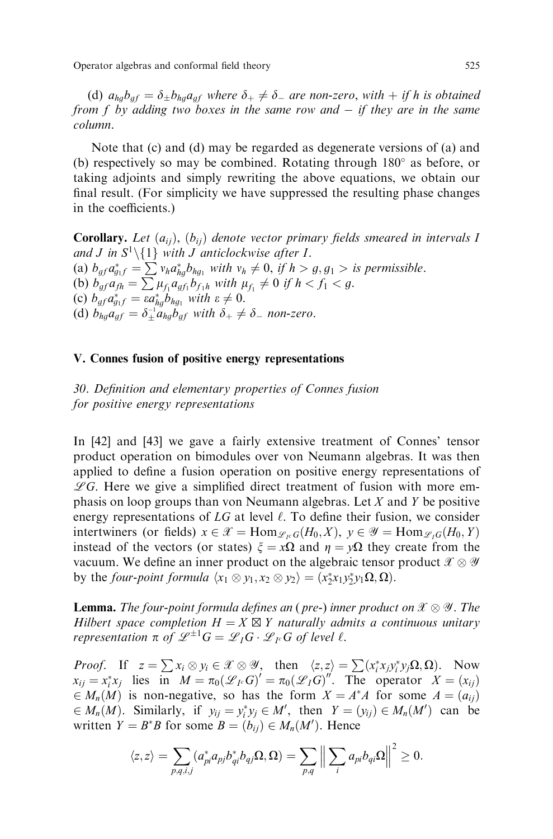Operator algebras and conformal field theory 525

(d)  $a_{hg}b_{gf} = \delta_{\pm}b_{hg}a_{gf}$  where  $\delta_{+} \neq \delta_{-}$  are non-zero, with  $+$  if h is obtained from f by adding two boxes in the same row and  $-$  if they are in the same column.

Note that (c) and (d) may be regarded as degenerate versions of (a) and (b) respectively so may be combined. Rotating through  $180^\circ$  as before, or taking adjoints and simply rewriting the above equations, we obtain our final result. (For simplicity we have suppressed the resulting phase changes in the coefficients.)

**Corollary.** Let  $(a_{ii})$ ,  $(b_{ii})$  denote vector primary fields smeared in intervals I and *J* in  $S^1 \setminus \{1\}$  with *J* anticlockwise after *I*. (a)  $b_{gf}a_{g_1f}^* = \sum v_h a_{hg}^* b_{hg_1}$  with  $v_h \neq 0$ , if  $h > g, g_1 >$  is permissible. (b)  $b_{gf} a_{fh} = \sum_{i=1}^{m} \mu_{fi} a_{gf_1} b_{f_1 h}$  with  $\mu_{fi} \neq 0$  if  $h < f_1 < g$ . (c)  $b_{gf}a_{g_1f}^* = \varepsilon a_{hg}^* \overline{b}_{hg_1}$  with  $\varepsilon \neq 0$ . (d)  $b_{hg}a_{gf} = \delta_{\pm}^{-1}a_{hg}b_{gf}$  with  $\delta_{+} \neq \delta_{-}$  non-zero.

# V. Connes fusion of positive energy representations

30. Definition and elementary properties of Connes fusion for positive energy representations

In [42] and [43] we gave a fairly extensive treatment of Connes' tensor product operation on bimodules over von Neumann algebras. It was then applied to define a fusion operation on positive energy representations of  $\mathscr{L}G$ . Here we give a simplified direct treatment of fusion with more emphasis on loop groups than von Neumann algebras. Let  $X$  and  $Y$  be positive energy representations of  $LG$  at level  $\ell$ . To define their fusion, we consider intertwiners (or fields)  $x \in \mathcal{X} = \text{Hom}_{\mathcal{L}_{\text{IC}}}(H_0, X), y \in \mathcal{Y} = \text{Hom}_{\mathcal{L}_{\text{IC}}}(H_0, Y)$ instead of the vectors (or states)  $\xi = x\Omega$  and  $\eta = y\Omega$  they create from the vacuum. We define an inner product on the algebraic tensor product  $\mathscr{X}\otimes\mathscr{Y}$ by the *four-point formula*  $\langle x_1 \otimes y_1, x_2 \otimes y_2 \rangle = (x_2^* x_1 y_2^* y_1 \Omega, \Omega).$ 

**Lemma.** The four-point formula defines an (pre-) inner product on  $\mathscr{X}\otimes\mathscr{Y}$ . The Hilbert space completion  $H = X \boxtimes Y$  naturally admits a continuous unitary representation  $\pi$  of  $\mathscr{L}^{\pm 1}G = \mathscr{L}_I G \cdot \mathscr{L}_{I^c} G$  of level  $\ell$ .

*Proof.* If  $z = \sum x_i \otimes y_i \in \mathcal{X} \otimes \mathcal{Y}$ , then  $\langle z, z \rangle = \sum (x_i^* x_j y_i^* y_j \Omega, \Omega)$ . Now  $x_{ij} = x_i^* x_j$  lies in  $M = \pi_0(\mathcal{L}_I G)' = \pi_0(\mathcal{L}_I G)''$ . The operator  $X = (x_{ij})$  $\in M_n(M)$  is non-negative, so has the form  $X = A^*A$  for some  $A = (a_{ij})$  $\in M_n(M)$ . Similarly, if  $y_{ij} = y_i^* y_j \in M'$ , then  $Y = (y_{ij}) \in M_n(M')$  can be written  $Y = B^*B$  for some  $B = (b_{ij}) \in M_n(M')$ . Hence

$$
\langle z, z \rangle = \sum_{p,q,i,j} (a_{pi}^* a_{pj} b_{qi}^* b_{qj} \Omega, \Omega) = \sum_{p,q} \left\| \sum_i a_{pi} b_{qi} \Omega \right\|^2 \ge 0.
$$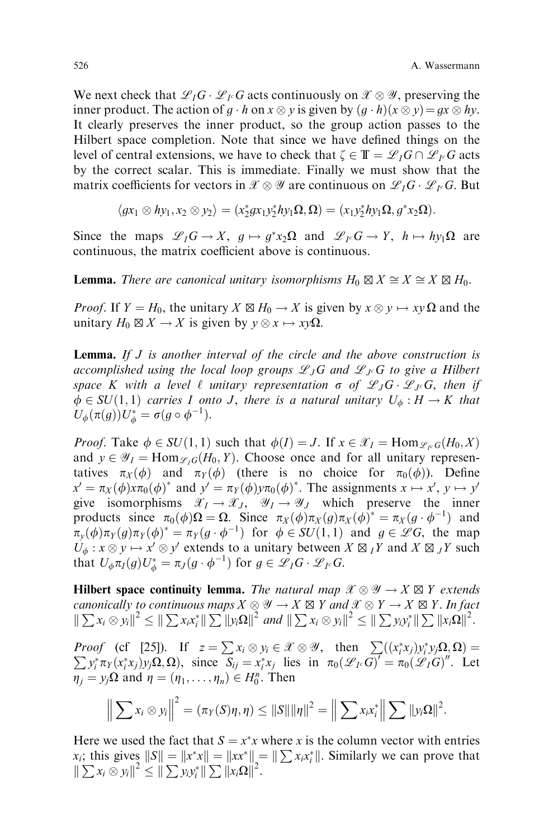We next check that  $\mathscr{L}_I G \cdot \mathscr{L}_{I^c} G$  acts continuously on  $\mathscr{X} \otimes \mathscr{Y}$ , preserving the inner product. The action of  $g \cdot h$  on  $x \otimes y$  is given by  $(g \cdot h)(x \otimes y) = gx \otimes hy$ . It clearly preserves the inner product, so the group action passes to the Hilbert space completion. Note that since we have defined things on the level of central extensions, we have to check that  $\zeta \in \mathbb{T} = \mathscr{L}_I G \cap \mathscr{L}_{I^c} G$  acts by the correct scalar. This is immediate. Finally we must show that the matrix coefficients for vectors in  $\mathscr{X}\otimes\mathscr{Y}$  are continuous on  $\mathscr{L}_I G\cdot\mathscr{L}_{I^c} G$ . But

$$
\langle gx_1 \otimes hy_1, x_2 \otimes y_2 \rangle = (x_2^*gx_1y_2^*hy_1\Omega, \Omega) = (x_1y_2^*hy_1\Omega, g^*x_2\Omega).
$$

Since the maps  $\mathscr{L}_I G \to X$ ,  $g \mapsto g^* x_2 \Omega$  and  $\mathscr{L}_I G \to Y$ ,  $h \mapsto hy_1 \Omega$  are continuous, the matrix coefficient above is continuous.

**Lemma.** There are canonical unitary isomorphisms  $H_0 \boxtimes X \cong X \cong X \boxtimes H_0$ .

*Proof.* If  $Y = H_0$ , the unitary  $X \boxtimes H_0 \to X$  is given by  $x \otimes y \mapsto xy \Omega$  and the unitary  $H_0 \boxtimes X \to X$  is given by  $y \otimes x \mapsto xy\Omega$ .

**Lemma.** If  $J$  is another interval of the circle and the above construction is accomplished using the local loop groups  $\mathscr{L}_{J}G$  and  $\mathscr{L}_{J}G$  to give a Hilbert space K with a level  $\ell$  unitary representation  $\sigma$  of  $\mathscr{L}_{J}G \cdot \mathscr{L}_{Jc}G$ , then if  $\phi \in SU(1,1)$  carries I onto J, there is a natural unitary  $U_{\phi}: H \to K$  that  $U_{\phi}(\pi(g))U_{\phi}^* = \sigma(g \circ \phi^{-1}).$ 

*Proof.* Take  $\phi \in SU(1, 1)$  such that  $\phi(I) = J$ . If  $x \in \mathcal{X}_I = \text{Hom}_{\mathcal{L}_F G}(H_0, X)$ and  $y \in \mathcal{Y}_I = \text{Hom}_{\mathcal{L}_I G}(H_0, Y)$ . Choose once and for all unitary representatives  $\pi_X (\phi)$  and  $\pi_Y (\phi)$  (there is no choice for  $\pi_0(\phi)$ ). Define  $x' = \pi_X(\phi)x\pi_0(\phi)^*$  and  $y' = \pi_Y(\phi)y\pi_0(\phi)^*$ . The assignments  $x \mapsto x'$ ,  $y \mapsto y'$ give isomorphisms  $\mathscr{X}_I \to \mathscr{X}_J$ ,  $\mathscr{Y}_I \to \mathscr{Y}_J$  which preserve the inner products since  $\pi_0(\phi)\Omega = \Omega$ . Since  $\pi_X(\phi)\pi_X(g)\pi_X(\phi)^* = \pi_X(g \cdot \phi^{-1})$  and  $\pi_y(\phi)\pi_Y(g)\pi_Y(\phi)^* = \pi_Y(g \cdot \phi^{-1})$  for  $\phi \in SU(1,1)$  and  $g \in \mathscr{L}G$ , the map  $U_{\phi}: x \otimes y \mapsto x' \otimes y'$  extends to a unitary between  $X \boxtimes_I Y$  and  $X \boxtimes_J Y$  such that  $U_{\phi} \pi_I(g) U_{\phi}^* = \pi_J(g \cdot \phi^{-1})$  for  $g \in \mathscr{L}_I G \cdot \mathscr{L}_{I^c} G$ .

**Hilbert space continuity lemma.** The natural map  $\mathscr{X} \otimes \mathscr{Y} \to X \boxtimes Y$  extends canonically to continuous maps  $X \otimes \mathscr{Y} \to X \boxtimes Y$  and  $\mathscr{X} \otimes Y \to X \boxtimes Y$  . In fact  $\|\sum x_i \otimes y_i\|^2 \leq \|\sum x_i x_i^*\| \sum \|y_i \Omega\|^2$  and  $\|\sum x_i \otimes y_i\|^2 \leq \|\sum y_i y_i^*\| \sum \|x_i \Omega\|^2$ .

*Proof* (cf [25]). If  $z = \sum x_i \otimes y_i \in \mathcal{X} \otimes \mathcal{Y}$ , then  $\sum_i ((x_i^* x_j) y_i^* y_j \Omega, \Omega) =$  $\sum y_i^* \pi_Y(x_i^* x_j) y_j \Omega$ , since  $S_{ij} = x_i^* x_j$  lies in  $\pi_0(\mathscr{L}_I G)^{\prime} = \pi_0(\mathscr{L}_I G)^{\prime \prime}$ . Let  $\eta_j = y_j\Omega$  and  $\eta = (\eta_1, \dots, \eta_n) \in H_0^n$ . Then

$$
\left\|\sum x_i\otimes y_i\right\|^2=(\pi_Y(S)\eta,\eta)\leq||S||\|\eta\|^2=\left\|\sum x_ix_i^*\right\|\sum||y_i\Omega||^2.
$$

Here we used the fact that  $S = x^*x$  where x is the column vector with entries  $x_i$ ; this gives  $||S|| = ||x^*x|| = ||xx^*|| = ||\sum x_i x_i^*||$ . Similarly we can prove that  $\|\sum x_i\otimes y_i\|^2 \leq \|\sum y_i y_i^*\| \sum \|x_i\Omega\|^2.$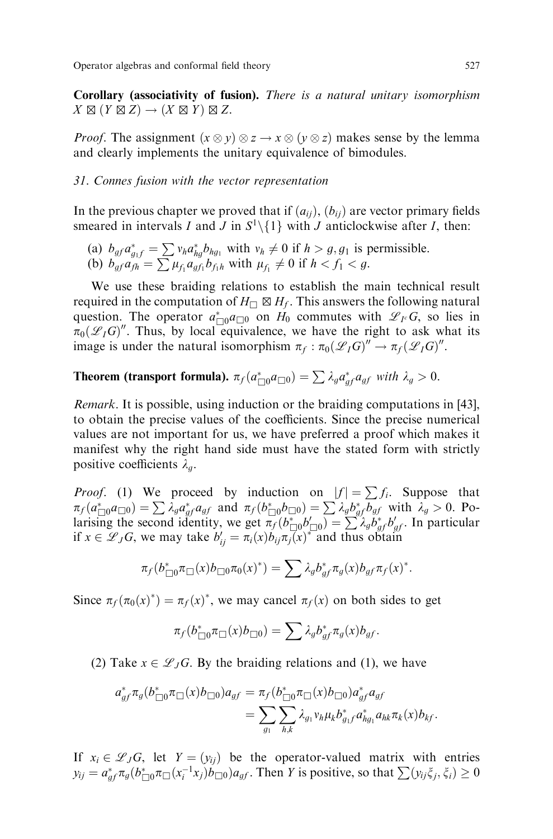Corollary (associativity of fusion). There is a natural unitary isomorphism  $X \boxtimes (Y \boxtimes Z) \rightarrow (X \boxtimes Y) \boxtimes Z$ .

*Proof.* The assignment  $(x \otimes y) \otimes z \rightarrow x \otimes (y \otimes z)$  makes sense by the lemma and clearly implements the unitary equivalence of bimodules.

#### 31. Connes fusion with the vector representation

In the previous chapter we proved that if  $(a_{ij})$ ,  $(b_{ij})$  are vector primary fields smeared in intervals I and J in  $S^1 \setminus \{1\}$  with J anticlockwise after I, then:

(a)  $b_{gf}a_{g_1f}^* = \sum v_h a_{hg}^* b_{hg_1}$  with  $v_h \neq 0$  if  $h > g, g_1$  is permissible. (b)  $b_{gf} a_{fh} = \sum \mu_{f_1} a_{gf_1} b_{f_1h}$  with  $\mu_{f_1} \neq 0$  if  $h < f_1 < g$ .

We use these braiding relations to establish the main technical result required in the computation of  $H_{\Box} \boxtimes H_f$ . This answers the following natural question. The operator  $a_{\Box 0}^* a_{\Box 0}$  on  $H_0$  commutes with  $\mathscr{L}_{I^c}G$ , so lies in  $\overline{x}_0(\mathscr{L}_I G)$ ". Thus, by local equivalence, we have the right to ask what its image is under the natural isomorphism  $\pi_f : \pi_0(\mathscr{L}_I G)'' \to \pi_f(\mathscr{L}_I G)''$ .

# **Theorem (transport formula).**  $\pi_f(a_{\Box 0}^* a_{\Box 0}) = \sum \lambda_g a_{gf}^* a_{gf}$  with  $\lambda_g > 0$ .

Remark. It is possible, using induction or the braiding computations in [43], to obtain the precise values of the coefficients. Since the precise numerical values are not important for us, we have preferred a proof which makes it manifest why the right hand side must have the stated form with strictly positive coefficients  $\lambda_a$ .

*Proof.* (1) We proceed by induction on  $|f| = \sum f_i$ . Suppose that  $\pi_f(a_{\Box 0}^* a_{\Box 0}) = \sum \lambda_g a_{gf}^* a_{gf}$  and  $\pi_f(b_{\Box 0}^* b_{\Box 0}) = \sum \lambda_g b_{gf}^* b_{gf}$  with  $\lambda_g > 0$ . Polarising the second identity, we get  $\overline{n_f}(b_{\Box 0}^* b_{\Box 0}') = \sum_{\Lambda} \lambda_g b_{gf}^* b_{gf}'$ . In particular if  $x \in \mathscr{L}_JG$ , we may take  $b'_{ij} = \pi_i(x)b_{ij}\pi_j(x)^*$  and thus obtain

$$
\pi_f(b_{\Box 0}^*\pi_{\Box}(x)b_{\Box 0}\pi_0(x)^*)=\sum \lambda_g b_{gf}^*\pi_g(x)b_{gf}\pi_f(x)^*.
$$

Since  $\pi_f(\pi_0(x)^*) = \pi_f(x)^*$ , we may cancel  $\pi_f(x)$  on both sides to get

$$
\pi_f(b_{\Box 0}^*\pi_{\Box}(x)b_{\Box 0})=\sum \lambda_g b_{gf}^*\pi_g(x)b_{gf}.
$$

(2) Take  $x \in \mathcal{L}_JG$ . By the braiding relations and (1), we have

$$
a_{gf}^* \pi_g (b_{\Box 0}^* \pi_{\Box}(x) b_{\Box 0}) a_{gf} = \pi_f (b_{\Box 0}^* \pi_{\Box}(x) b_{\Box 0}) a_{gf}^* a_{gf}
$$
  
= 
$$
\sum_{g_1} \sum_{h,k} \lambda_{g_1} v_h \mu_k b_{g_1f}^* a_{hg_1}^* a_{hk} \pi_k(x) b_{kf}.
$$

If  $x_i \in \mathcal{L}_JG$ , let  $Y = (y_{ii})$  be the operator-valued matrix with entries  $y_{ij} = a_{gf}^* \pi_g(b_{\Box 0}^* \pi_\Box(x_i^{-1} x_j) b_{\Box 0}) a_{gf}$ . Then Y is positive, so that  $\sum_{i} (y_{ij} \xi_i, \xi_i) \ge 0$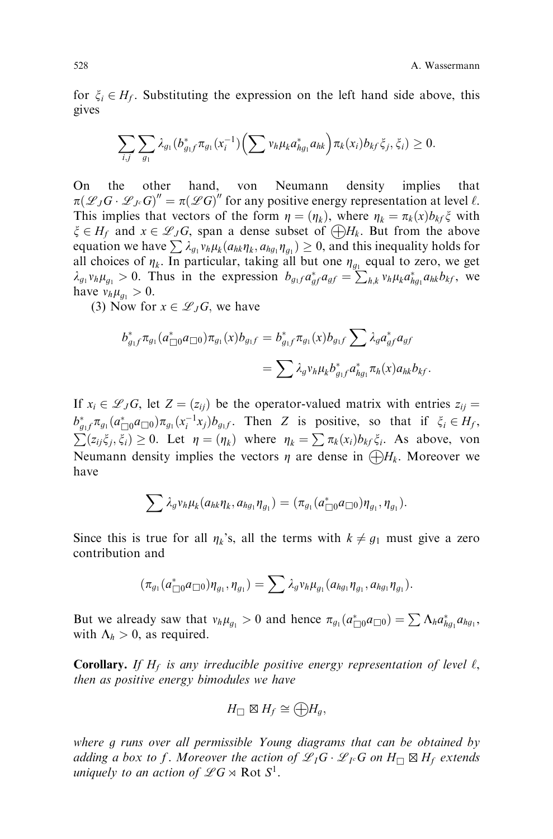for  $\xi_i \in H_f$ . Substituting the expression on the left hand side above, this gives

$$
\sum_{i,j}\sum_{g_1}\lambda_{g_1}(b_{g_1f}^*\pi_{g_1}(x_i^{-1})\Big(\sum v_h\mu_k a_{hg_1}^*a_{hk}\Big)\pi_k(x_i)b_{kf}\xi_j,\xi_i)\geq 0.
$$

On the other hand, von Neumann density implies that  $\pi(\mathscr{L}_JG \cdot \mathscr{L}_{J^c}G)'' = \pi(\mathscr{L}G)''$  for any positive energy representation at level  $\ell$ . This implies that vectors of the form  $\eta = (\eta_k)$ , where  $\eta_k = \pi_k(x)b_{kf} \xi$  with  $\xi \in H_f$  and  $x \in \mathcal{L}_JG$ , span a dense subset of  $\bigoplus H_k$ . But from the above equation we have  $\sum \lambda_{g_1} v_h \mu_k (a_{hk} \eta_k, a_{hg_1} \eta_{g_1}) \geq 0$ , and this inequality holds for all choices of  $\eta_k$ . In particular, taking all but one  $\eta_{g_1}$  equal to zero, we get  $\lambda_{g_1} v_h \mu_{g_1} > 0$ . Thus in the expression  $b_{g_1} a_{gf}^* a_{gf} = \sum_{h,k} v_h \mu_k a_{hg_1}^* a_{hk} b_{kf}$ , we have  $v_h \mu_{a_1} > 0$ .

(3) Now for  $x \in \mathscr{L}_JG$ , we have

$$
b_{g_1f}^* \pi_{g_1}(a_{\Box 0}^* a_{\Box 0}) \pi_{g_1}(x) b_{g_1f} = b_{g_1f}^* \pi_{g_1}(x) b_{g_1f} \sum A_g a_{gf}^* a_{gf}
$$
  
= 
$$
\sum \lambda_g v_h \mu_k b_{g_1f}^* a_{hg_1}^* \pi_h(x) a_{hk} b_{kf}.
$$

If  $x_i \in \mathcal{L}_JG$ , let  $Z = (z_{ij})$  be the operator-valued matrix with entries  $z_{ij} =$  $b_{g_1f}^* \pi_{g_1}(a_{\Box 0}^* a_{\Box 0}) \pi_{g_1}(x_i^{-1} x_j) b_{g_1f}$ . Then Z is positive, so that if  $\xi_i \in H_f$ ,  $\sum (z_{ij} \xi_i, \xi_i) \geq 0$ . Let  $\eta = (\eta_k)$  where  $\eta_k = \sum \pi_k(x_i)b_{kf}\xi_i$ . As above, von Neumann density implies the vectors  $\eta$  are dense in  $\bigoplus H_k$ . Moreover we have

$$
\sum \lambda_g v_h \mu_k(a_{hk} \eta_k, a_{hg_1} \eta_{g_1}) = (\pi_{g_1}(a_{\Box 0}^* a_{\Box 0}) \eta_{g_1}, \eta_{g_1}).
$$

Since this is true for all  $\eta_k$ 's, all the terms with  $k \neq g_1$  must give a zero contribution and

$$
(\pi_{g_1}(a_{\Box 0}^* a_{\Box 0})\eta_{g_1},\eta_{g_1})=\sum \lambda_g v_h \mu_{g_1}(a_{hg_1}\eta_{g_1},a_{hg_1}\eta_{g_1}).
$$

But we already saw that  $v_h \mu_{g_1} > 0$  and hence  $\pi_{g_1}(a_{\Box}^* a_{\Box} a_{\Box}) = \sum \Lambda_h a_{hg_1}^* a_{hg_1}$ , with  $\Lambda_h > 0$ , as required.

**Corollary.** If  $H_f$  is any irreducible positive energy representation of level  $\ell$ , then as positive energy bimodules we have

$$
H_{\square} \boxtimes H_f \cong \bigoplus H_g,
$$

where g runs over all permissible Young diagrams that can be obtained by adding a box to f. Moreover the action of  $\mathscr{L}_I G \cdot \mathscr{L}_I G$  on  $H_{\square} \boxtimes H_f$  extends uniquely to an action of  $\mathscr{L}G \rtimes \text{Rot } S^1$ .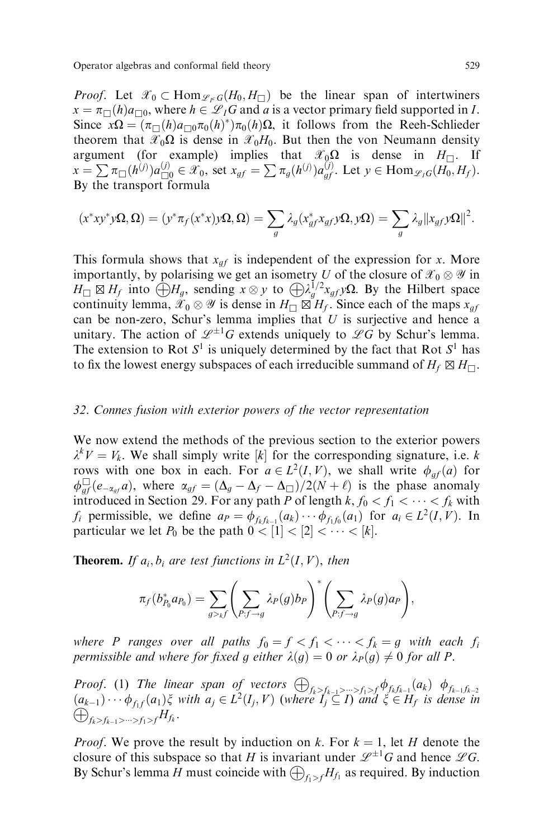*Proof.* Let  $\mathscr{X}_0 \subset \text{Hom}_{\mathscr{L}_1 G}(H_0, H_{\square})$  be the linear span of intertwiners  $x = \pi_{\Box}(h)a_{\Box 0}$ , where  $h \in \mathcal{L}_I G$  and a is a vector primary field supported in I. Since  $x\Omega = (\pi_{\square}(h)a_{\square 0}\pi_0(h)^*)\pi_0(h)\Omega$ , it follows from the Reeh-Schlieder theorem that  $\mathcal{X}_0\Omega$  is dense in  $\mathcal{X}_0H_0$ . But then the von Neumann density argument (for example) implies that  $\mathscr{X}_0\Omega$  is dense in  $H_{\square}$ . If  $x = \sum \pi_{\Box}(h^{(j)}) a_{\Box 0}^{(j)} \in \hat{x_0}$ , set  $x_{gf} = \sum \pi_g(h^{(j)}) a_{gf}^{(j)}$ . Let  $y \in \text{Hom}_{\mathscr{L}_I G}(H_0, H_f)$ . By the transport formula

$$
(x^*xy^*y\Omega,\Omega)=(y^*\pi_f(x^*x)y\Omega,\Omega)=\sum_g\lambda_g(x^*_{gf}x_{gf}y\Omega,y\Omega)=\sum_g\lambda_g||x_{gf}y\Omega||^2.
$$

This formula shows that  $x_{af}$  is independent of the expression for x. More importantly, by polarising we get an isometry U of the closure of  $\mathscr{X}_0\otimes\mathscr{Y}$  in  $H_{\Box} \boxtimes H_f$  into  $\bigoplus H_g$ , sending  $x \otimes y$  to  $\bigoplus \lambda_g^{1/2} x_{gf} y \Omega$ . By the Hilbert space continuity lemma,  $\mathscr{X}_0 \otimes \mathscr{Y}$  is dense in  $H_{\square} \boxtimes H_f$ . Since each of the maps  $x_{gf}$ can be non-zero, Schur's lemma implies that  $U$  is surjective and hence a unitary. The action of  $\mathscr{L}^{\pm 1}G$  extends uniquely to  $\mathscr{L}G$  by Schur's lemma. The extension to Rot  $S^1$  is uniquely determined by the fact that Rot  $S^1$  has to fix the lowest energy subspaces of each irreducible summand of  $H_f \boxtimes H_{\square}$ .

# 32. Connes fusion with exterior powers of the vector representation

We now extend the methods of the previous section to the exterior powers  $\lambda^k V = V_k$ . We shall simply write [k] for the corresponding signature, i.e. k rows with one box in each. For  $a \in L^2(I, V)$ , we shall write  $\phi_{af}(a)$  for  $\phi_{gf} \in (-a_{gf} a)$ , where  $\alpha_{gf} = (\Delta_g - \Delta_f - \Delta_\square)/2(N + \ell)$  is the phase anomaly introduced in Section 29. For any path P of length  $k, f_0 < f_1 < \cdots < f_k$  with  $f_i$  permissible, we define  $a_P = \phi_{f_k f_{k-1}}(a_k) \cdots \phi_{f_1 f_0}(a_1)$  for  $a_i \in L^2(I, V)$ . In particular we let  $P_0$  be the path  $0 < [1] < [2] < \cdots < [k]$ .

**Theorem.** If  $a_i, b_i$  are test functions in  $L^2(I, V)$ , then

$$
\pi_f(b_{P_0}^* a_{P_0}) = \sum_{g>_k f} \left( \sum_{P: f \to g} \lambda_P(g) b_P \right)^* \left( \sum_{P: f \to g} \lambda_P(g) a_P \right),
$$

where P ranges over all paths  $f_0 = f < f_1 < \cdots < f_k = g$  with each  $f_i$ permissible and where for fixed g either  $\lambda(g) = 0$  or  $\lambda_P(g) \neq 0$  for all P.

**Proof.** (1) The linear span of vectors  $\bigoplus_{f_k>f_{k-1}>\cdots>f_1>f_1}\phi_{f_kf_{k-1}}(a_k)$   $\phi_{f_{k-1}f_{k-2}}$  $(a_{k-1})\cdots \phi_{f_1f}(a_1)\xi$  with  $a_j\in L^2(I_j, V)$  (where  $I_j \subseteq I_j$  and  $\xi \in H_f$  is dense in  $\bigoplus_{f_k>f_{k-1}>\cdots>f_1>f_1}H_{f_k}.$ 

*Proof.* We prove the result by induction on k. For  $k = 1$ , let H denote the closure of this subspace so that H is invariant under  $\mathscr{L}^{\pm 1}G$  and hence  $\mathscr{L}G$ . By Schur's lemma H must coincide with  $\bigoplus_{f\in\mathcal{F}} H_{f_1}$  as required. By induction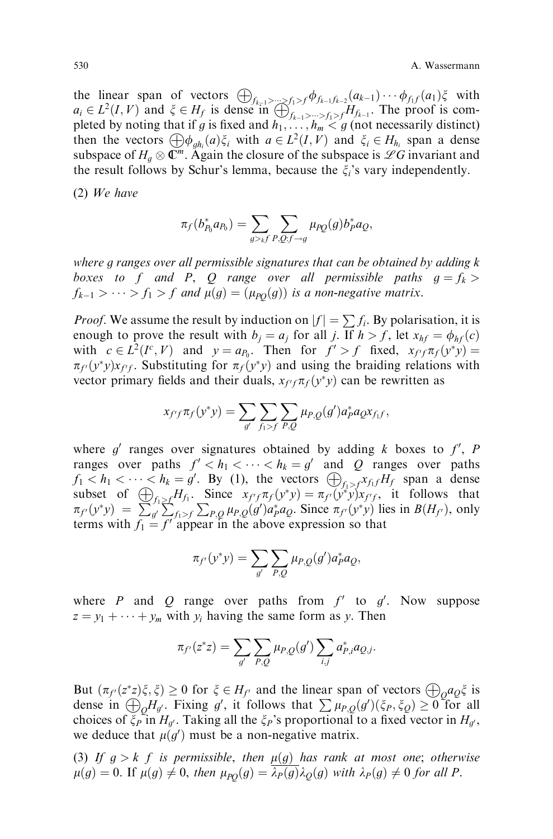the linear span of vectors  $\bigoplus_{f_{k-1}>\cdots\geq f_1>f} \phi_{f_{k-1}f_{k-2}}(a_{k-1}) \cdots \phi_{f_1f}(a_1)\xi$  with  $a_i \in L^2(I, V)$  and  $\xi \in H_f$  is dense in  $\bigoplus_{f_{k-1} > \dots > f_1 > f}^{\infty} H_{f_{k-1}}$ . The proof is completed by noting that if g is fixed and  $h_1, \ldots, h_m < g$  (not necessarily distinct) then the vectors  $\bigoplus \phi_{gh_i}(a)\xi_i$  with  $a \in L^2(I, V)$  and  $\xi_i \in H_{h_i}$  span a dense subspace of  $H_g \otimes \mathbb{C}^m$ . Again the closure of the subspace is  $\mathscr{L}G$  invariant and the result follows by Schur's lemma, because the  $\xi_i$ 's vary independently.

(2) We have

$$
\pi_f(b_{P_0}^* a_{P_0}) = \sum_{g >_k f} \sum_{P,Q: f \to g} \mu_{PQ}(g) b_P^* a_Q,
$$

where g ranges over all permissible signatures that can be obtained by adding k boxes to f and P, Q range over all permissible paths  $g = f_k$  $f_{k-1} > \cdots > f_1 > f$  and  $\mu(g) = (\mu_{PQ}(g))$  is a non-negative matrix.

*Proof.* We assume the result by induction on  $|f| = \sum f_i$ . By polarisation, it is enough to prove the result with  $b_i = a_i$  for all j. If  $h > f$ , let  $x_{hf} = \phi_{hf}(c)$ with  $c \in L^2(I^c, V)$  and  $y = a_{P_0}$ . Then for  $f' > f$  fixed,  $x_{f'f} \pi_f(y^*y) =$  $\pi_{f}(y^*)x_{f'f}$ . Substituting for  $\pi_f(y^*y)$  and using the braiding relations with vector primary fields and their duals,  $x_{f'f}\pi_f(y^*y)$  can be rewritten as

$$
x_{f'f}\pi_f(y^*y) = \sum_{g'} \sum_{f_1>f} \sum_{P,Q} \mu_{P,Q}(g') a_P^* a_Q x_{f_1f},
$$

where  $g'$  ranges over signatures obtained by adding k boxes to  $f'$ , P ranges over paths  $f' < h_1 < \cdots < h_k = g'$  and Q ranges over paths  $f_1 < h_1 < \cdots < h_k = g'$ . By (1), the vectors  $\bigoplus_{f_1 > f} x_{f_1} f H_f$  span a dense subset of  $\bigoplus_{f_1 \ge f} H_{f_1}$ . Since  $x_{f' f} \pi_f(y^* y) = \pi_{f'}(y^* y) x_{f' f}$ , it follows that  $\pi_{f}(y^*y) = \sum_{g} \sum_{f=1}^{f} \sum_{f=1}^{f} \sum_{P,Q} \mu_{P,Q}(g') a_P^* a_Q$ . Since  $\pi_{f}(y^*y)$  lies in  $B(H_{f}),$  only terms with  $f_1 = f'$  appear in the above expression so that

$$
\pi_{f'}(y^*y) = \sum_{g'} \sum_{P,Q} \mu_{P,Q}(g') a_P^* a_Q,
$$

where P and Q range over paths from  $f'$  to  $g'$ . Now suppose  $z = y_1 + \cdots + y_m$  with  $y_i$  having the same form as y. Then

$$
\pi_{f'}(z^*z) = \sum_{g'} \sum_{P,Q} \mu_{P,Q}(g') \sum_{i,j} a_{P,i}^* a_{Q,j}.
$$

But  $(\pi_{f'}(z^*z)\xi, \xi) \ge 0$  for  $\xi \in H_{f'}$  and the linear span of vectors  $\bigoplus_{\alpha} a_{\alpha}\xi$  is dense in  $\bigoplus_{Q} H_{g'}$ . Fixing g', it follows that  $\sum \mu_{P,Q}(g')(\xi_P, \xi_Q) \ge 0$  for all choices of  $\zeta_{P}$  in  $H_{d}$ . Taking all the  $\zeta_{P}$ 's proportional to a fixed vector in  $H_{d}$ , we deduce that  $\mu(g')$  must be a non-negative matrix.

(3) If  $g > k$  f is permissible, then  $\mu(g)$  has rank at most one; otherwise  $\mu(g) = 0$ . If  $\mu(g) \neq 0$ , then  $\mu_{PO}(g) = \lambda_P(g)\lambda_Q(g)$  with  $\lambda_P(g) \neq 0$  for all P.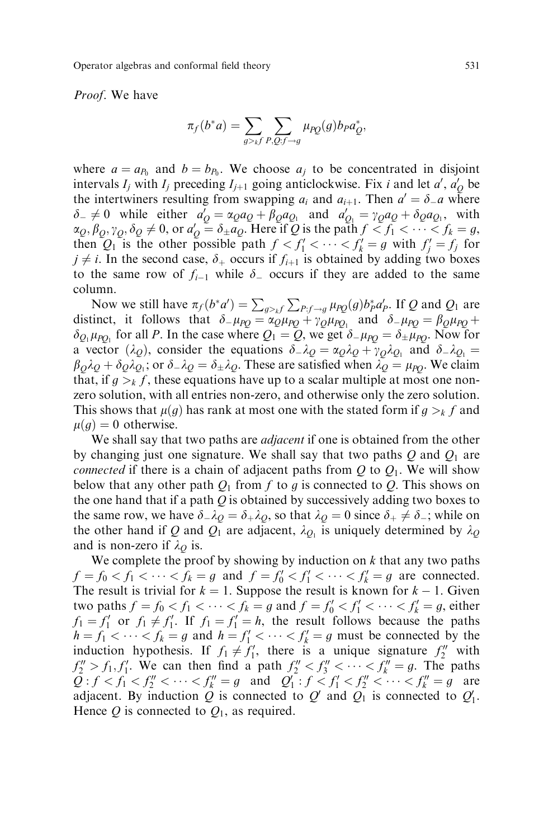Proof. We have

$$
\pi_f(b^*a) = \sum_{g>kf} \sum_{P,Q:f\to g} \mu_{PQ}(g) b_P a_Q^*,
$$

where  $a = a_{P_0}$  and  $b = b_{P_0}$ . We choose  $a_j$  to be concentrated in disjoint intervals  $I_j$  with  $I_j$  preceding  $I_{j+1}$  going anticlockwise. Fix i and let  $a'$ ,  $a'_{Q}$  be the intertwiners resulting from swapping  $a_i$  and  $a_{i+1}$ . Then  $a' = \delta_a a$  where  $\delta_- \neq 0$  while either  $a'_Q = \alpha_Q a_Q + \beta_Q a_{Q_1}$  and  $a'_{Q_1} = \gamma_Q a_Q + \delta_Q a_{Q_1}$ , with  $\alpha_Q, \beta_Q, \gamma_Q, \delta_Q \neq 0$ , or  $a'_Q = \delta_{\pm} a_Q$ . Here if Q is the path  $f < f_1 < \cdots < f_k = g$ , then  $Q_1$  is the other possible path  $f < f'_1 < \cdots < f'_k = g$  with  $f'_j = f_j$  for  $j \neq i$ . In the second case,  $\delta_+$  occurs if  $f_{i+1}$  is obtained by adding two boxes to the same row of  $f_{i-1}$  while  $\delta$  occurs if they are added to the same column.

Now we still have  $\pi_f(b^*a') = \sum_{g >_k f} \sum_{P: f \to g} \mu_{PQ}(g) b_P^* a_P'.$  If Q and Q<sub>1</sub> are distinct, it follows that  $\delta_{\perp}\mu_{PQ} = \alpha_Q \mu_{PQ} + \gamma_Q \mu_{PQ}$  and  $\delta_{\perp}\mu_{PQ} = \beta_Q \mu_{PQ} + \gamma_Q \mu_{PQ}$  $\delta_{Q_1}\mu_{PQ_1}$  for all P. In the case where  $Q_1 = Q$ , we get  $\delta_{\mu_{PQ}} = \delta_{\mu_{PQ}}$ . Now for a vector  $(\lambda_Q)$ , consider the equations  $\delta \lambda_Q = \alpha_Q \lambda_Q + \gamma_Q \lambda_{Q_1}$  and  $\delta \lambda_{Q_1} =$  $\beta_0\lambda_0 + \delta_0\lambda_{0}$ ; or  $\delta \lambda_0 = \delta \lambda_0$ . These are satisfied when  $\lambda_0 = \mu_{PQ}$ . We claim that, if  $g > k f$ , these equations have up to a scalar multiple at most one nonzero solution, with all entries non-zero, and otherwise only the zero solution. This shows that  $\mu(g)$  has rank at most one with the stated form if  $g >_k f$  and  $\mu(g) = 0$  otherwise.

We shall say that two paths are *adjacent* if one is obtained from the other by changing just one signature. We shall say that two paths  $Q$  and  $Q_1$  are *connected* if there is a chain of adjacent paths from  $Q$  to  $Q_1$ . We will show below that any other path  $Q_1$  from f to g is connected to Q. This shows on the one hand that if a path  $Q$  is obtained by successively adding two boxes to the same row, we have  $\delta_{\perp}\lambda_Q = \delta_{\perp}\lambda_Q$ , so that  $\lambda_Q = 0$  since  $\delta_{\perp} \neq \delta_{\perp}$ ; while on the other hand if Q and  $Q_1$  are adjacent,  $\lambda_{Q_1}$  is uniquely determined by  $\lambda_Q$ and is non-zero if  $\lambda_{\mathcal{O}}$  is.

We complete the proof by showing by induction on  $k$  that any two paths  $f = f_0 < f_1 < \cdots < f_k = g$  and  $f = f'_0 < f'_1 < \cdots < f'_k = g$  are connected. The result is trivial for  $k = 1$ . Suppose the result is known for  $k - 1$ . Given two paths  $f = f_0 < f_1 < \cdots < f_k = g$  and  $f = f'_0 < f'_1 < \cdots < f'_k = g$ , either  $f_1 = f_1'$  or  $f_1 \neq f_1'$ . If  $f_1 = f_1' = h$ , the result follows because the paths  $h = f_1 < \cdots < f_k = g$  and  $h = f'_1 < \cdots < f'_k = g$  must be connected by the induction hypothesis. If  $f_1 \neq f'_1$ , there is a unique signature  $f''_2$  with  $f_2'' > f_1, f_1'$ . We can then find a path  $f_2'' < f_3'' < \cdots < f_k'' = g$ . The paths  $Q: f < f_1 < f_2'' < \cdots < f_k'' = g$  and  $Q'_1: f < f'_1 < f_2'' < \cdots < f_k'' = g$  are adjacent. By induction Q is connected to  $Q'$  and  $Q_1$  is connected to  $Q'_1$ . Hence  $Q$  is connected to  $Q_1$ , as required.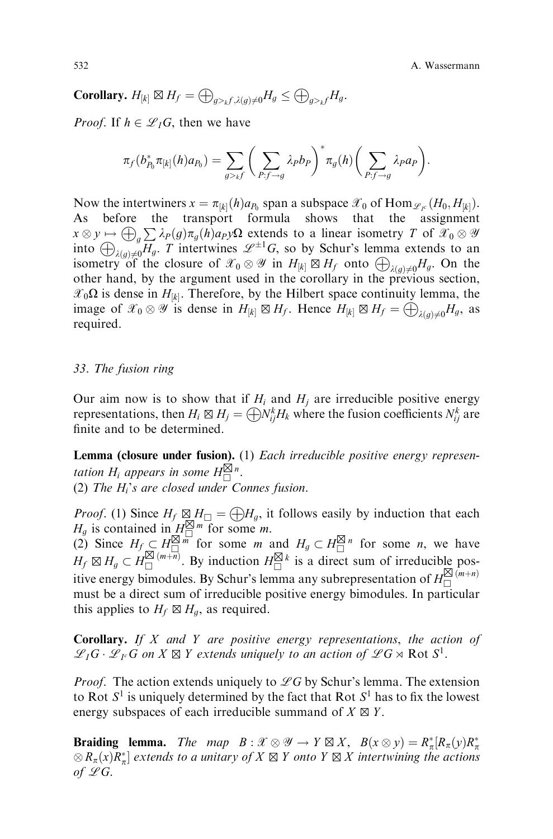532 A. Wassermann

**Corollary.**  $H_{[k]} \boxtimes H_f = \bigoplus_{q > t} \sum_{i(q) \neq 0} H_q \leq \bigoplus_{q > t} H_q.$ 

*Proof.* If  $h \in \mathcal{L}_I G$ , then we have

$$
\pi_f(b_{P_0}^*\pi_{[k]}(h)a_{P_0})=\sum_{g>f}\bigg(\sum_{P:f\to g}\lambda_Pb_P\bigg)^*\pi_g(h)\bigg(\sum_{P:f\to g}\lambda_Pa_P\bigg).
$$

Now the intertwiners  $x = \pi_{[k]}(h)a_{P_0}$  span a subspace  $\mathcal{X}_0$  of Hom $\mathcal{L}_{I_c}(H_0, H_{[k]}).$ As before the transport formula shows that the assignment  $x \otimes y \mapsto \bigoplus_{g} \sum \lambda_P(g) \pi_g(h) a_P y \Omega$  extends to a linear isometry T of  $\mathscr{X}_0 \otimes \mathscr{Y}$ into  $\bigoplus_{\lambda(g)\neq 0} \overline{H_g}$ . T intertwines  $\mathscr{L}^{\pm 1}G$ , so by Schur's lemma extends to an isometry of the closure of  $\mathscr{X}_0 \otimes \mathscr{Y}$  in  $H_{[k]} \boxtimes H_f$  onto  $\bigoplus_{\lambda(g)\neq 0} H_g$ . On the other hand, by the argument used in the corollary in the previous section,  $\mathscr{X}_0\Omega$  is dense in  $H_{[k]}$ . Therefore, by the Hilbert space continuity lemma, the image of  $\mathscr{X}_0 \otimes \mathscr{Y}$  is dense in  $H_{[k]} \boxtimes H_f$ . Hence  $H_{[k]} \boxtimes H_f = \bigoplus_{\lambda(g)\neq 0} H_g$ , as required.

### 33. The fusion ring

Our aim now is to show that if  $H_i$  and  $H_j$  are irreducible positive energy representations, then  $H_i \boxtimes H_j = \bigoplus N_{ij}^k H_k$  where the fusion coefficients  $N_{ij}^k$  are finite and to be determined.

**Lemma (closure under fusion).** (1) Each irreducible positive energy representation H<sub>i</sub> appears in some  $H_{\square}^{\boxtimes n}$ . (2) The  $H_i$ 's are closed under Connes fusion.

*Proof.* (1) Since  $H_f \boxtimes H_{\Box} = \bigoplus H_g$ , it follows easily by induction that each  $H_g$  is contained in  $H_{\square}^{\boxtimes m}$  for some *m*.

(2) Since  $H_f \subseteq H_1^{\boxtimes m}$  for some *m* and  $H_g \subset H_1^{\boxtimes n}$  for some *n*, we have  $H_f \boxtimes H_g \subset H_{\square}^{\boxtimes (m+n)}$ . By induction  $H_{\square}^{\boxtimes k}$  is a direct sum of irreducible positive energy bimodules. By Schur's lemma any subrepresentation of  $H^{\boxtimes (m+n)}_{\square}$ must be a direct sum of irreducible positive energy bimodules. In particular this applies to  $H_f \boxtimes H_g$ , as required.

**Corollary.** If  $X$  and  $Y$  are positive energy representations, the action of  $\mathscr{L}_I G \cdot \mathscr{L}_{I^c} G$  on  $X \boxtimes Y$  extends uniquely to an action of  $\mathscr{L} G \rtimes \mathrm{Rot} S^1$ .

*Proof.* The action extends uniquely to  $\mathscr{L}G$  by Schur's lemma. The extension to Rot  $S^1$  is uniquely determined by the fact that Rot  $S^1$  has to fix the lowest energy subspaces of each irreducible summand of  $X \boxtimes Y$ .

**Braiding lemma.** The map  $B : \mathcal{X} \otimes \mathcal{Y} \to Y \boxtimes X$ ,  $B(x \otimes y) = R_{\pi}^{*}[R_{\pi}(y)R_{\pi}^{*}]$  $\otimes R_{\pi}(x)R_{\pi}^*$  extends to a unitary of  $X \boxtimes Y$  onto  $Y \boxtimes X$  intertwining the actions of  $\mathscr{L}G$ .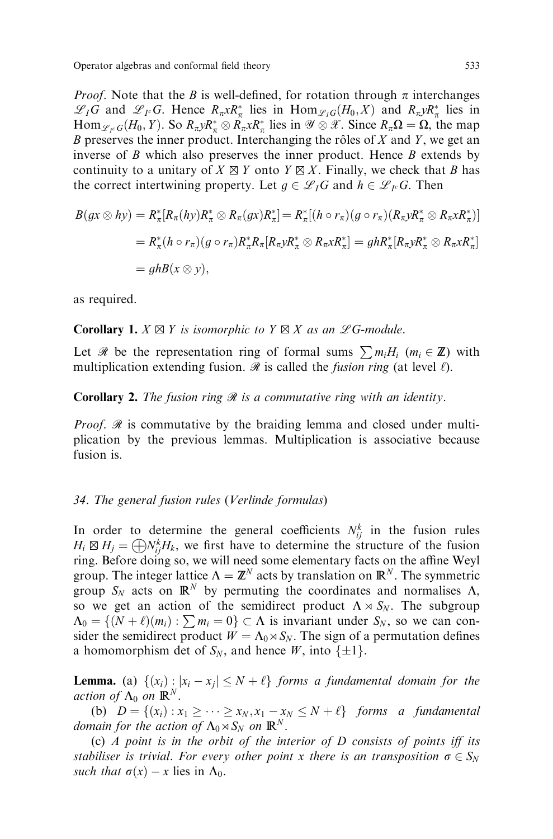*Proof.* Note that the *B* is well-defined, for rotation through  $\pi$  interchanges  $\mathscr{L}_I G$  and  $\mathscr{L}_{I^c} G$ . Hence  $R_{\pi} x R_{\pi}^*$  lies in  $\text{Hom}_{\mathscr{L}_I G}(H_0, X)$  and  $R_{\pi} y R_{\pi}^*$  lies in  $\text{Hom}_{\mathscr{L}_F G}(H_0, Y)$ . So  $R_{\pi} \mathcal{R}^*_{\pi} \otimes R_{\pi} \mathcal{R}^*_{\pi}$  lies in  $\mathscr{Y} \otimes \mathscr{X}$ . Since  $R_{\pi} \Omega = \Omega$ , the map B preserves the inner product. Interchanging the rôles of  $X$  and  $Y$ , we get an inverse of  $\hat{B}$  which also preserves the inner product. Hence  $\hat{B}$  extends by continuity to a unitary of  $X \boxtimes Y$  onto  $Y \boxtimes X$ . Finally, we check that B has the correct intertwining property. Let  $g \in \mathscr{L}_I G$  and  $h \in \mathscr{L}_{I^c} G$ . Then

$$
B(gx \otimes hy) = R_{\pi}^*[R_{\pi}(hy)R_{\pi}^* \otimes R_{\pi}(gx)R_{\pi}^*] = R_{\pi}^*[(h \circ r_{\pi})(g \circ r_{\pi})(R_{\pi}yR_{\pi}^* \otimes R_{\pi}xR_{\pi}^*)]
$$
  
=  $R_{\pi}^*(h \circ r_{\pi})(g \circ r_{\pi})R_{\pi}^*R_{\pi}[R_{\pi}yR_{\pi}^* \otimes R_{\pi}xR_{\pi}^*] = ghR_{\pi}^*[R_{\pi}yR_{\pi}^* \otimes R_{\pi}xR_{\pi}^*]$   
=  $ghB(x \otimes y)$ ,

as required.

**Corollary 1.**  $X \boxtimes Y$  is isomorphic to  $Y \boxtimes X$  as an  $\mathscr{L}G$ -module.

Let R be the representation ring of formal sums  $\sum m_i H_i$  ( $m_i \in \mathbb{Z}$ ) with multiplication extending fusion.  $\mathcal R$  is called the *fusion ring* (at level  $\ell$ ).

# **Corollary 2.** The fusion ring  $\mathcal{R}$  is a commutative ring with an identity.

*Proof.*  $\mathcal{R}$  is commutative by the braiding lemma and closed under multiplication by the previous lemmas. Multiplication is associative because fusion is.

## 34. The general fusion rules (Verlinde formulas)

In order to determine the general coefficients  $N_{ij}^k$  in the fusion rules  $H_i \boxtimes H_j = \bigoplus N_{ij}^k H_k$ , we first have to determine the structure of the fusion ring. Before doing so, we will need some elementary facts on the affine Weyl group. The integer lattice  $\Lambda = \mathbb{Z}^N$  acts by translation on  $\mathbb{R}^N$ . The symmetric group  $S_N$  acts on  $\mathbb{R}^N$  by permuting the coordinates and normalises  $\Lambda$ , so we get an action of the semidirect product  $\Lambda \rtimes S_N$ . The subgroup  $\Lambda_0 = \{(N + \ell)(m_i) : \sum m_i = 0\} \subset \Lambda$  is invariant under  $S_N$ , so we can consider the semidirect product  $W = \Lambda_0 \rtimes S_N$ . The sign of a permutation defines a homomorphism det of  $S_N$ , and hence W, into  $\{\pm 1\}$ .

**Lemma.** (a)  $\{(x_i) : |x_i - x_j| \leq N + \ell\}$  forms a fundamental domain for the action of  $\Lambda_0$  on  $\mathbb{R}^N$ .

(b)  $D = \{(x_i) : x_1 \geq \cdots \geq x_N, x_1 - x_N \leq N + \ell\}$  forms a fundamental domain for the action of  $\Lambda_0 \rtimes S_N$  on  $\mathbb{R}^N$ .

(c)  $\Lambda$  point is in the orbit of the interior of  $D$  consists of points iff its stabiliser is trivial. For every other point x there is an transposition  $\sigma \in S_N$ such that  $\sigma(x) - x$  lies in  $\Lambda_0$ .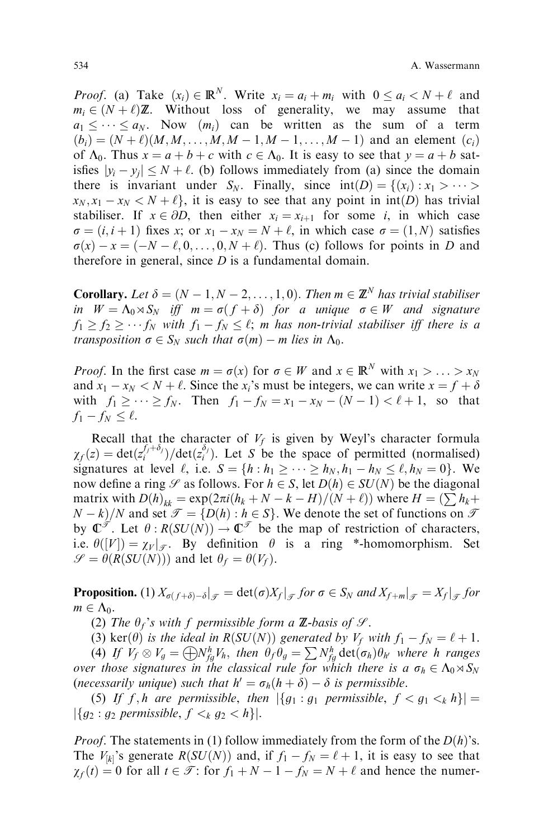*Proof.* (a) Take  $(x_i) \in \mathbb{R}^N$ . Write  $x_i = a_i + m_i$  with  $0 \le a_i \le N + \ell$  and  $m_i \in (N + \ell) \mathbb{Z}$ . Without loss of generality, we may assume that  $a_1 \leq \cdots \leq a_N$ . Now  $(m_i)$  can be written as the sum of a term  $(b_i) = (N + \ell)(M, M, \dots, M, M - 1, M - 1, \dots, M - 1)$  and an element  $(c_i)$ of  $\Lambda_0$ . Thus  $x = a + b + c$  with  $c \in \Lambda_0$ . It is easy to see that  $y = a + b$  satisfies  $|y_i - y_j| \le N + \ell$ . (b) follows immediately from (a) since the domain there is invariant under  $S_N$ . Finally, since  $int(D) = \{(x_i) : x_1 > \cdots >$  $x_N$ ,  $x_1 - x_N < N + \ell$ , it is easy to see that any point in int(D) has trivial stabiliser. If  $x \in \partial D$ , then either  $x_i = x_{i+1}$  for some i, in which case  $\sigma = (i, i + 1)$  fixes x; or  $x_1 - x_N = N + \ell$ , in which case  $\sigma = (1, N)$  satisfies  $\sigma(x) - x = (-N - \ell, 0, \ldots, 0, N + \ell)$ . Thus (c) follows for points in D and therefore in general, since  $D$  is a fundamental domain.

**Corollary.** Let  $\delta = (N - 1, N - 2, \ldots, 1, 0)$ . Then  $m \in \mathbb{Z}^N$  has trivial stabiliser in  $W = \Lambda_0 \rtimes S_N$  iff  $m = \sigma(f + \delta)$  for a unique  $\sigma \in W$  and signature  $f_1 \ge f_2 \ge \cdots f_N$  with  $f_1 - f_N \le \ell$ ; m has non-trivial stabiliser iff there is a transposition  $\sigma \in S_N$  such that  $\sigma(m) - m$  lies in  $\Lambda_0$ .

*Proof.* In the first case  $m = \sigma(x)$  for  $\sigma \in W$  and  $x \in \mathbb{R}^N$  with  $x_1 > ... > x_N$ and  $x_1 - x_N < N + \ell$ . Since the  $x_i$ 's must be integers, we can write  $x = f + \delta$ with  $f_1 \geq \cdots \geq f_N$ . Then  $f_1 - f_N = x_1 - x_N - (N - 1) < \ell + 1$ , so that  $f_1 - f_N \leq \ell$ .

Recall that the character of  $V_f$  is given by Weyl's character formula  $\chi_f(z) = \det(z_i^{f_j + \delta_j})/\det(z_i^{\delta_j})$ . Let S be the space of permitted (normalised) signatures at level  $\ell$ , i.e.  $S = \{h : h_1 \geq \cdots \geq h_N, h_1 - h_N \leq \ell, h_N = 0\}$ . We now define a ring  $\mathscr S$  as follows. For  $h \in S$ , let  $D(h) \in SU(N)$  be the diagonal matrix with  $D(h)_{kk} = \exp(2\pi i (h_k + N - k - H)/(N + \ell))$  where  $H = \left(\sum h_k +$  $N - k$  /N and set  $\mathcal{T} = \{D(h) : h \in S\}$ . We denote the set of functions on  $\mathcal{T}$ by  $\mathbb{C}^{\mathscr{T}}$ . Let  $\theta$ :  $R(SU(N)) \to \mathbb{C}^{\mathscr{T}}$  be the map of restriction of characters, i.e.  $\theta([V]) = \chi_V|_{\mathcal{F}}$ . By definition  $\theta$  is a ring \*-homomorphism. Set  $\mathscr{S} = \theta(R(SU(N)))$  and let  $\theta_f = \theta(V_f)$ .

**Proposition.** (1)  $X_{\sigma(f+\delta)-\delta}|_{\mathcal{F}} = \det(\sigma)X_f|_{\mathcal{F}}$  for  $\sigma \in S_N$  and  $X_{f+m}|_{\mathcal{F}} = X_f|_{\mathcal{F}}$  for  $m \in \Lambda_0$ .

(2) The  $\theta_f$ 's with f permissible form a **Z**-basis of  $\mathcal{S}$ .

(3) ker $(\theta)$  is the ideal in R(SU(N)) generated by  $V_f$  with  $f_1 - f_N = \ell + 1$ .

(4) If  $V_f \otimes V_g = \bigoplus N_{fg}^h V_h$ , then  $\theta_f \theta_g = \sum N_{fg}^h \det(\sigma_h) \theta_{h'}$  where h ranges over those signatures in the classical rule for which there is a  $\sigma_h \in \Lambda_0 \rtimes S_N$ (necessarily unique) such that  $h' = \sigma_h(h + \delta) - \delta$  is permissible.

(5) If f, h are permissible, then  $|\{g_1 : g_1 \text{ permissible}, f \lt g_1 \lt_k h\}| =$  $|\{g_2 : g_2 \text{ permissible}, f \leq_k g_2 \leq h\}|.$ 

*Proof.* The statements in (1) follow immediately from the form of the  $D(h)$ 's. The  $V_{[k]}$ 's generate  $R(SU(N))$  and, if  $f_1 - f_N = \ell + 1$ , it is easy to see that  $\chi_f(t) = 0$  for all  $t \in \mathcal{T}$ : for  $f_1 + N - 1 - f_N = N + \ell$  and hence the numer-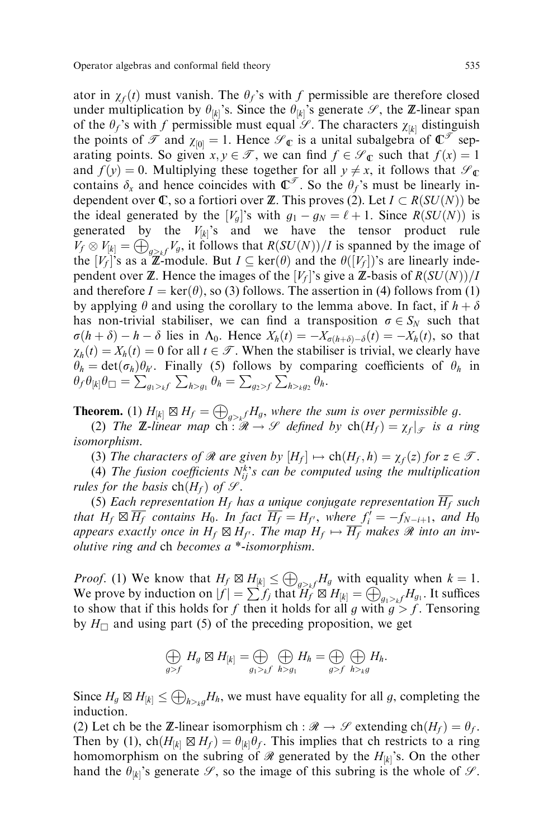ator in  $\chi_f(t)$  must vanish. The  $\theta_f$ 's with f permissible are therefore closed under multiplication by  $\theta_{[k]}$ 's. Since the  $\theta_{[k]}$ 's generate  $\mathscr{S}$ , the **Z**-linear span of the  $\theta_f$ 's with f permissible must equal  $\mathscr{S}$ . The characters  $\chi_{[k]}$  distinguish the points of  $\mathcal T$  and  $\chi_{[0]} = 1$ . Hence  $\mathcal C_{\mathbb C}$  is a unital subalgebra of  $\mathbb C^{\mathcal T}$  separating points. So given  $x, y \in \mathcal{T}$ , we can find  $f \in \mathcal{S}_{\mathbb{C}}$  such that  $f(x) = 1$ and  $f(y) = 0$ . Multiplying these together for all  $y \neq x$ , it follows that  $\mathcal{S}_{\mathbb{C}}$ contains  $\delta_x$  and hence coincides with  $\mathbb{C}^{\mathscr{T}}$ . So the  $\theta_f$ 's must be linearly independent over  $\mathbb C$ , so a fortiori over  $\mathbb Z$ . This proves (2). Let  $I \subset R(SU(N))$  be the ideal generated by the  $[V_q]$ 's with  $g_1 - g_N = \ell + 1$ . Since  $R(SU(N))$  is generated by the  $V_{[k]}$ 's and we have the tensor product rule  $V_f \otimes V_{[k]} = \bigoplus_{g \geq k} V_g$ , it follows that  $R(SU(N))/I$  is spanned by the image of the  $[V_f]$ 's as a  $\mathbb{Z}$ -module. But  $I \subseteq \text{ker}(\theta)$  and the  $\theta([V_f])$ 's are linearly independent over **Z**. Hence the images of the  $[V_f]$ 's give a **Z**-basis of  $R(SU(N))/I$ and therefore  $I = \text{ker}(\theta)$ , so (3) follows. The assertion in (4) follows from (1) by applying  $\theta$  and using the corollary to the lemma above. In fact, if  $h + \delta$ has non-trivial stabiliser, we can find a transposition  $\sigma \in S_N$  such that  $\sigma(h + \delta) - h - \delta$  lies in  $\Lambda_0$ . Hence  $X_h(t) = -X_{\sigma(h+\delta)-\delta}(t) = -X_h(t)$ , so that  $\chi_h(t) = X_h(t) = 0$  for all  $t \in \mathcal{T}$ . When the stabiliser is trivial, we clearly have  $\theta_h = \det(\sigma_h)\theta_{h'}$ . Finally (5) follows by comparing coefficients of  $\theta_h$  in  $\theta_f \theta_{[k]} \theta_\Box = \sum_{g_1 >_k f} \sum_{h>g_1} \theta_h = \sum_{g_2 > f} \sum_{h>_k g_2} \theta_h.$ 

**Theorem.** (1)  $H_{[k]} \boxtimes H_f = \bigoplus_{g>k} H_g$ , where the sum is over permissible g.

(2) The **Z**-linear map  $\mathrm{ch} : \mathcal{R} \to \mathcal{S}$  defined by  $\mathrm{ch}(H_f) = \chi_f|_{\mathcal{F}}$  is a ring isomorphism.

(3) The characters of  $\Re$  are given by  $[H_f] \mapsto ch(H_f, h) = \chi_f(z)$  for  $z \in \mathcal{T}$ .

(4) The fusion coefficients  $N_{ij}^k$ 's can be computed using the multiplication rules for the basis  $\text{ch}(H_f)$  of  $\mathcal{S}$ .

(5) Each representation  $H_f$  has a unique conjugate representation  $\overline{H_f}$  such that  $H_f \boxtimes \overline{H_f}$  contains  $H_0$ . In fact  $\overline{H_f} = H_{f'}$ , where  $f'_i = -f_{N-i+1}$ , and  $H_0$ appears exactly once in  $H_f \boxtimes H_{f'}$ . The map  $H_f \mapsto \overline{H_f}$  makes  $\Re$  into an involutive ring and ch becomes a \*-isomorphism.

*Proof.* (1) We know that  $H_f \boxtimes \underline{H}_{[k]} \leq \bigoplus_{g>kf} H_g$  with equality when  $k = 1$ . We prove by induction on  $|f| = \sum_{i=1}^{\lfloor n \rfloor} \int_{f_i}^{\lfloor n \rfloor} \frac{d^{(i)} \xi^{(j)}}{H_{[k]}} = \bigoplus_{g_1 > k}^{\infty} H_{g_1}$ . It suffices to show that if this holds for f then it holds for all g with  $g > f$ . Tensoring by  $H_{\Box}$  and using part (5) of the preceding proposition, we get

$$
\bigoplus_{g>f} H_g \boxtimes H_{[k]} = \bigoplus_{g_1 >_k f} \bigoplus_{h > g_1} H_h = \bigoplus_{g>f} \bigoplus_{h >_k g} H_h.
$$

Since  $H_g \boxtimes H_{[k]} \leq \bigoplus_{h>_kg} H_h$ , we must have equality for all g, completing the induction.

(2) Let ch be the Z-linear isomorphism ch :  $\mathcal{R} \to \mathcal{S}$  extending ch $(H_f) = \theta_f$ . Then by (1),  $\text{ch}(H_{[k]} \boxtimes H_f) = \theta_{[k]}\theta_f$ . This implies that ch restricts to a ring homomorphism on the subring of  $\mathcal{R}$  generated by the  $H_{[k]}$ 's. On the other hand the  $\theta_{[k]}$ 's generate  $\mathscr{S}$ , so the image of this subring is the whole of  $\mathscr{S}$ .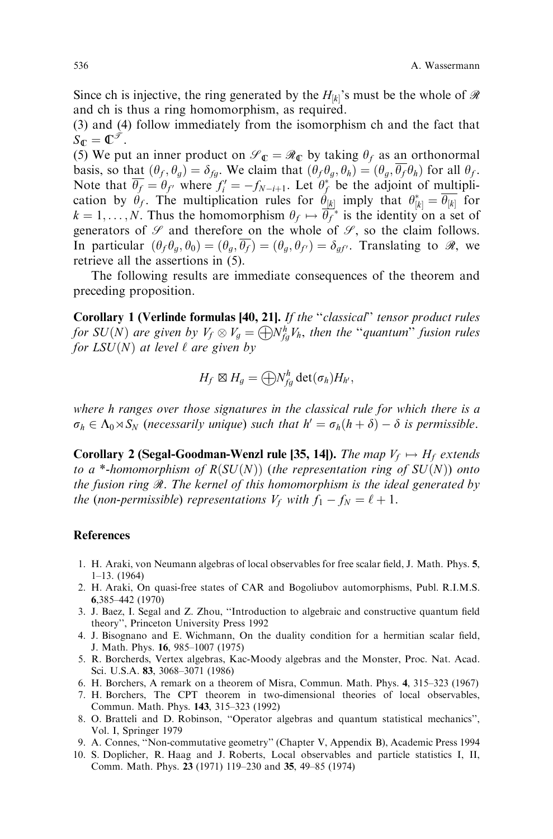Since ch is injective, the ring generated by the  $H_{[k]}$ 's must be the whole of  $\mathcal{R}$ and ch is thus a ring homomorphism, as required.

(3) and (4) follow immediately from the isomorphism ch and the fact that  $S_{\mathbb{C}}=\mathbb{C}^{\mathscr{I}}$ .

(5) We put an inner product on  $\mathcal{S}_{\mathbb{C}} = \mathcal{R}_{\mathbb{C}}$  by taking  $\theta_f$  as an orthonormal basis, so that  $(\theta_f, \theta_q) = \delta_{fq}$ . We claim that  $(\theta_f, \theta_q, \theta_h) = (\theta_q, \theta_f, \theta_h)$  for all  $\theta_f$ . Note that  $\overline{\theta_f} = \theta_{f'}$  where  $f'_i = -f_{N-i+1}$ . Let  $\theta_f^*$  be the adjoint of multiplication by  $\hat{\theta}_f$ . The multiplication rules for  $\hat{\theta}_{[k]}$  imply that  $\theta_{[k]}^* = \overline{\theta_{[k]}}$  for  $k = 1, \ldots, N$ . Thus the homomorphism  $\theta_f \mapsto \overline{\theta_f}^*$  is the identity on a set of generators of  $\mathscr S$  and therefore on the whole of  $\mathscr S$ , so the claim follows. In particular  $(\theta_f \theta_g, \theta_0) = (\theta_g, \overline{\theta_f}) = (\theta_g, \theta_{f'}) = \delta_{g} f'$ . Translating to  $\Re$ , we retrieve all the assertions in (5).

The following results are immediate consequences of the theorem and preceding proposition.

Corollary 1 (Verlinde formulas [40, 21]. If the "classical" tensor product rules for SU(N) are given by  $V_f\otimes V_g=\bigoplus N_{fg}^hV_h$ , then the "quantum" fusion rules for  $LSU(N)$  at level  $\ell$  are given by

$$
H_f \boxtimes H_g = \bigoplus N_{fg}^h \det(\sigma_h) H_{h'},
$$

where h ranges over those signatures in the classical rule for which there is a  $\sigma_h \in \Lambda_0 \rtimes S_N$  (necessarily unique) such that  $h' = \sigma_h(h + \delta) - \delta$  is permissible.

**Corollary 2 (Segal-Goodman-Wenzl rule [35, 14]).** The map  $V_f \mapsto H_f$  extends to a \*-homomorphism of  $R(SU(N))$  (the representation ring of  $SU(N))$  onto the fusion ring  $\mathcal R$ . The kernel of this homomorphism is the ideal generated by the (non-permissible) representations  $V_f$  with  $f_1 - f_N = \ell + 1$ .

# References

- 1. H. Araki, von Neumann algebras of local observables for free scalar field, J. Math. Phys. 5,  $1-13.$  (1964)
- 2. H. Araki, On quasi-free states of CAR and Bogoliubov automorphisms, Publ. R.I.M.S. 6,385±442 (1970)
- 3. J. Baez, I. Segal and Z. Zhou, "Introduction to algebraic and constructive quantum field theory'', Princeton University Press 1992
- 4. J. Bisognano and E. Wichmann, On the duality condition for a hermitian scalar field, J. Math. Phys. 16, 985-1007 (1975)
- 5. R. Borcherds, Vertex algebras, Kac-Moody algebras and the Monster, Proc. Nat. Acad. Sci. U.S.A. 83, 3068-3071 (1986)
- 6. H. Borchers, A remark on a theorem of Misra, Commun. Math. Phys. 4, 315–323 (1967)
- 7. H. Borchers, The CPT theorem in two-dimensional theories of local observables, Commun. Math. Phys. 143, 315-323 (1992)
- 8. O. Bratteli and D. Robinson, "Operator algebras and quantum statistical mechanics", Vol. I, Springer 1979
- 9. A. Connes, ``Non-commutative geometry'' (Chapter V, Appendix B), Academic Press 1994
- 10. S. Doplicher, R. Haag and J. Roberts, Local observables and particle statistics I, II, Comm. Math. Phys. 23 (1971) 119-230 and 35, 49-85 (1974)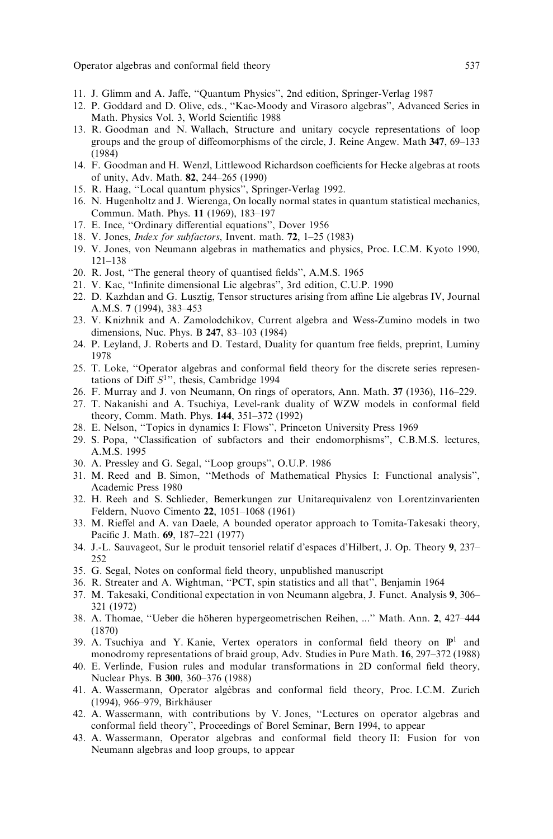- 11. J. Glimm and A. Jaffe, "Quantum Physics", 2nd edition, Springer-Verlag 1987
- 12. P. Goddard and D. Olive, eds., "Kac-Moody and Virasoro algebras", Advanced Series in Math. Physics Vol. 3, World Scientific 1988
- 13. R. Goodman and N. Wallach, Structure and unitary cocycle representations of loop groups and the group of diffeomorphisms of the circle, J. Reine Angew. Math  $347$ ,  $69-133$ (1984)
- 14. F. Goodman and H. Wenzl, Littlewood Richardson coefficients for Hecke algebras at roots of unity, Adv. Math. 82, 244-265 (1990)
- 15. R. Haag, "Local quantum physics", Springer-Verlag 1992.
- 16. N. Hugenholtz and J. Wierenga, On locally normal states in quantum statistical mechanics, Commun. Math. Phys. 11 (1969), 183-197
- 17. E. Ince, "Ordinary differential equations", Dover 1956
- 18. V. Jones, *Index for subfactors*, Invent. math.  $72$ ,  $1-25$  (1983)
- 19. V. Jones, von Neumann algebras in mathematics and physics, Proc. I.C.M. Kyoto 1990, 121±138
- 20. R. Jost, "The general theory of quantised fields", A.M.S. 1965
- 21. V. Kac, "Infinite dimensional Lie algebras", 3rd edition, C.U.P. 1990
- 22. D. Kazhdan and G. Lusztig, Tensor structures arising from affine Lie algebras IV, Journal A.M.S. 7 (1994), 383-453
- 23. V. Knizhnik and A. Zamolodchikov, Current algebra and Wess-Zumino models in two dimensions, Nuc. Phys. B  $247, 83-103$  (1984)
- 24. P. Leyland, J. Roberts and D. Testard, Duality for quantum free fields, preprint, Luminy 1978
- 25. T. Loke, "Operator algebras and conformal field theory for the discrete series representations of Diff  $S<sup>1</sup>$ ", thesis, Cambridge 1994
- 26. F. Murray and J. von Neumann, On rings of operators, Ann. Math. 37 (1936), 116-229.
- 27. T. Nakanishi and A. Tsuchiya, Level-rank duality of WZW models in conformal field theory, Comm. Math. Phys. 144, 351-372 (1992)
- 28. E. Nelson, "Topics in dynamics I: Flows", Princeton University Press 1969
- 29. S. Popa, "Classification of subfactors and their endomorphisms", C.B.M.S. lectures, A.M.S. 1995
- 30. A. Pressley and G. Segal, ``Loop groups'', O.U.P. 1986
- 31. M. Reed and B. Simon, "Methods of Mathematical Physics I: Functional analysis", Academic Press 1980
- 32. H. Reeh and S. Schlieder, Bemerkungen zur Unitarequivalenz von Lorentzinvarienten Feldern, Nuovo Cimento 22, 1051–1068 (1961)
- 33. M. Rieffel and A. van Daele, A bounded operator approach to Tomita-Takesaki theory, Pacific J. Math. 69, 187-221 (1977)
- 34. J.-L. Sauvageot, Sur le produit tensoriel relatif d'espaces d'Hilbert, J. Op. Theory 9, 237± 252
- 35. G. Segal, Notes on conformal field theory, unpublished manuscript
- 36. R. Streater and A. Wightman, "PCT, spin statistics and all that", Benjamin 1964
- 37. M. Takesaki, Conditional expectation in von Neumann algebra, J. Funct. Analysis 9, 306– 321 (1972)
- 38. A. Thomae, "Ueber die höheren hypergeometrischen Reihen, ..." Math. Ann. 2, 427-444 (1870)
- 39. A. Tsuchiya and Y. Kanie, Vertex operators in conformal field theory on  $\mathbb{P}^1$  and monodromy representations of braid group, Adv. Studies in Pure Math.  $16$ ,  $297-372$  (1988)
- 40. E. Verlinde, Fusion rules and modular transformations in 2D conformal field theory, Nuclear Phys. B 300, 360–376 (1988)
- 41. A. Wassermann, Operator algebras and conformal field theory, Proc. I.C.M. Zurich (1994), 966–979, Birkhäuser
- 42. A. Wassermann, with contributions by V. Jones, "Lectures on operator algebras and conformal field theory", Proceedings of Borel Seminar, Bern 1994, to appear
- 43. A. Wassermann, Operator algebras and conformal field theory II: Fusion for von Neumann algebras and loop groups, to appear